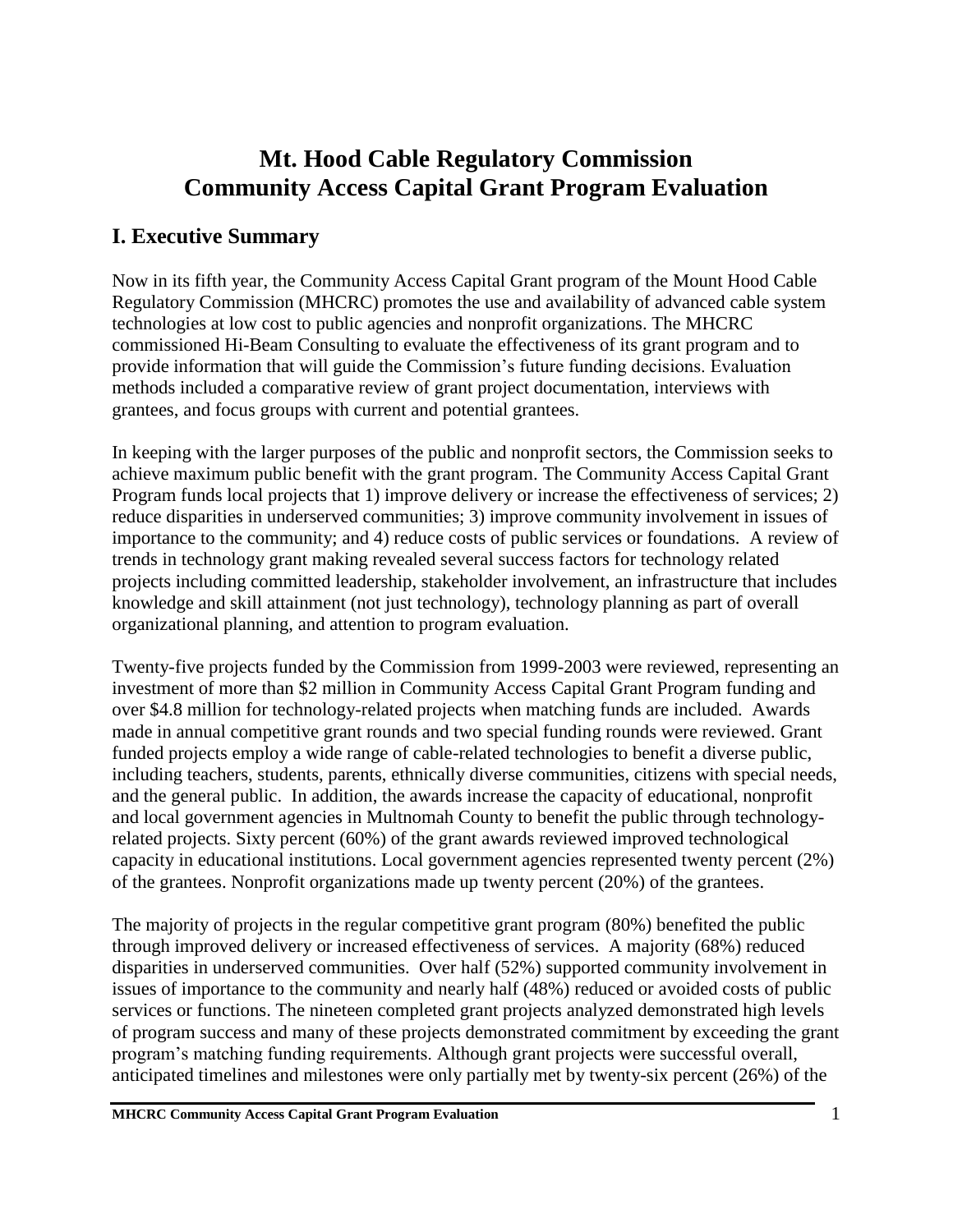# **Mt. Hood Cable Regulatory Commission Community Access Capital Grant Program Evaluation**

# **I. Executive Summary**

Now in its fifth year, the Community Access Capital Grant program of the Mount Hood Cable Regulatory Commission (MHCRC) promotes the use and availability of advanced cable system technologies at low cost to public agencies and nonprofit organizations. The MHCRC commissioned Hi-Beam Consulting to evaluate the effectiveness of its grant program and to provide information that will guide the Commission's future funding decisions. Evaluation methods included a comparative review of grant project documentation, interviews with grantees, and focus groups with current and potential grantees.

In keeping with the larger purposes of the public and nonprofit sectors, the Commission seeks to achieve maximum public benefit with the grant program. The Community Access Capital Grant Program funds local projects that 1) improve delivery or increase the effectiveness of services; 2) reduce disparities in underserved communities; 3) improve community involvement in issues of importance to the community; and 4) reduce costs of public services or foundations. A review of trends in technology grant making revealed several success factors for technology related projects including committed leadership, stakeholder involvement, an infrastructure that includes knowledge and skill attainment (not just technology), technology planning as part of overall organizational planning, and attention to program evaluation.

Twenty-five projects funded by the Commission from 1999-2003 were reviewed, representing an investment of more than \$2 million in Community Access Capital Grant Program funding and over \$4.8 million for technology-related projects when matching funds are included. Awards made in annual competitive grant rounds and two special funding rounds were reviewed. Grant funded projects employ a wide range of cable-related technologies to benefit a diverse public, including teachers, students, parents, ethnically diverse communities, citizens with special needs, and the general public. In addition, the awards increase the capacity of educational, nonprofit and local government agencies in Multnomah County to benefit the public through technologyrelated projects. Sixty percent (60%) of the grant awards reviewed improved technological capacity in educational institutions. Local government agencies represented twenty percent (2%) of the grantees. Nonprofit organizations made up twenty percent (20%) of the grantees.

The majority of projects in the regular competitive grant program (80%) benefited the public through improved delivery or increased effectiveness of services. A majority (68%) reduced disparities in underserved communities. Over half (52%) supported community involvement in issues of importance to the community and nearly half (48%) reduced or avoided costs of public services or functions. The nineteen completed grant projects analyzed demonstrated high levels of program success and many of these projects demonstrated commitment by exceeding the grant program's matching funding requirements. Although grant projects were successful overall, anticipated timelines and milestones were only partially met by twenty-six percent (26%) of the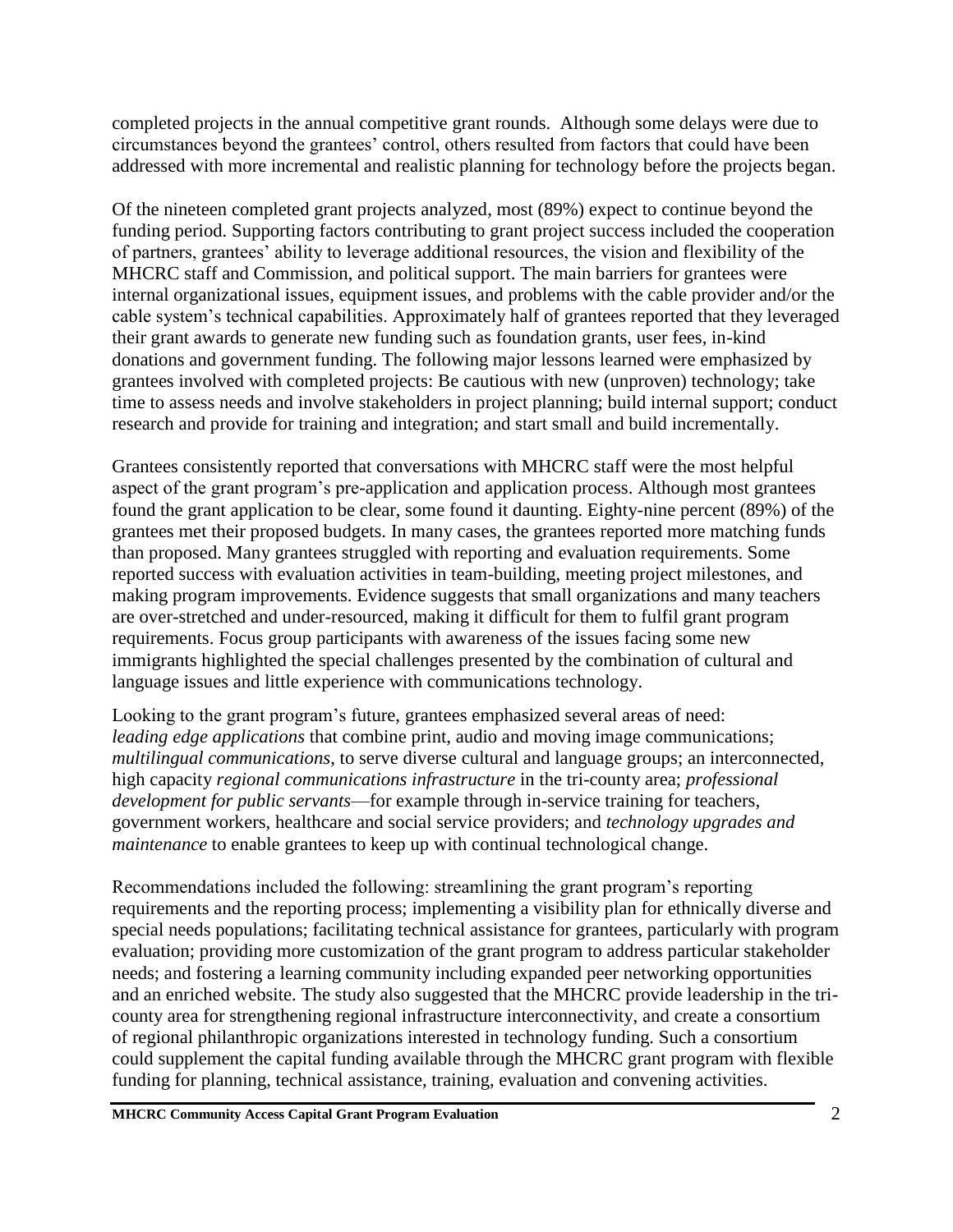completed projects in the annual competitive grant rounds. Although some delays were due to circumstances beyond the grantees' control, others resulted from factors that could have been addressed with more incremental and realistic planning for technology before the projects began.

Of the nineteen completed grant projects analyzed, most (89%) expect to continue beyond the funding period. Supporting factors contributing to grant project success included the cooperation of partners, grantees' ability to leverage additional resources, the vision and flexibility of the MHCRC staff and Commission, and political support. The main barriers for grantees were internal organizational issues, equipment issues, and problems with the cable provider and/or the cable system's technical capabilities. Approximately half of grantees reported that they leveraged their grant awards to generate new funding such as foundation grants, user fees, in-kind donations and government funding. The following major lessons learned were emphasized by grantees involved with completed projects: Be cautious with new (unproven) technology; take time to assess needs and involve stakeholders in project planning; build internal support; conduct research and provide for training and integration; and start small and build incrementally.

Grantees consistently reported that conversations with MHCRC staff were the most helpful aspect of the grant program's pre-application and application process. Although most grantees found the grant application to be clear, some found it daunting. Eighty-nine percent (89%) of the grantees met their proposed budgets. In many cases, the grantees reported more matching funds than proposed. Many grantees struggled with reporting and evaluation requirements. Some reported success with evaluation activities in team-building, meeting project milestones, and making program improvements. Evidence suggests that small organizations and many teachers are over-stretched and under-resourced, making it difficult for them to fulfil grant program requirements. Focus group participants with awareness of the issues facing some new immigrants highlighted the special challenges presented by the combination of cultural and language issues and little experience with communications technology.

Looking to the grant program's future, grantees emphasized several areas of need: *leading edge applications* that combine print, audio and moving image communications; *multilingual communications*, to serve diverse cultural and language groups; an interconnected, high capacity *regional communications infrastructure* in the tri-county area; *professional development for public servants*—for example through in-service training for teachers, government workers, healthcare and social service providers; and *technology upgrades and maintenance* to enable grantees to keep up with continual technological change.

Recommendations included the following: streamlining the grant program's reporting requirements and the reporting process; implementing a visibility plan for ethnically diverse and special needs populations; facilitating technical assistance for grantees, particularly with program evaluation; providing more customization of the grant program to address particular stakeholder needs; and fostering a learning community including expanded peer networking opportunities and an enriched website. The study also suggested that the MHCRC provide leadership in the tricounty area for strengthening regional infrastructure interconnectivity, and create a consortium of regional philanthropic organizations interested in technology funding. Such a consortium could supplement the capital funding available through the MHCRC grant program with flexible funding for planning, technical assistance, training, evaluation and convening activities.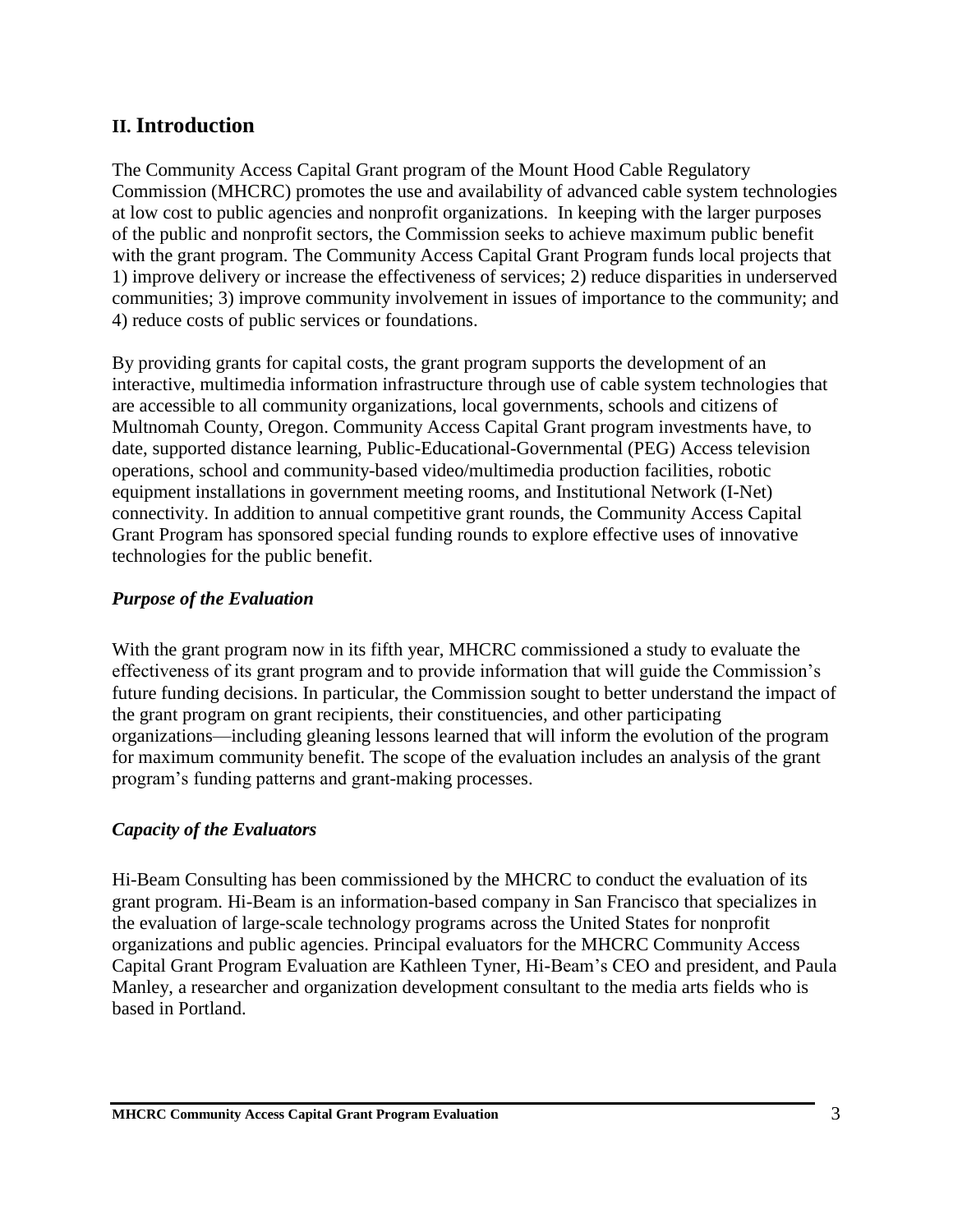## **II. Introduction**

The Community Access Capital Grant program of the Mount Hood Cable Regulatory Commission (MHCRC) promotes the use and availability of advanced cable system technologies at low cost to public agencies and nonprofit organizations. In keeping with the larger purposes of the public and nonprofit sectors, the Commission seeks to achieve maximum public benefit with the grant program. The Community Access Capital Grant Program funds local projects that 1) improve delivery or increase the effectiveness of services; 2) reduce disparities in underserved communities; 3) improve community involvement in issues of importance to the community; and 4) reduce costs of public services or foundations.

By providing grants for capital costs, the grant program supports the development of an interactive, multimedia information infrastructure through use of cable system technologies that are accessible to all community organizations, local governments, schools and citizens of Multnomah County, Oregon. Community Access Capital Grant program investments have, to date, supported distance learning, Public-Educational-Governmental (PEG) Access television operations, school and community-based video/multimedia production facilities, robotic equipment installations in government meeting rooms, and Institutional Network (I-Net) connectivity. In addition to annual competitive grant rounds, the Community Access Capital Grant Program has sponsored special funding rounds to explore effective uses of innovative technologies for the public benefit.

#### *Purpose of the Evaluation*

With the grant program now in its fifth year, MHCRC commissioned a study to evaluate the effectiveness of its grant program and to provide information that will guide the Commission's future funding decisions. In particular, the Commission sought to better understand the impact of the grant program on grant recipients, their constituencies, and other participating organizations—including gleaning lessons learned that will inform the evolution of the program for maximum community benefit. The scope of the evaluation includes an analysis of the grant program's funding patterns and grant-making processes.

#### *Capacity of the Evaluators*

Hi-Beam Consulting has been commissioned by the MHCRC to conduct the evaluation of its grant program. Hi-Beam is an information-based company in San Francisco that specializes in the evaluation of large-scale technology programs across the United States for nonprofit organizations and public agencies. Principal evaluators for the MHCRC Community Access Capital Grant Program Evaluation are Kathleen Tyner, Hi-Beam's CEO and president, and Paula Manley, a researcher and organization development consultant to the media arts fields who is based in Portland.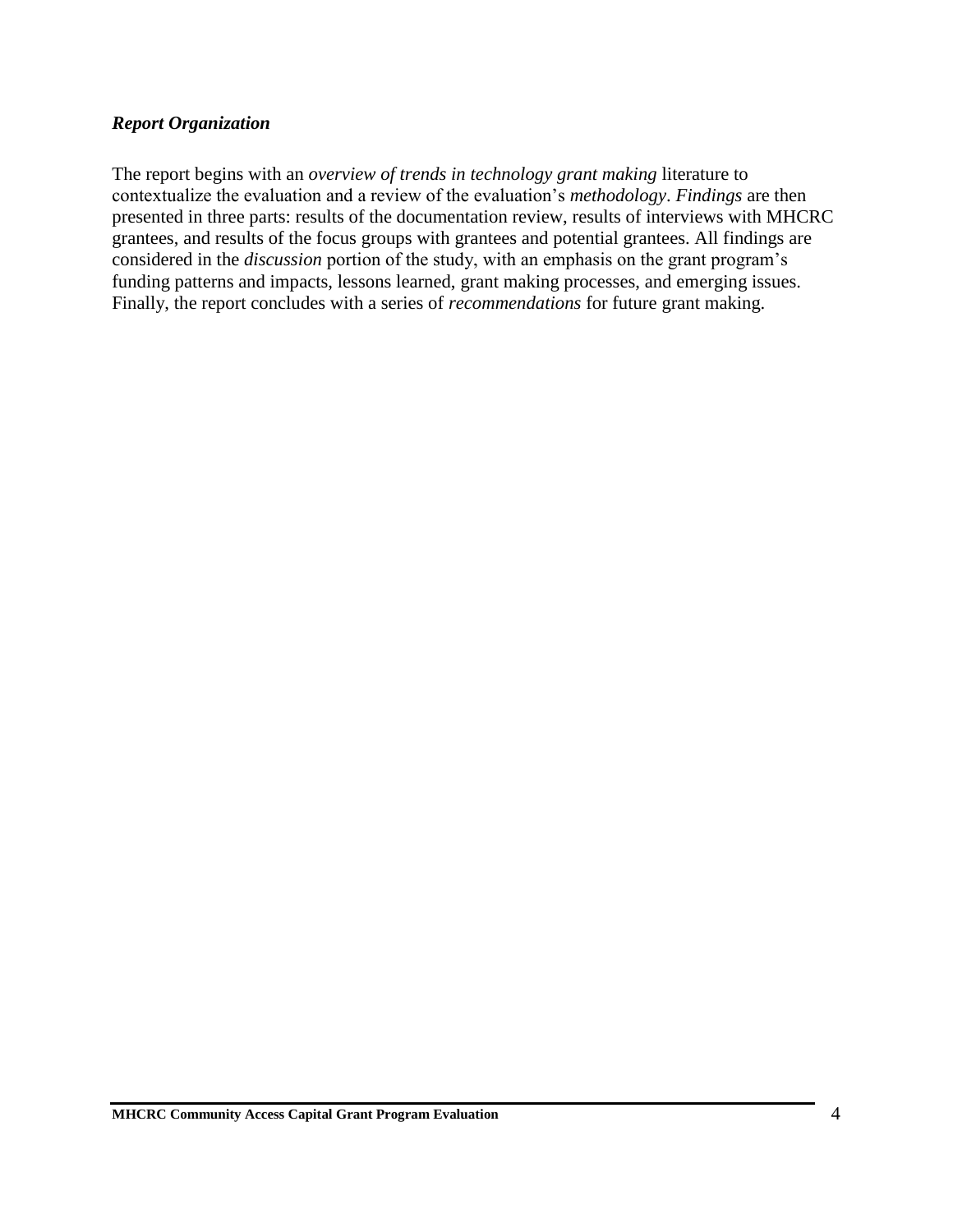#### *Report Organization*

The report begins with an *overview of trends in technology grant making* literature to contextualize the evaluation and a review of the evaluation's *methodology*. *Findings* are then presented in three parts: results of the documentation review, results of interviews with MHCRC grantees, and results of the focus groups with grantees and potential grantees. All findings are considered in the *discussion* portion of the study, with an emphasis on the grant program's funding patterns and impacts, lessons learned, grant making processes, and emerging issues. Finally, the report concludes with a series of *recommendations* for future grant making.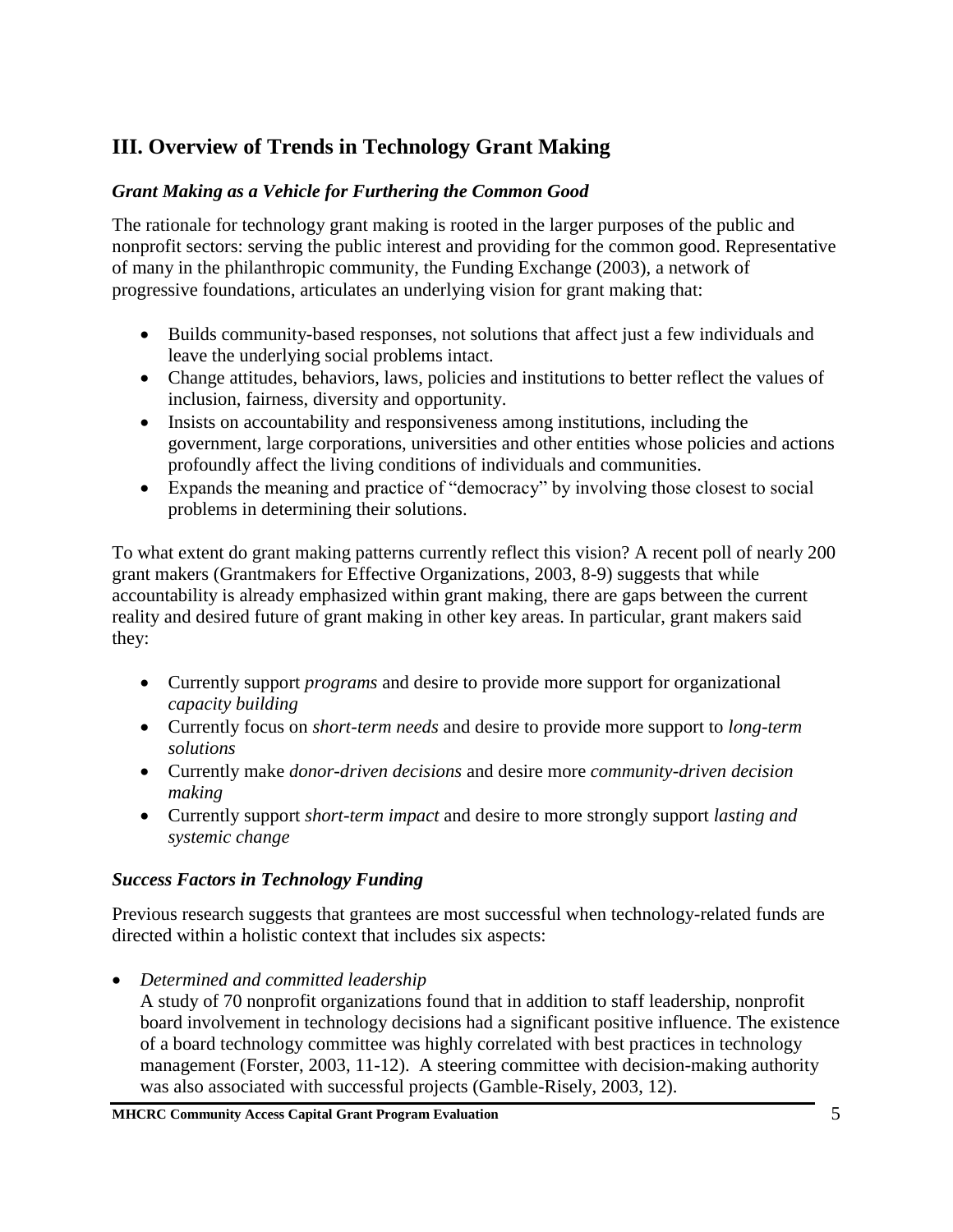# **III. Overview of Trends in Technology Grant Making**

## *Grant Making as a Vehicle for Furthering the Common Good*

The rationale for technology grant making is rooted in the larger purposes of the public and nonprofit sectors: serving the public interest and providing for the common good. Representative of many in the philanthropic community, the Funding Exchange (2003), a network of progressive foundations, articulates an underlying vision for grant making that:

- Builds community-based responses, not solutions that affect just a few individuals and leave the underlying social problems intact.
- Change attitudes, behaviors, laws, policies and institutions to better reflect the values of inclusion, fairness, diversity and opportunity.
- Insists on accountability and responsiveness among institutions, including the government, large corporations, universities and other entities whose policies and actions profoundly affect the living conditions of individuals and communities.
- Expands the meaning and practice of "democracy" by involving those closest to social problems in determining their solutions.

To what extent do grant making patterns currently reflect this vision? A recent poll of nearly 200 grant makers (Grantmakers for Effective Organizations, 2003, 8-9) suggests that while accountability is already emphasized within grant making, there are gaps between the current reality and desired future of grant making in other key areas. In particular, grant makers said they:

- Currently support *programs* and desire to provide more support for organizational *capacity building*
- Currently focus on *short-term needs* and desire to provide more support to *long-term solutions*
- Currently make *donor-driven decisions* and desire more *community-driven decision making*
- Currently support *short-term impact* and desire to more strongly support *lasting and systemic change*

## *Success Factors in Technology Funding*

Previous research suggests that grantees are most successful when technology-related funds are directed within a holistic context that includes six aspects:

• *Determined and committed leadership*

A study of 70 nonprofit organizations found that in addition to staff leadership, nonprofit board involvement in technology decisions had a significant positive influence. The existence of a board technology committee was highly correlated with best practices in technology management (Forster, 2003, 11-12). A steering committee with decision-making authority was also associated with successful projects (Gamble-Risely, 2003, 12).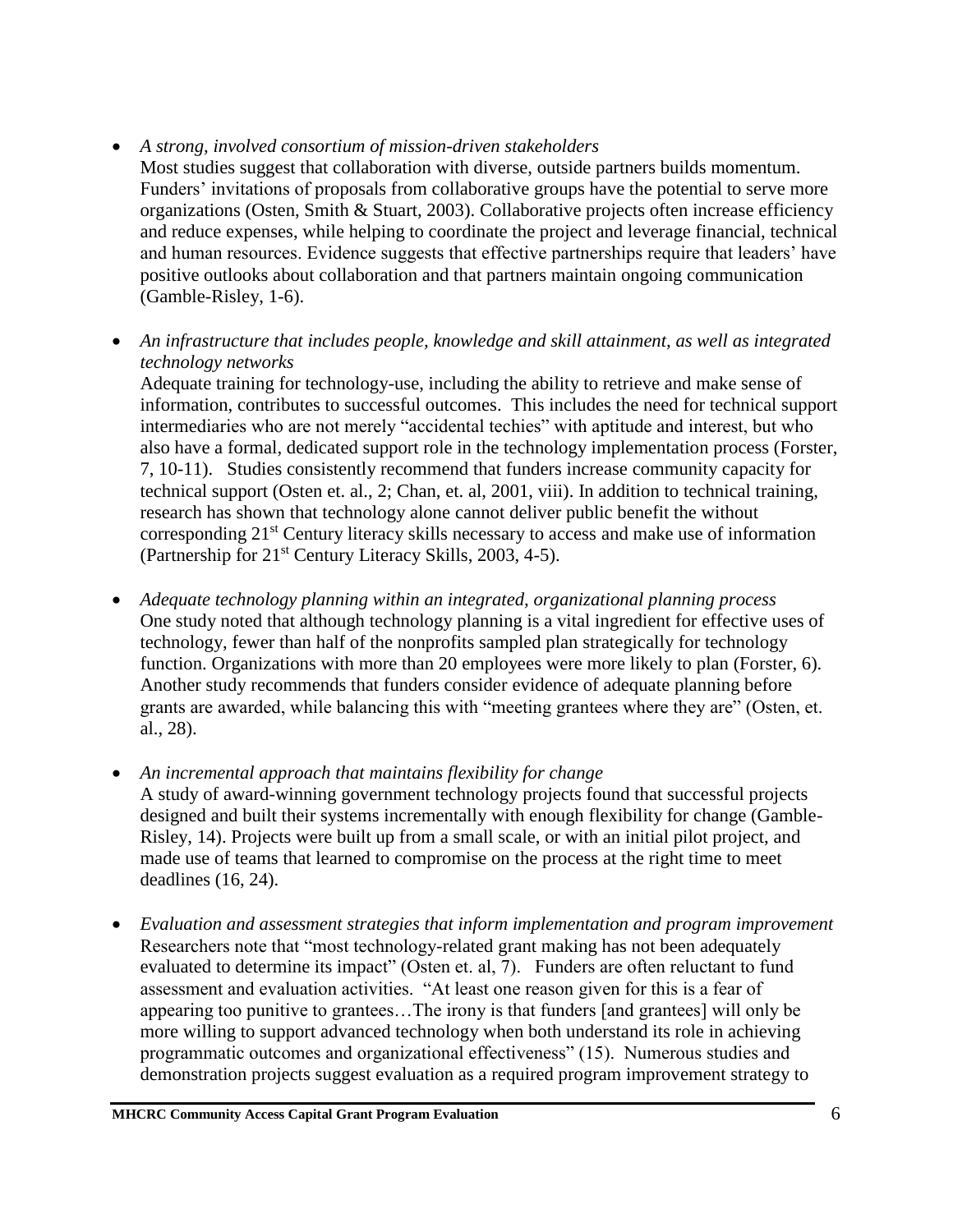- *A strong, involved consortium of mission-driven stakeholders*
- Most studies suggest that collaboration with diverse, outside partners builds momentum. Funders' invitations of proposals from collaborative groups have the potential to serve more organizations (Osten, Smith & Stuart, 2003). Collaborative projects often increase efficiency and reduce expenses, while helping to coordinate the project and leverage financial, technical and human resources. Evidence suggests that effective partnerships require that leaders' have positive outlooks about collaboration and that partners maintain ongoing communication (Gamble-Risley, 1-6).
- *An infrastructure that includes people, knowledge and skill attainment, as well as integrated technology networks*

Adequate training for technology-use, including the ability to retrieve and make sense of information, contributes to successful outcomes. This includes the need for technical support intermediaries who are not merely "accidental techies" with aptitude and interest, but who also have a formal, dedicated support role in the technology implementation process (Forster, 7, 10-11). Studies consistently recommend that funders increase community capacity for technical support (Osten et. al., 2; Chan, et. al, 2001, viii). In addition to technical training, research has shown that technology alone cannot deliver public benefit the without corresponding 21<sup>st</sup> Century literacy skills necessary to access and make use of information (Partnership for 21<sup>st</sup> Century Literacy Skills, 2003, 4-5).

- *Adequate technology planning within an integrated, organizational planning process*  One study noted that although technology planning is a vital ingredient for effective uses of technology, fewer than half of the nonprofits sampled plan strategically for technology function. Organizations with more than 20 employees were more likely to plan (Forster, 6). Another study recommends that funders consider evidence of adequate planning before grants are awarded, while balancing this with "meeting grantees where they are" (Osten, et. al., 28).
- *An incremental approach that maintains flexibility for change* A study of award-winning government technology projects found that successful projects designed and built their systems incrementally with enough flexibility for change (Gamble-Risley, 14). Projects were built up from a small scale, or with an initial pilot project, and made use of teams that learned to compromise on the process at the right time to meet deadlines (16, 24).
- *Evaluation and assessment strategies that inform implementation and program improvement*  Researchers note that "most technology-related grant making has not been adequately evaluated to determine its impact" (Osten et. al, 7). Funders are often reluctant to fund assessment and evaluation activities. "At least one reason given for this is a fear of appearing too punitive to grantees…The irony is that funders [and grantees] will only be more willing to support advanced technology when both understand its role in achieving programmatic outcomes and organizational effectiveness" (15). Numerous studies and demonstration projects suggest evaluation as a required program improvement strategy to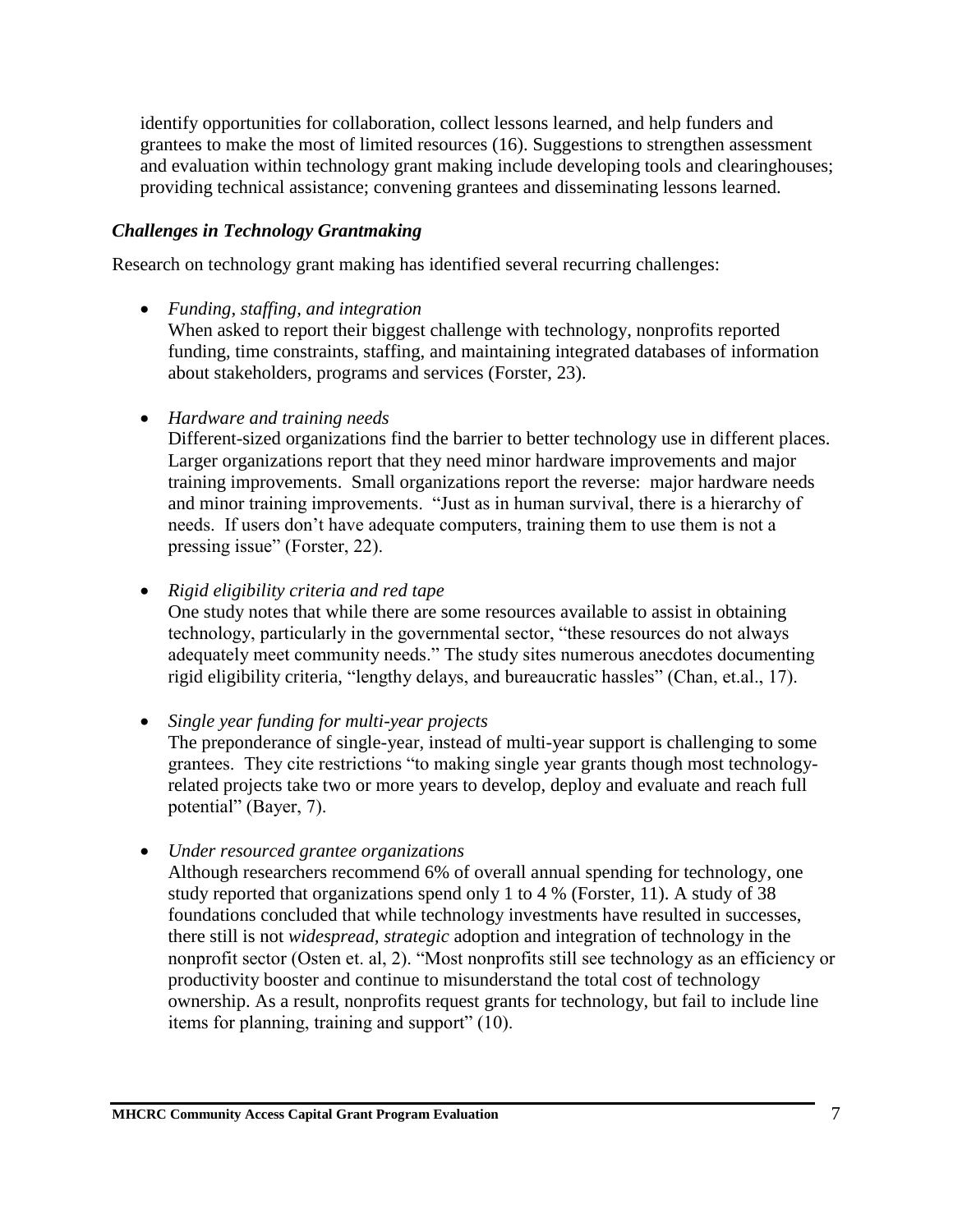identify opportunities for collaboration, collect lessons learned, and help funders and grantees to make the most of limited resources (16). Suggestions to strengthen assessment and evaluation within technology grant making include developing tools and clearinghouses; providing technical assistance; convening grantees and disseminating lessons learned.

#### *Challenges in Technology Grantmaking*

Research on technology grant making has identified several recurring challenges:

• *Funding, staffing, and integration*

When asked to report their biggest challenge with technology, nonprofits reported funding, time constraints, staffing, and maintaining integrated databases of information about stakeholders, programs and services (Forster, 23).

• *Hardware and training needs*

Different-sized organizations find the barrier to better technology use in different places. Larger organizations report that they need minor hardware improvements and major training improvements. Small organizations report the reverse: major hardware needs and minor training improvements. "Just as in human survival, there is a hierarchy of needs. If users don't have adequate computers, training them to use them is not a pressing issue" (Forster, 22).

• *Rigid eligibility criteria and red tape*

One study notes that while there are some resources available to assist in obtaining technology, particularly in the governmental sector, "these resources do not always adequately meet community needs." The study sites numerous anecdotes documenting rigid eligibility criteria, "lengthy delays, and bureaucratic hassles" (Chan, et.al., 17).

• *Single year funding for multi-year projects*

The preponderance of single-year, instead of multi-year support is challenging to some grantees. They cite restrictions "to making single year grants though most technologyrelated projects take two or more years to develop, deploy and evaluate and reach full potential" (Bayer, 7).

• *Under resourced grantee organizations*

Although researchers recommend 6% of overall annual spending for technology, one study reported that organizations spend only 1 to 4 % (Forster, 11). A study of 38 foundations concluded that while technology investments have resulted in successes, there still is not *widespread, strategic* adoption and integration of technology in the nonprofit sector (Osten et. al, 2). "Most nonprofits still see technology as an efficiency or productivity booster and continue to misunderstand the total cost of technology ownership. As a result, nonprofits request grants for technology, but fail to include line items for planning, training and support" (10).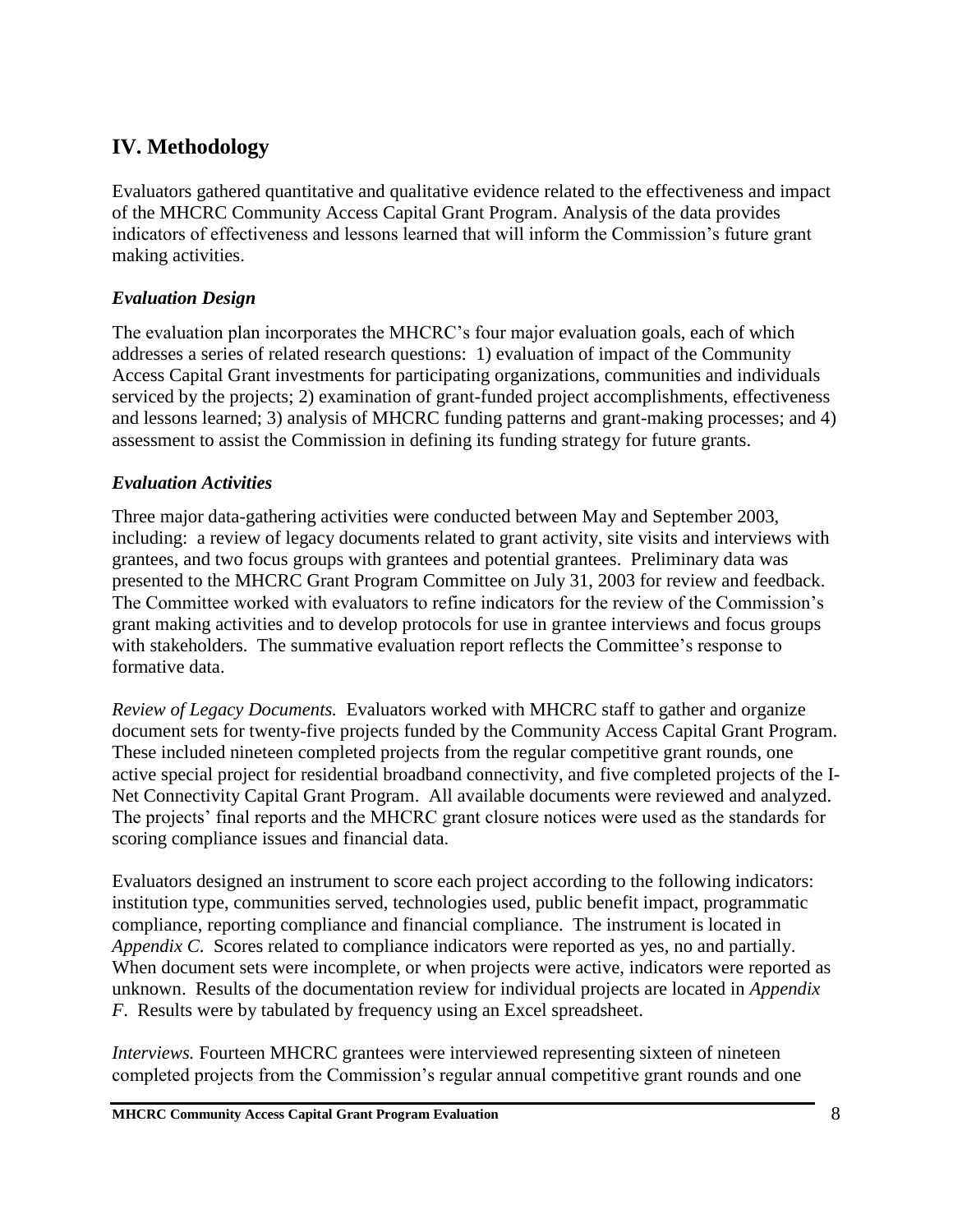# **IV. Methodology**

Evaluators gathered quantitative and qualitative evidence related to the effectiveness and impact of the MHCRC Community Access Capital Grant Program. Analysis of the data provides indicators of effectiveness and lessons learned that will inform the Commission's future grant making activities.

#### *Evaluation Design*

The evaluation plan incorporates the MHCRC's four major evaluation goals, each of which addresses a series of related research questions: 1) evaluation of impact of the Community Access Capital Grant investments for participating organizations, communities and individuals serviced by the projects; 2) examination of grant-funded project accomplishments, effectiveness and lessons learned; 3) analysis of MHCRC funding patterns and grant-making processes; and 4) assessment to assist the Commission in defining its funding strategy for future grants.

#### *Evaluation Activities*

Three major data-gathering activities were conducted between May and September 2003, including: a review of legacy documents related to grant activity, site visits and interviews with grantees, and two focus groups with grantees and potential grantees. Preliminary data was presented to the MHCRC Grant Program Committee on July 31, 2003 for review and feedback. The Committee worked with evaluators to refine indicators for the review of the Commission's grant making activities and to develop protocols for use in grantee interviews and focus groups with stakeholders. The summative evaluation report reflects the Committee's response to formative data.

*Review of Legacy Documents.*Evaluators worked with MHCRC staff to gather and organize document sets for twenty-five projects funded by the Community Access Capital Grant Program. These included nineteen completed projects from the regular competitive grant rounds, one active special project for residential broadband connectivity, and five completed projects of the I-Net Connectivity Capital Grant Program. All available documents were reviewed and analyzed. The projects' final reports and the MHCRC grant closure notices were used as the standards for scoring compliance issues and financial data.

Evaluators designed an instrument to score each project according to the following indicators: institution type, communities served, technologies used, public benefit impact, programmatic compliance, reporting compliance and financial compliance. The instrument is located in *Appendix C*. Scores related to compliance indicators were reported as yes, no and partially. When document sets were incomplete, or when projects were active, indicators were reported as unknown. Results of the documentation review for individual projects are located in *Appendix F*. Results were by tabulated by frequency using an Excel spreadsheet.

*Interviews.* Fourteen MHCRC grantees were interviewed representing sixteen of nineteen completed projects from the Commission's regular annual competitive grant rounds and one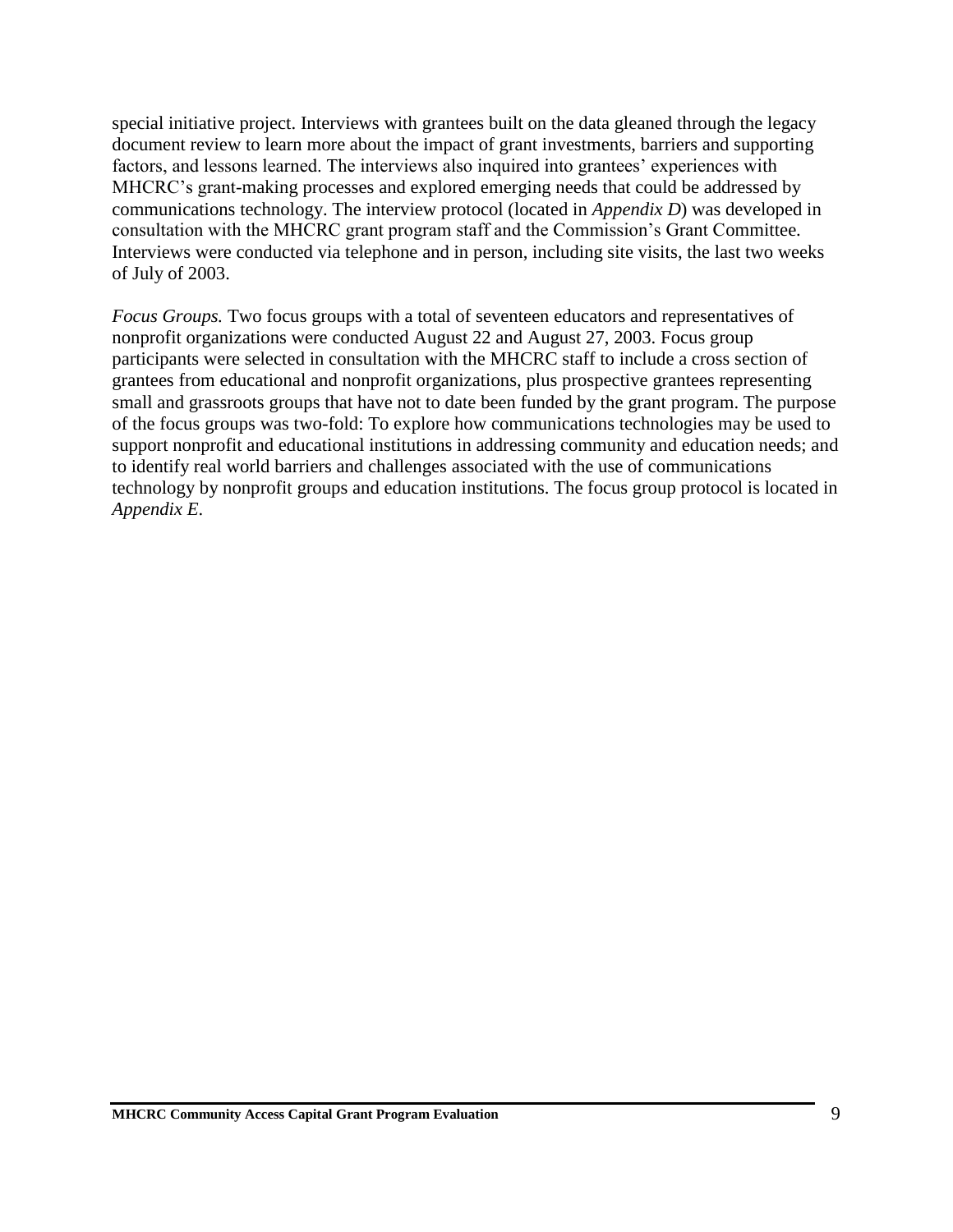special initiative project. Interviews with grantees built on the data gleaned through the legacy document review to learn more about the impact of grant investments, barriers and supporting factors, and lessons learned. The interviews also inquired into grantees' experiences with MHCRC's grant-making processes and explored emerging needs that could be addressed by communications technology. The interview protocol (located in *Appendix D*) was developed in consultation with the MHCRC grant program staff and the Commission's Grant Committee. Interviews were conducted via telephone and in person, including site visits, the last two weeks of July of 2003.

*Focus Groups.* Two focus groups with a total of seventeen educators and representatives of nonprofit organizations were conducted August 22 and August 27, 2003. Focus group participants were selected in consultation with the MHCRC staff to include a cross section of grantees from educational and nonprofit organizations, plus prospective grantees representing small and grassroots groups that have not to date been funded by the grant program. The purpose of the focus groups was two-fold: To explore how communications technologies may be used to support nonprofit and educational institutions in addressing community and education needs; and to identify real world barriers and challenges associated with the use of communications technology by nonprofit groups and education institutions. The focus group protocol is located in *Appendix E*.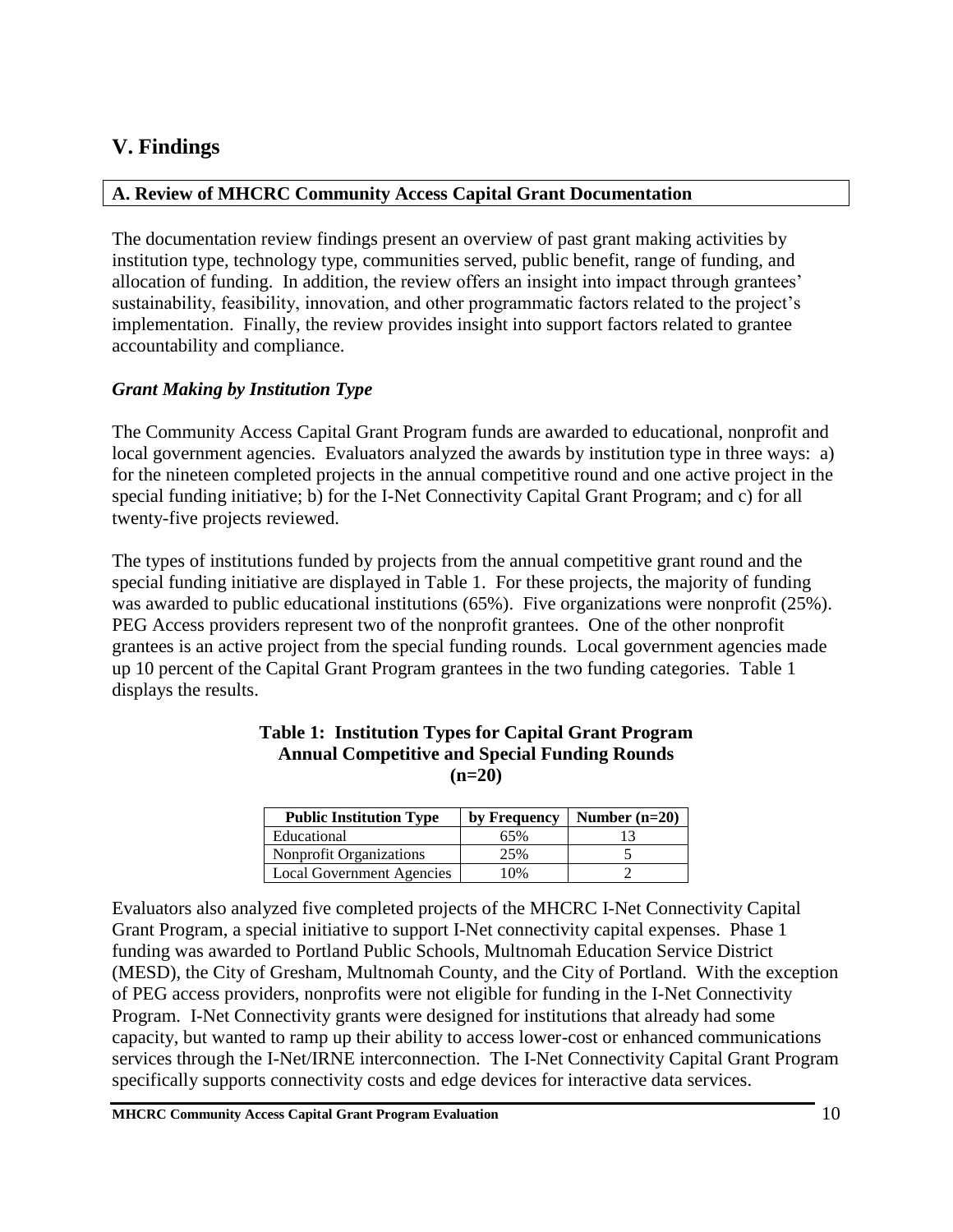# **V. Findings**

#### **A. Review of MHCRC Community Access Capital Grant Documentation**

The documentation review findings present an overview of past grant making activities by institution type, technology type, communities served, public benefit, range of funding, and allocation of funding. In addition, the review offers an insight into impact through grantees' sustainability, feasibility, innovation, and other programmatic factors related to the project's implementation. Finally, the review provides insight into support factors related to grantee accountability and compliance.

### *Grant Making by Institution Type*

The Community Access Capital Grant Program funds are awarded to educational, nonprofit and local government agencies. Evaluators analyzed the awards by institution type in three ways: a) for the nineteen completed projects in the annual competitive round and one active project in the special funding initiative; b) for the I-Net Connectivity Capital Grant Program; and c) for all twenty-five projects reviewed.

The types of institutions funded by projects from the annual competitive grant round and the special funding initiative are displayed in Table 1. For these projects, the majority of funding was awarded to public educational institutions (65%). Five organizations were nonprofit (25%). PEG Access providers represent two of the nonprofit grantees. One of the other nonprofit grantees is an active project from the special funding rounds. Local government agencies made up 10 percent of the Capital Grant Program grantees in the two funding categories. Table 1 displays the results.

| <b>Public Institution Type</b>   | by Frequency | Number $(n=20)$ |
|----------------------------------|--------------|-----------------|
| Educational                      | 65%          |                 |
| Nonprofit Organizations          | 25%          |                 |
| <b>Local Government Agencies</b> | 10%          |                 |

#### **Table 1: Institution Types for Capital Grant Program Annual Competitive and Special Funding Rounds (n=20)**

Evaluators also analyzed five completed projects of the MHCRC I-Net Connectivity Capital Grant Program, a special initiative to support I-Net connectivity capital expenses. Phase 1 funding was awarded to Portland Public Schools, Multnomah Education Service District (MESD), the City of Gresham, Multnomah County, and the City of Portland. With the exception of PEG access providers, nonprofits were not eligible for funding in the I-Net Connectivity Program. I-Net Connectivity grants were designed for institutions that already had some capacity, but wanted to ramp up their ability to access lower-cost or enhanced communications services through the I-Net/IRNE interconnection. The I-Net Connectivity Capital Grant Program specifically supports connectivity costs and edge devices for interactive data services.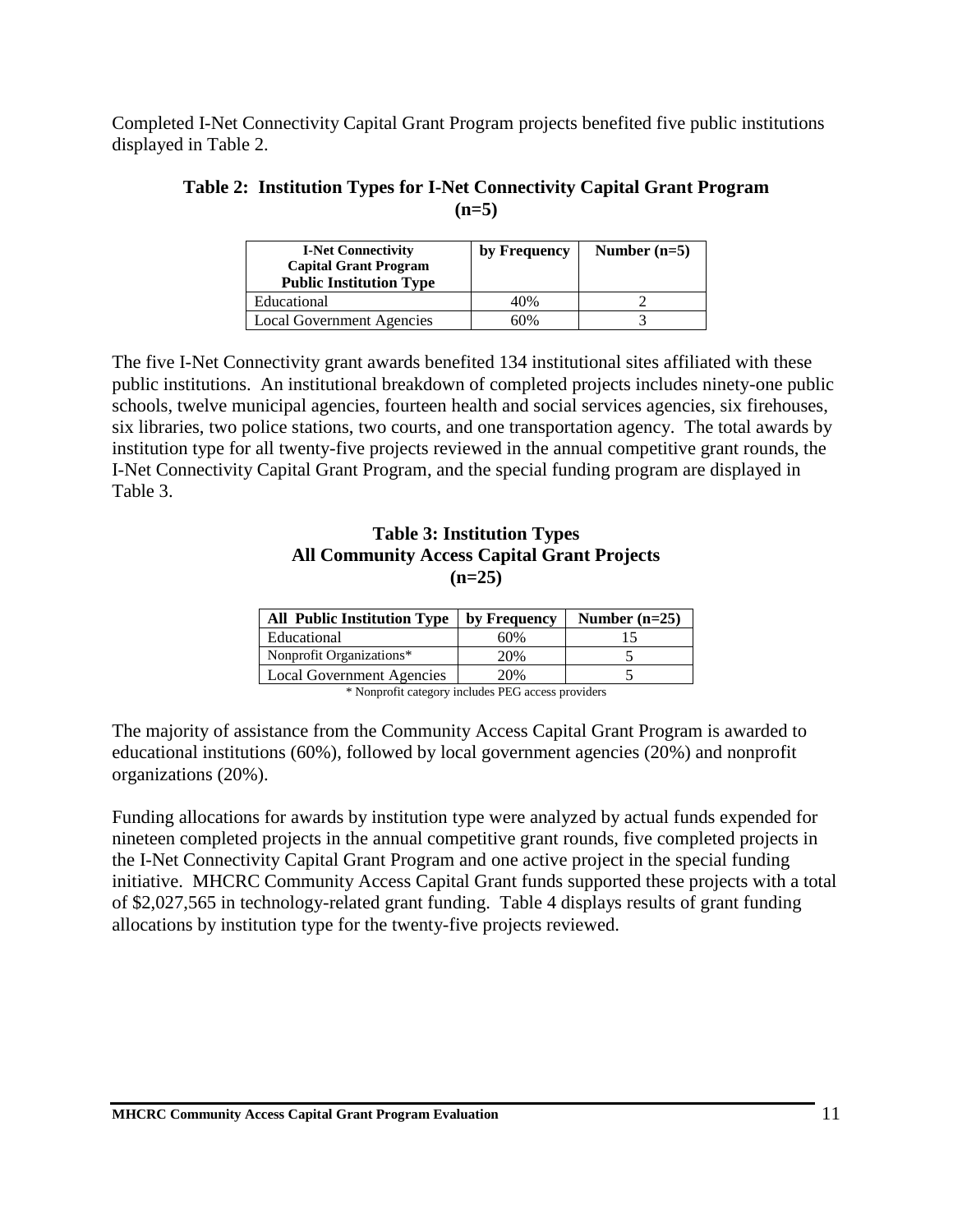Completed I-Net Connectivity Capital Grant Program projects benefited five public institutions displayed in Table 2.

| Table 2: Institution Types for I-Net Connectivity Capital Grant Program |
|-------------------------------------------------------------------------|
| $(n=5)$                                                                 |

| <b>I-Net Connectivity</b><br><b>Capital Grant Program</b><br><b>Public Institution Type</b> | by Frequency | Number $(n=5)$ |
|---------------------------------------------------------------------------------------------|--------------|----------------|
| Educational                                                                                 | 40%          |                |
| Local Government Agencies                                                                   | 60%          |                |

The five I-Net Connectivity grant awards benefited 134 institutional sites affiliated with these public institutions. An institutional breakdown of completed projects includes ninety-one public schools, twelve municipal agencies, fourteen health and social services agencies, six firehouses, six libraries, two police stations, two courts, and one transportation agency. The total awards by institution type for all twenty-five projects reviewed in the annual competitive grant rounds, the I-Net Connectivity Capital Grant Program, and the special funding program are displayed in Table 3.

#### **Table 3: Institution Types All Community Access Capital Grant Projects (n=25)**

| <b>All Public Institution Type</b> | by Frequency | Number $(n=25)$ |  |
|------------------------------------|--------------|-----------------|--|
| Educational                        | 60%          |                 |  |
| Nonprofit Organizations*           | 20%          |                 |  |
| <b>Local Government Agencies</b>   | 20%          |                 |  |

\* Nonprofit category includes PEG access providers

The majority of assistance from the Community Access Capital Grant Program is awarded to educational institutions (60%), followed by local government agencies (20%) and nonprofit organizations (20%).

Funding allocations for awards by institution type were analyzed by actual funds expended for nineteen completed projects in the annual competitive grant rounds, five completed projects in the I-Net Connectivity Capital Grant Program and one active project in the special funding initiative. MHCRC Community Access Capital Grant funds supported these projects with a total of \$2,027,565 in technology-related grant funding. Table 4 displays results of grant funding allocations by institution type for the twenty-five projects reviewed.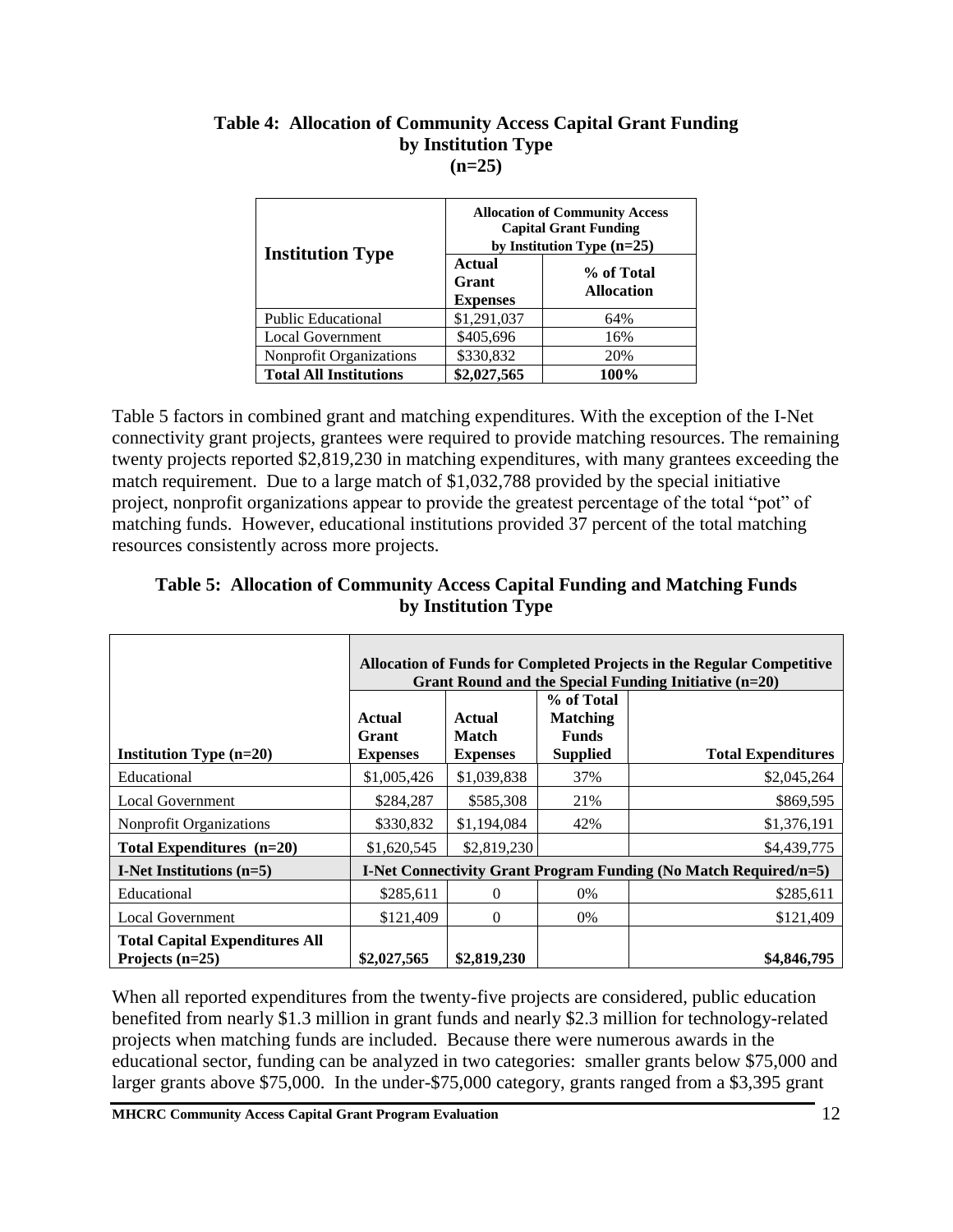|                                | <b>Allocation of Community Access</b><br><b>Capital Grant Funding</b><br>by Institution Type $(n=25)$ |                                 |  |
|--------------------------------|-------------------------------------------------------------------------------------------------------|---------------------------------|--|
| <b>Institution Type</b>        | Actual<br>Grant<br><b>Expenses</b>                                                                    | % of Total<br><b>Allocation</b> |  |
| <b>Public Educational</b>      | \$1,291,037                                                                                           | 64%                             |  |
| <b>Local Government</b>        | \$405,696                                                                                             | 16%                             |  |
| <b>Nonprofit Organizations</b> | \$330,832                                                                                             | 20%                             |  |
| <b>Total All Institutions</b>  | \$2,027,565                                                                                           | 100%                            |  |

#### **Table 4: Allocation of Community Access Capital Grant Funding by Institution Type (n=25)**

Table 5 factors in combined grant and matching expenditures. With the exception of the I-Net connectivity grant projects, grantees were required to provide matching resources. The remaining twenty projects reported \$2,819,230 in matching expenditures, with many grantees exceeding the match requirement. Due to a large match of \$1,032,788 provided by the special initiative project, nonprofit organizations appear to provide the greatest percentage of the total "pot" of matching funds. However, educational institutions provided 37 percent of the total matching resources consistently across more projects.

|                                                            | Allocation of Funds for Completed Projects in the Regular Competitive<br>Grant Round and the Special Funding Initiative (n=20) |                                 |                                 |                                                                         |
|------------------------------------------------------------|--------------------------------------------------------------------------------------------------------------------------------|---------------------------------|---------------------------------|-------------------------------------------------------------------------|
|                                                            | Actual                                                                                                                         | Actual                          | % of Total<br><b>Matching</b>   |                                                                         |
| Institution Type $(n=20)$                                  | Grant<br><b>Expenses</b>                                                                                                       | <b>Match</b><br><b>Expenses</b> | <b>Funds</b><br><b>Supplied</b> | <b>Total Expenditures</b>                                               |
| Educational                                                | \$1,005,426                                                                                                                    | \$1,039,838                     | 37%                             | \$2,045,264                                                             |
| <b>Local Government</b>                                    | \$284,287                                                                                                                      | \$585,308                       | 21%                             | \$869,595                                                               |
| <b>Nonprofit Organizations</b>                             | \$330,832                                                                                                                      | \$1,194,084                     | 42%                             | \$1,376,191                                                             |
| Total Expenditures $(n=20)$                                | \$1,620,545                                                                                                                    | \$2,819,230                     |                                 | \$4,439,775                                                             |
| I-Net Institutions $(n=5)$                                 |                                                                                                                                |                                 |                                 | <b>I-Net Connectivity Grant Program Funding (No Match Required/n=5)</b> |
| Educational                                                | \$285,611                                                                                                                      | $\Omega$                        | 0%                              | \$285,611                                                               |
| <b>Local Government</b>                                    | \$121,409                                                                                                                      | $\Omega$                        | 0%                              | \$121,409                                                               |
| <b>Total Capital Expenditures All</b><br>Projects $(n=25)$ | \$2,027,565                                                                                                                    | \$2,819,230                     |                                 | \$4,846,795                                                             |

## **Table 5: Allocation of Community Access Capital Funding and Matching Funds by Institution Type**

When all reported expenditures from the twenty-five projects are considered, public education benefited from nearly \$1.3 million in grant funds and nearly \$2.3 million for technology-related projects when matching funds are included. Because there were numerous awards in the educational sector, funding can be analyzed in two categories: smaller grants below \$75,000 and larger grants above \$75,000. In the under-\$75,000 category, grants ranged from a \$3,395 grant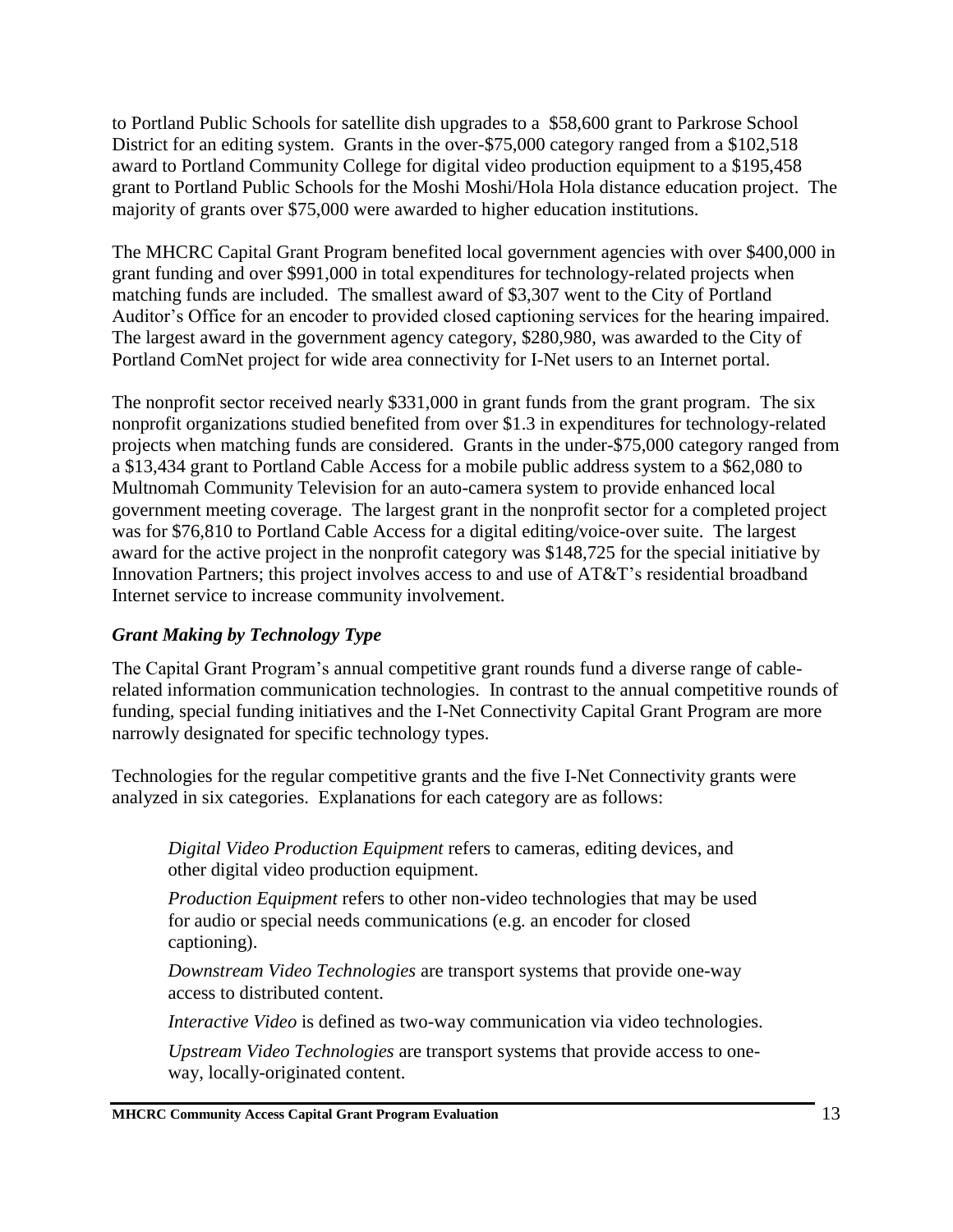to Portland Public Schools for satellite dish upgrades to a \$58,600 grant to Parkrose School District for an editing system. Grants in the over-\$75,000 category ranged from a \$102,518 award to Portland Community College for digital video production equipment to a \$195,458 grant to Portland Public Schools for the Moshi Moshi/Hola Hola distance education project. The majority of grants over \$75,000 were awarded to higher education institutions.

The MHCRC Capital Grant Program benefited local government agencies with over \$400,000 in grant funding and over \$991,000 in total expenditures for technology-related projects when matching funds are included. The smallest award of \$3,307 went to the City of Portland Auditor's Office for an encoder to provided closed captioning services for the hearing impaired. The largest award in the government agency category, \$280,980, was awarded to the City of Portland ComNet project for wide area connectivity for I-Net users to an Internet portal.

The nonprofit sector received nearly \$331,000 in grant funds from the grant program. The six nonprofit organizations studied benefited from over \$1.3 in expenditures for technology-related projects when matching funds are considered. Grants in the under-\$75,000 category ranged from a \$13,434 grant to Portland Cable Access for a mobile public address system to a \$62,080 to Multnomah Community Television for an auto-camera system to provide enhanced local government meeting coverage. The largest grant in the nonprofit sector for a completed project was for \$76,810 to Portland Cable Access for a digital editing/voice-over suite. The largest award for the active project in the nonprofit category was \$148,725 for the special initiative by Innovation Partners; this project involves access to and use of AT&T's residential broadband Internet service to increase community involvement.

## *Grant Making by Technology Type*

The Capital Grant Program's annual competitive grant rounds fund a diverse range of cablerelated information communication technologies. In contrast to the annual competitive rounds of funding, special funding initiatives and the I-Net Connectivity Capital Grant Program are more narrowly designated for specific technology types.

Technologies for the regular competitive grants and the five I-Net Connectivity grants were analyzed in six categories. Explanations for each category are as follows:

*Digital Video Production Equipment* refers to cameras, editing devices, and other digital video production equipment.

*Production Equipment* refers to other non-video technologies that may be used for audio or special needs communications (e.g. an encoder for closed captioning).

*Downstream Video Technologies* are transport systems that provide one-way access to distributed content.

*Interactive Video* is defined as two-way communication via video technologies.

*Upstream Video Technologies* are transport systems that provide access to oneway, locally-originated content.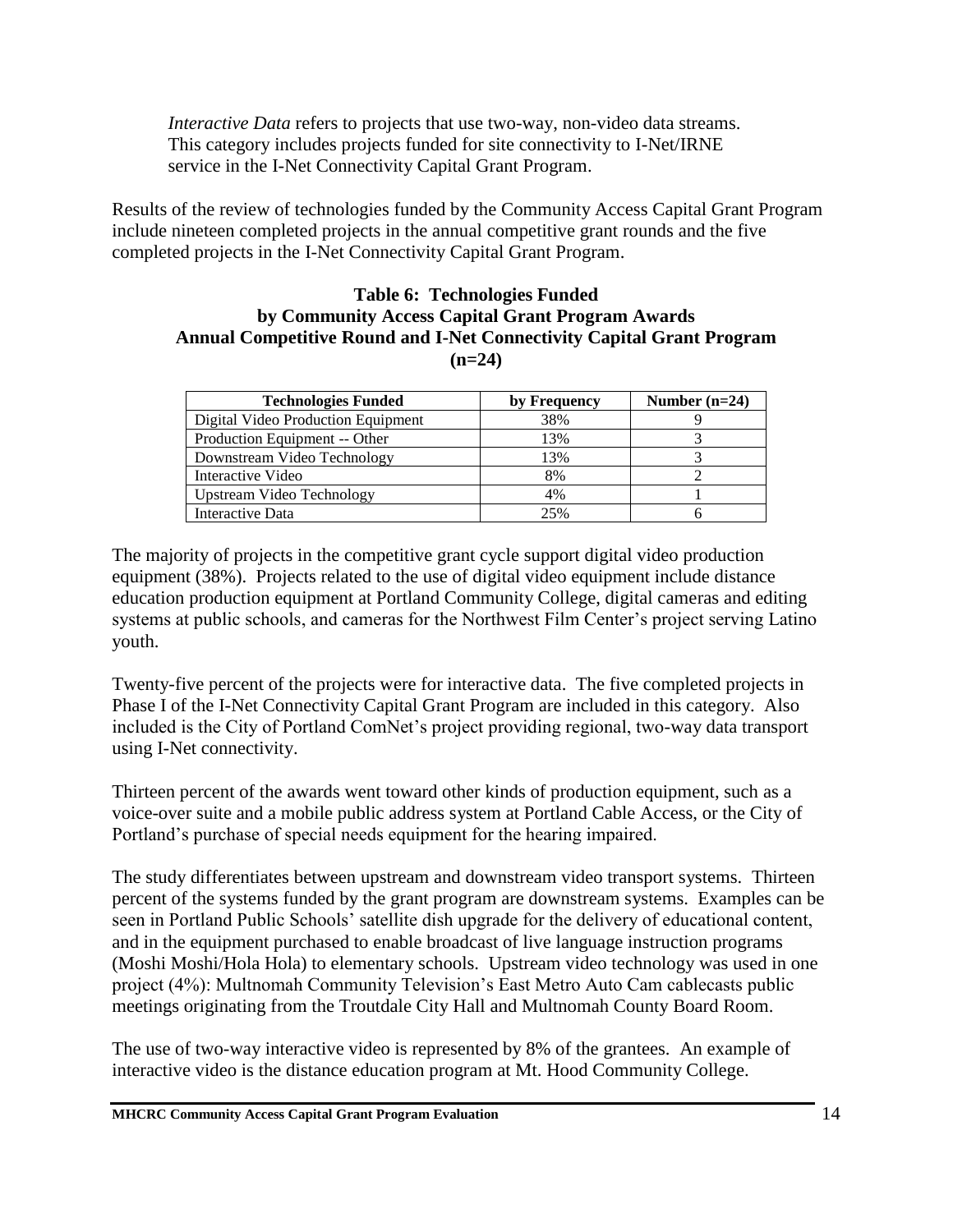*Interactive Data* refers to projects that use two-way, non-video data streams. This category includes projects funded for site connectivity to I-Net/IRNE service in the I-Net Connectivity Capital Grant Program.

Results of the review of technologies funded by the Community Access Capital Grant Program include nineteen completed projects in the annual competitive grant rounds and the five completed projects in the I-Net Connectivity Capital Grant Program.

#### **Table 6: Technologies Funded by Community Access Capital Grant Program Awards Annual Competitive Round and I-Net Connectivity Capital Grant Program (n=24)**

| <b>Technologies Funded</b>         | by Frequency | Number $(n=24)$ |
|------------------------------------|--------------|-----------------|
| Digital Video Production Equipment | 38%          |                 |
| Production Equipment -- Other      | 13%          |                 |
| Downstream Video Technology        | 13%          |                 |
| Interactive Video                  | 8%           |                 |
| <b>Upstream Video Technology</b>   | 4%           |                 |
| Interactive Data                   | 25%          |                 |

The majority of projects in the competitive grant cycle support digital video production equipment (38%). Projects related to the use of digital video equipment include distance education production equipment at Portland Community College, digital cameras and editing systems at public schools, and cameras for the Northwest Film Center's project serving Latino youth.

Twenty-five percent of the projects were for interactive data. The five completed projects in Phase I of the I-Net Connectivity Capital Grant Program are included in this category. Also included is the City of Portland ComNet's project providing regional, two-way data transport using I-Net connectivity.

Thirteen percent of the awards went toward other kinds of production equipment, such as a voice-over suite and a mobile public address system at Portland Cable Access, or the City of Portland's purchase of special needs equipment for the hearing impaired.

The study differentiates between upstream and downstream video transport systems. Thirteen percent of the systems funded by the grant program are downstream systems. Examples can be seen in Portland Public Schools' satellite dish upgrade for the delivery of educational content, and in the equipment purchased to enable broadcast of live language instruction programs (Moshi Moshi/Hola Hola) to elementary schools. Upstream video technology was used in one project (4%): Multnomah Community Television's East Metro Auto Cam cablecasts public meetings originating from the Troutdale City Hall and Multnomah County Board Room.

The use of two-way interactive video is represented by 8% of the grantees. An example of interactive video is the distance education program at Mt. Hood Community College.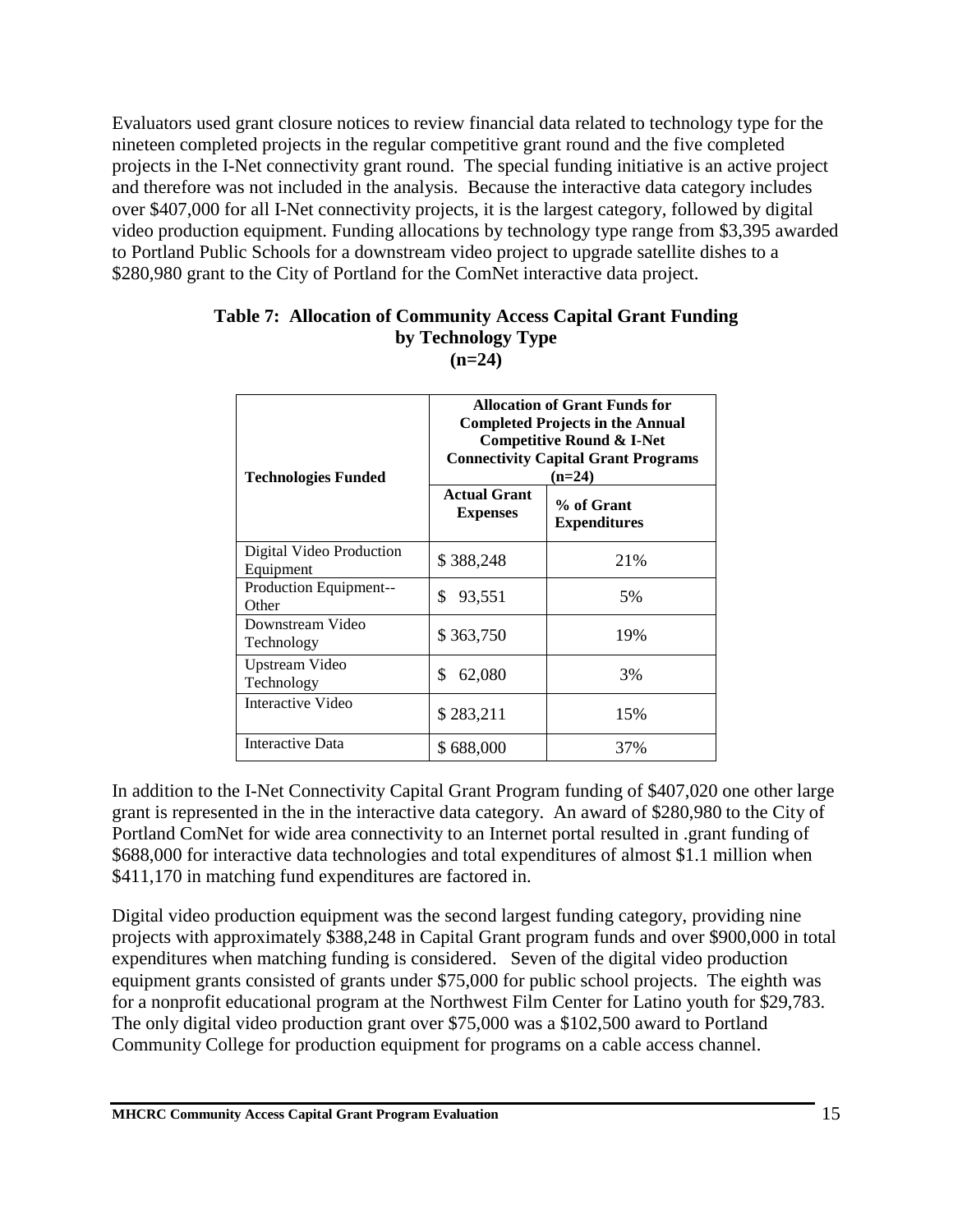Evaluators used grant closure notices to review financial data related to technology type for the nineteen completed projects in the regular competitive grant round and the five completed projects in the I-Net connectivity grant round. The special funding initiative is an active project and therefore was not included in the analysis. Because the interactive data category includes over \$407,000 for all I-Net connectivity projects, it is the largest category, followed by digital video production equipment. Funding allocations by technology type range from \$3,395 awarded to Portland Public Schools for a downstream video project to upgrade satellite dishes to a \$280,980 grant to the City of Portland for the ComNet interactive data project.

| <b>Technologies Funded</b>            | <b>Allocation of Grant Funds for</b><br><b>Completed Projects in the Annual</b><br>Competitive Round & I-Net<br><b>Connectivity Capital Grant Programs</b><br>$(n=24)$ |                                   |
|---------------------------------------|------------------------------------------------------------------------------------------------------------------------------------------------------------------------|-----------------------------------|
|                                       | <b>Actual Grant</b><br><b>Expenses</b>                                                                                                                                 | % of Grant<br><b>Expenditures</b> |
| Digital Video Production<br>Equipment | \$388,248                                                                                                                                                              | 21\%                              |
| Production Equipment--<br>Other       | \$<br>93,551                                                                                                                                                           | 5%                                |
| Downstream Video<br>Technology        | \$363,750                                                                                                                                                              | 19%                               |
| Upstream Video<br>Technology          | \$<br>62,080                                                                                                                                                           | 3%                                |
| Interactive Video                     | \$283,211                                                                                                                                                              | 15%                               |
| <b>Interactive Data</b>               | \$688,000                                                                                                                                                              | 37%                               |

#### **Table 7: Allocation of Community Access Capital Grant Funding by Technology Type (n=24)**

In addition to the I-Net Connectivity Capital Grant Program funding of \$407,020 one other large grant is represented in the in the interactive data category. An award of \$280,980 to the City of Portland ComNet for wide area connectivity to an Internet portal resulted in .grant funding of \$688,000 for interactive data technologies and total expenditures of almost \$1.1 million when \$411,170 in matching fund expenditures are factored in.

Digital video production equipment was the second largest funding category, providing nine projects with approximately \$388,248 in Capital Grant program funds and over \$900,000 in total expenditures when matching funding is considered. Seven of the digital video production equipment grants consisted of grants under \$75,000 for public school projects. The eighth was for a nonprofit educational program at the Northwest Film Center for Latino youth for \$29,783. The only digital video production grant over \$75,000 was a \$102,500 award to Portland Community College for production equipment for programs on a cable access channel.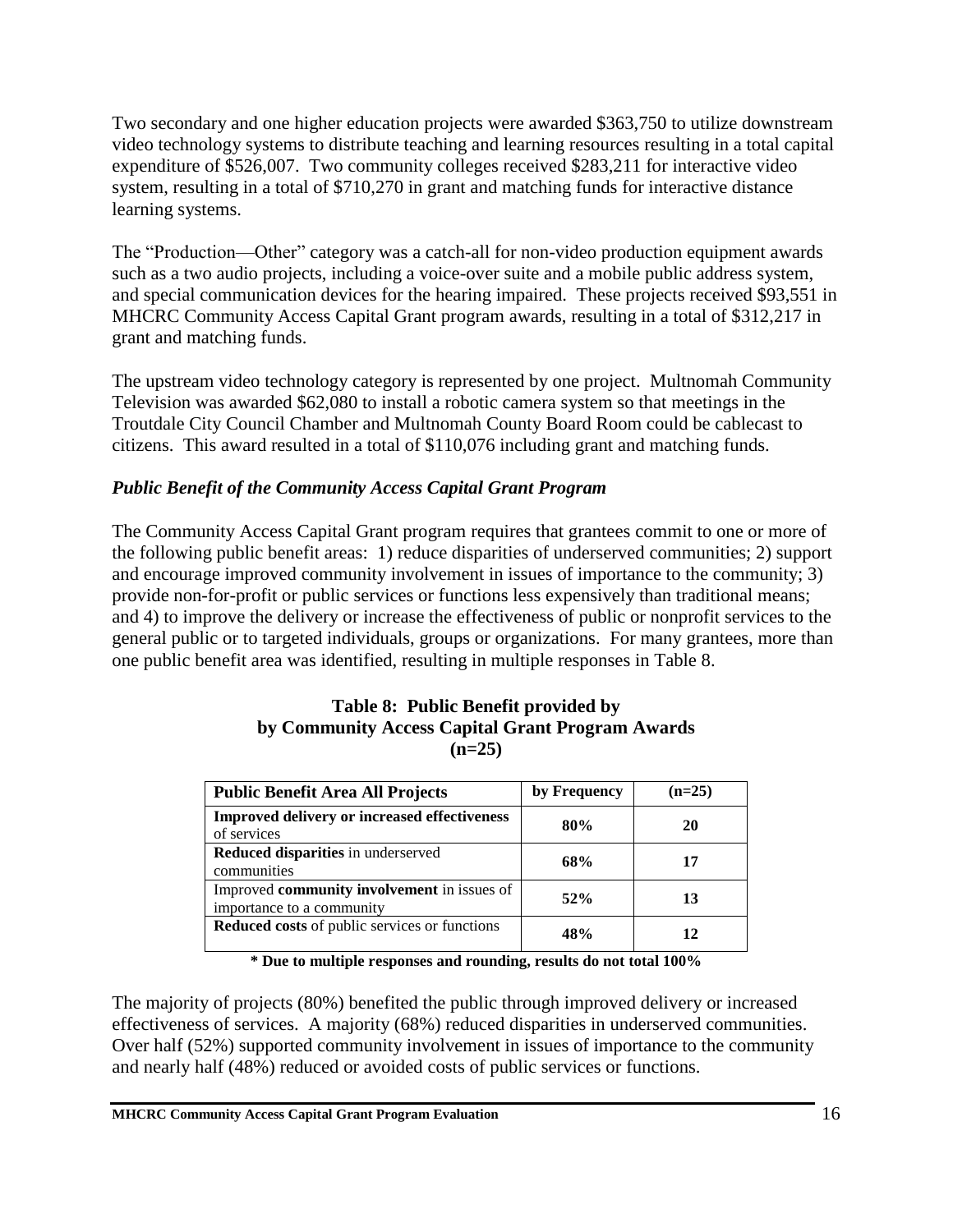Two secondary and one higher education projects were awarded \$363,750 to utilize downstream video technology systems to distribute teaching and learning resources resulting in a total capital expenditure of \$526,007. Two community colleges received \$283,211 for interactive video system, resulting in a total of \$710,270 in grant and matching funds for interactive distance learning systems.

The "Production—Other" category was a catch-all for non-video production equipment awards such as a two audio projects, including a voice-over suite and a mobile public address system, and special communication devices for the hearing impaired. These projects received \$93,551 in MHCRC Community Access Capital Grant program awards, resulting in a total of \$312,217 in grant and matching funds.

The upstream video technology category is represented by one project. Multnomah Community Television was awarded \$62,080 to install a robotic camera system so that meetings in the Troutdale City Council Chamber and Multnomah County Board Room could be cablecast to citizens. This award resulted in a total of \$110,076 including grant and matching funds.

### *Public Benefit of the Community Access Capital Grant Program*

The Community Access Capital Grant program requires that grantees commit to one or more of the following public benefit areas: 1) reduce disparities of underserved communities; 2) support and encourage improved community involvement in issues of importance to the community; 3) provide non-for-profit or public services or functions less expensively than traditional means; and 4) to improve the delivery or increase the effectiveness of public or nonprofit services to the general public or to targeted individuals, groups or organizations. For many grantees, more than one public benefit area was identified, resulting in multiple responses in Table 8.

#### **Table 8: Public Benefit provided by by Community Access Capital Grant Program Awards (n=25)**

| <b>Public Benefit Area All Projects</b>                                  | by Frequency | $(n=25)$ |
|--------------------------------------------------------------------------|--------------|----------|
| <b>Improved delivery or increased effectiveness</b><br>of services       | 80%          | 20       |
| Reduced disparities in underserved<br>communities                        | 68%          | 17       |
| Improved community involvement in issues of<br>importance to a community | 52%          | 13       |
| Reduced costs of public services or functions                            | 48%          | 12       |

**\* Due to multiple responses and rounding, results do not total 100%**

The majority of projects (80%) benefited the public through improved delivery or increased effectiveness of services. A majority (68%) reduced disparities in underserved communities. Over half (52%) supported community involvement in issues of importance to the community and nearly half (48%) reduced or avoided costs of public services or functions.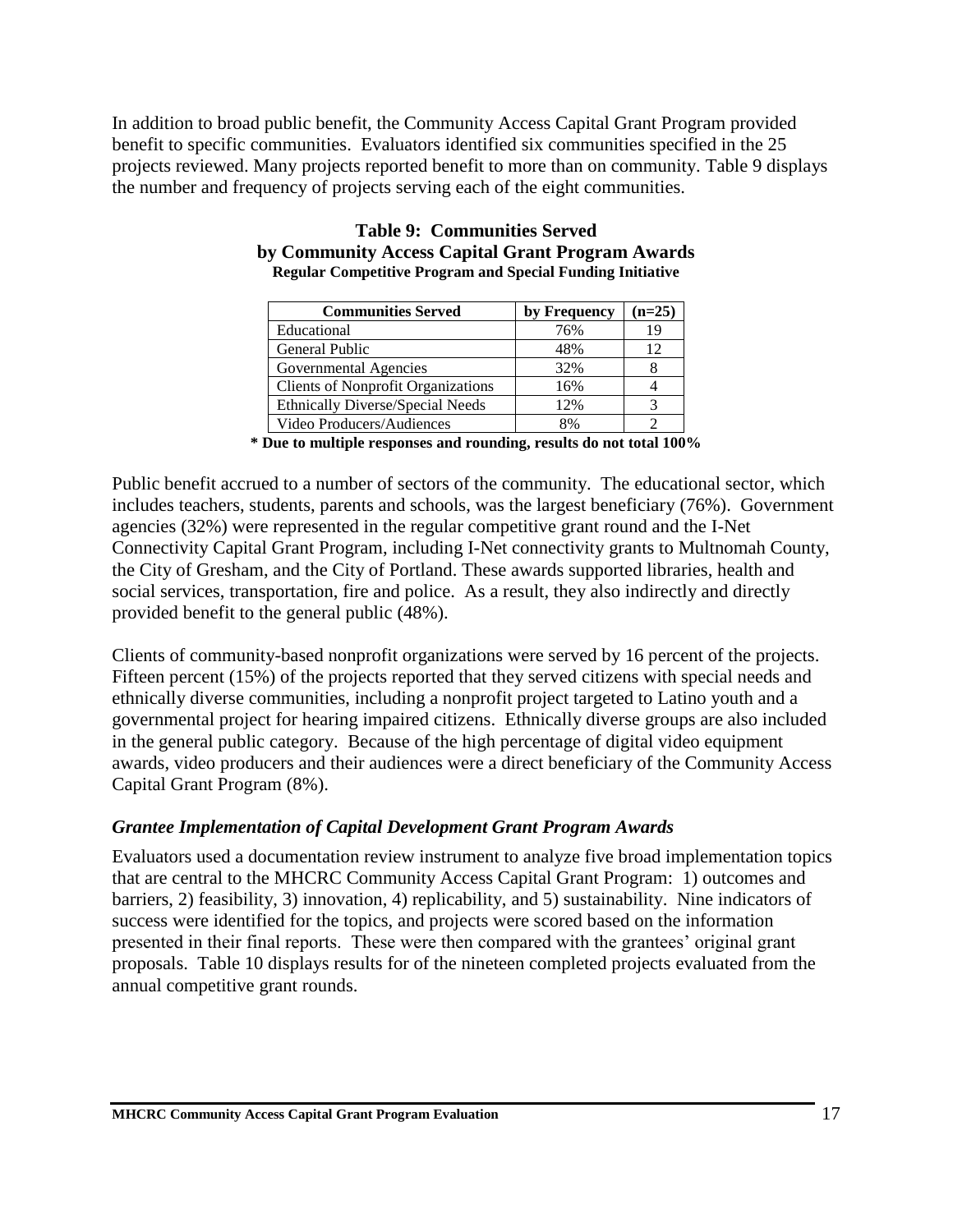In addition to broad public benefit, the Community Access Capital Grant Program provided benefit to specific communities. Evaluators identified six communities specified in the 25 projects reviewed. Many projects reported benefit to more than on community. Table 9 displays the number and frequency of projects serving each of the eight communities.

| <b>Communities Served</b>                 | by Frequency | $(n=25)$ |
|-------------------------------------------|--------------|----------|
| Educational                               | 76%          | 19       |
| General Public                            | 48%          | 12       |
| Governmental Agencies                     | 32%          |          |
| <b>Clients of Nonprofit Organizations</b> | 16%          |          |
| <b>Ethnically Diverse/Special Needs</b>   | 12%          |          |
| Video Producers/Audiences                 | 8%           |          |

#### **Table 9: Communities Served by Community Access Capital Grant Program Awards Regular Competitive Program and Special Funding Initiative**

**\* Due to multiple responses and rounding, results do not total 100%**

Public benefit accrued to a number of sectors of the community. The educational sector, which includes teachers, students, parents and schools, was the largest beneficiary (76%). Government agencies (32%) were represented in the regular competitive grant round and the I-Net Connectivity Capital Grant Program, including I-Net connectivity grants to Multnomah County, the City of Gresham, and the City of Portland. These awards supported libraries, health and social services, transportation, fire and police. As a result, they also indirectly and directly provided benefit to the general public (48%).

Clients of community-based nonprofit organizations were served by 16 percent of the projects. Fifteen percent (15%) of the projects reported that they served citizens with special needs and ethnically diverse communities, including a nonprofit project targeted to Latino youth and a governmental project for hearing impaired citizens. Ethnically diverse groups are also included in the general public category. Because of the high percentage of digital video equipment awards, video producers and their audiences were a direct beneficiary of the Community Access Capital Grant Program (8%).

#### *Grantee Implementation of Capital Development Grant Program Awards*

Evaluators used a documentation review instrument to analyze five broad implementation topics that are central to the MHCRC Community Access Capital Grant Program: 1) outcomes and barriers, 2) feasibility, 3) innovation, 4) replicability, and 5) sustainability. Nine indicators of success were identified for the topics, and projects were scored based on the information presented in their final reports. These were then compared with the grantees' original grant proposals. Table 10 displays results for of the nineteen completed projects evaluated from the annual competitive grant rounds.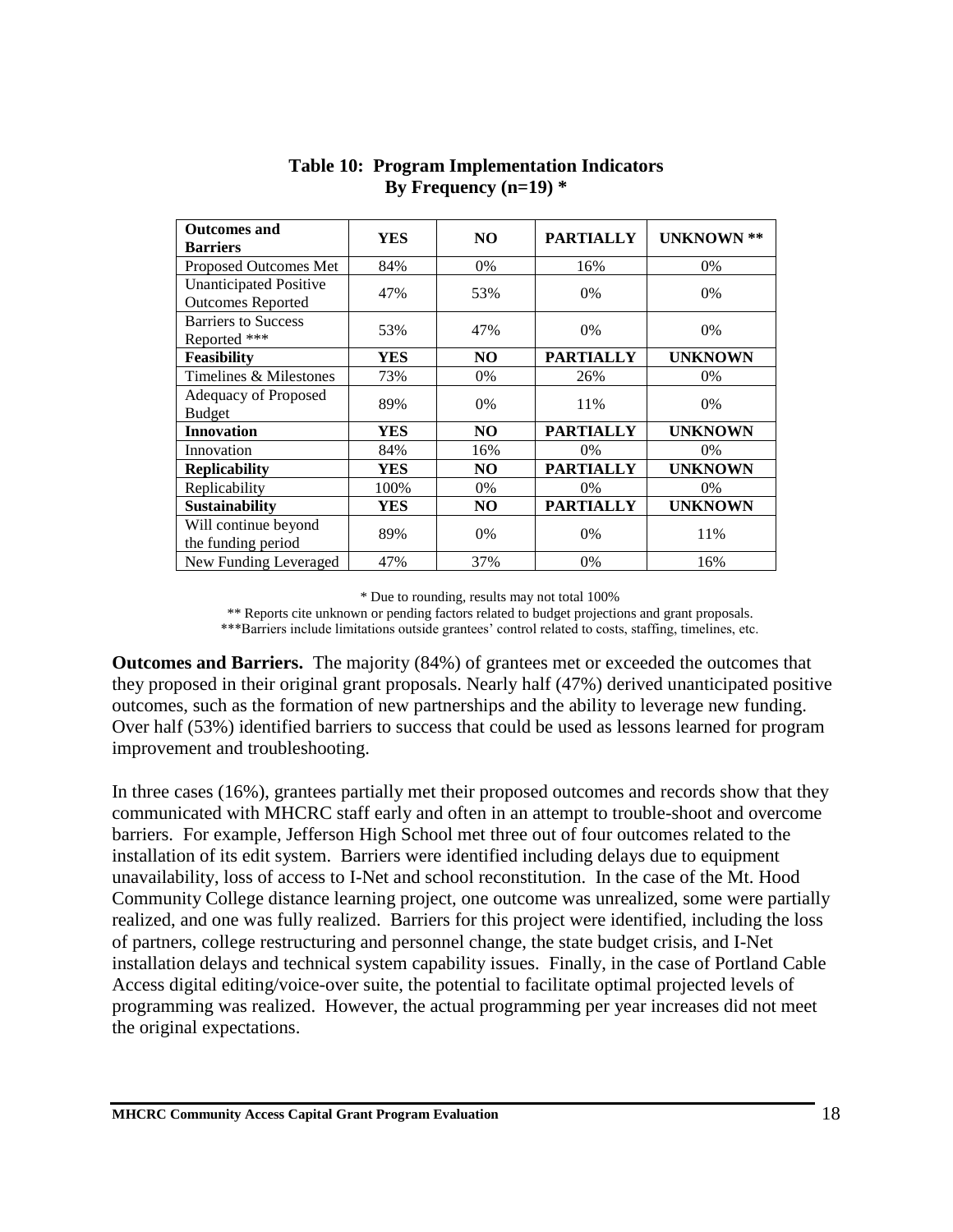| <b>Outcomes and</b><br><b>Barriers</b>                    | YES  | NO.            | <b>PARTIALLY</b> | <b>UNKNOWN **</b> |
|-----------------------------------------------------------|------|----------------|------------------|-------------------|
| Proposed Outcomes Met                                     | 84%  | 0%             | 16%              | $0\%$             |
| <b>Unanticipated Positive</b><br><b>Outcomes Reported</b> | 47%  | 53%            | 0%               | $0\%$             |
| <b>Barriers to Success</b><br>Reported ***                | 53%  | 47%            | 0%               | $0\%$             |
| <b>Feasibility</b>                                        | YES  | N <sub>O</sub> | <b>PARTIALLY</b> | <b>UNKNOWN</b>    |
| Timelines & Milestones                                    | 73%  | 0%             | 26%              | $0\%$             |
| Adequacy of Proposed<br><b>Budget</b>                     | 89%  | 0%             | 11%              | $0\%$             |
| <b>Innovation</b>                                         | YES  | NO.            | <b>PARTIALLY</b> | <b>UNKNOWN</b>    |
| Innovation                                                | 84%  | 16%            | $0\%$            | 0%                |
| <b>Replicability</b>                                      | YES  | NO             | <b>PARTIALLY</b> | <b>UNKNOWN</b>    |
| Replicability                                             | 100% | 0%             | 0%               | $0\%$             |
| <b>Sustainability</b>                                     | YES  | N <sub>O</sub> | <b>PARTIALLY</b> | <b>UNKNOWN</b>    |
| Will continue beyond<br>the funding period                | 89%  | 0%             | 0%               | 11%               |
| New Funding Leveraged                                     | 47%  | 37%            | $0\%$            | 16%               |

#### **Table 10: Program Implementation Indicators By Frequency (n=19) \***

\* Due to rounding, results may not total 100%

\*\* Reports cite unknown or pending factors related to budget projections and grant proposals. \*\*\*Barriers include limitations outside grantees' control related to costs, staffing, timelines, etc.

**Outcomes and Barriers.** The majority (84%) of grantees met or exceeded the outcomes that they proposed in their original grant proposals. Nearly half (47%) derived unanticipated positive outcomes, such as the formation of new partnerships and the ability to leverage new funding. Over half (53%) identified barriers to success that could be used as lessons learned for program improvement and troubleshooting.

In three cases (16%), grantees partially met their proposed outcomes and records show that they communicated with MHCRC staff early and often in an attempt to trouble-shoot and overcome barriers. For example, Jefferson High School met three out of four outcomes related to the installation of its edit system. Barriers were identified including delays due to equipment unavailability, loss of access to I-Net and school reconstitution. In the case of the Mt. Hood Community College distance learning project, one outcome was unrealized, some were partially realized, and one was fully realized. Barriers for this project were identified, including the loss of partners, college restructuring and personnel change, the state budget crisis, and I-Net installation delays and technical system capability issues. Finally, in the case of Portland Cable Access digital editing/voice-over suite, the potential to facilitate optimal projected levels of programming was realized. However, the actual programming per year increases did not meet the original expectations.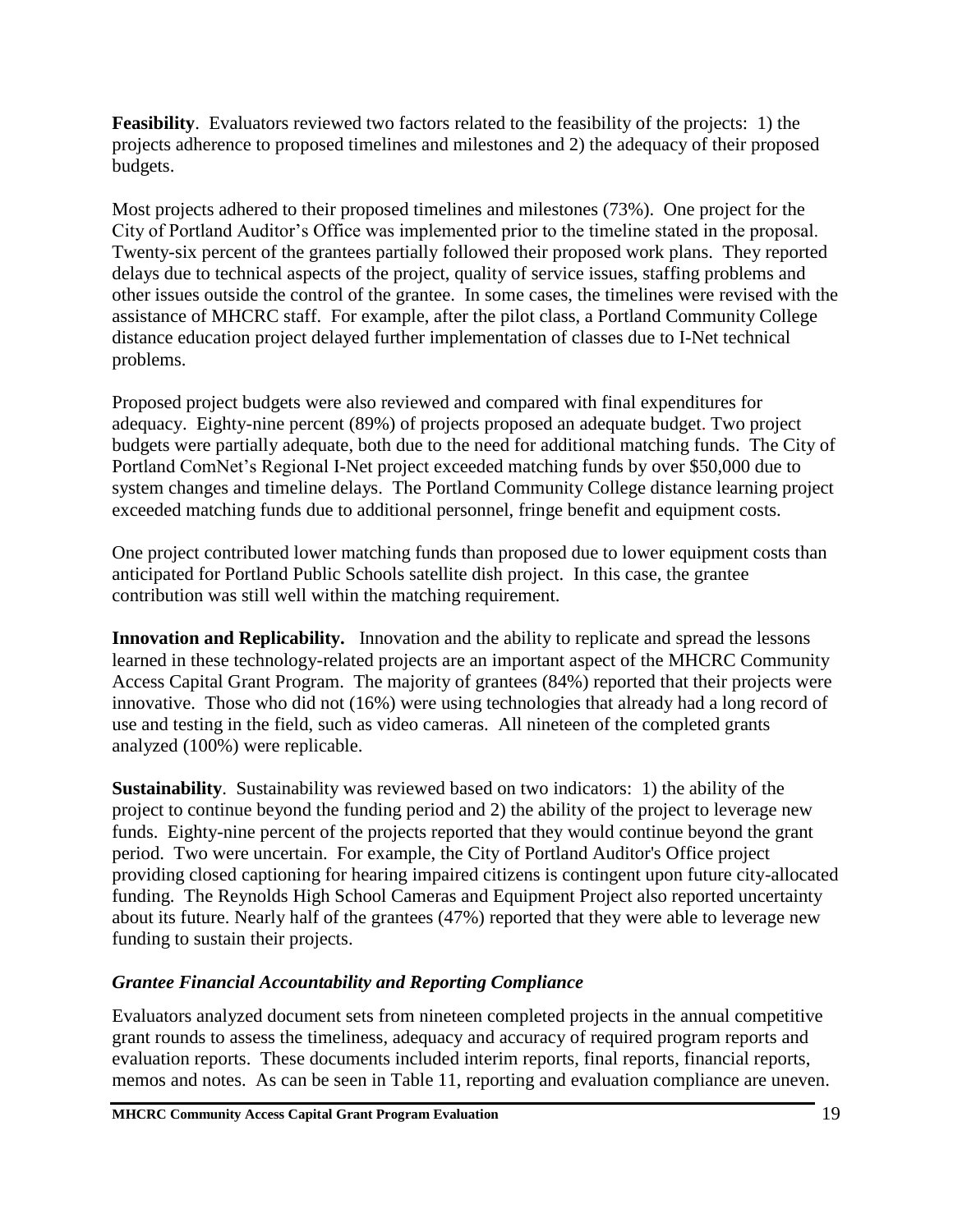**Feasibility**. Evaluators reviewed two factors related to the feasibility of the projects: 1) the projects adherence to proposed timelines and milestones and 2) the adequacy of their proposed budgets.

Most projects adhered to their proposed timelines and milestones (73%). One project for the City of Portland Auditor's Office was implemented prior to the timeline stated in the proposal. Twenty-six percent of the grantees partially followed their proposed work plans. They reported delays due to technical aspects of the project, quality of service issues, staffing problems and other issues outside the control of the grantee. In some cases, the timelines were revised with the assistance of MHCRC staff. For example, after the pilot class, a Portland Community College distance education project delayed further implementation of classes due to I-Net technical problems.

Proposed project budgets were also reviewed and compared with final expenditures for adequacy. Eighty-nine percent (89%) of projects proposed an adequate budget. Two project budgets were partially adequate, both due to the need for additional matching funds. The City of Portland ComNet's Regional I-Net project exceeded matching funds by over \$50,000 due to system changes and timeline delays. The Portland Community College distance learning project exceeded matching funds due to additional personnel, fringe benefit and equipment costs.

One project contributed lower matching funds than proposed due to lower equipment costs than anticipated for Portland Public Schools satellite dish project. In this case, the grantee contribution was still well within the matching requirement.

**Innovation and Replicability.** Innovation and the ability to replicate and spread the lessons learned in these technology-related projects are an important aspect of the MHCRC Community Access Capital Grant Program. The majority of grantees (84%) reported that their projects were innovative. Those who did not (16%) were using technologies that already had a long record of use and testing in the field, such as video cameras. All nineteen of the completed grants analyzed (100%) were replicable.

**Sustainability**. Sustainability was reviewed based on two indicators: 1) the ability of the project to continue beyond the funding period and 2) the ability of the project to leverage new funds. Eighty-nine percent of the projects reported that they would continue beyond the grant period. Two were uncertain. For example, the City of Portland Auditor's Office project providing closed captioning for hearing impaired citizens is contingent upon future city-allocated funding. The Reynolds High School Cameras and Equipment Project also reported uncertainty about its future. Nearly half of the grantees (47%) reported that they were able to leverage new funding to sustain their projects.

### *Grantee Financial Accountability and Reporting Compliance*

Evaluators analyzed document sets from nineteen completed projects in the annual competitive grant rounds to assess the timeliness, adequacy and accuracy of required program reports and evaluation reports. These documents included interim reports, final reports, financial reports, memos and notes. As can be seen in Table 11, reporting and evaluation compliance are uneven.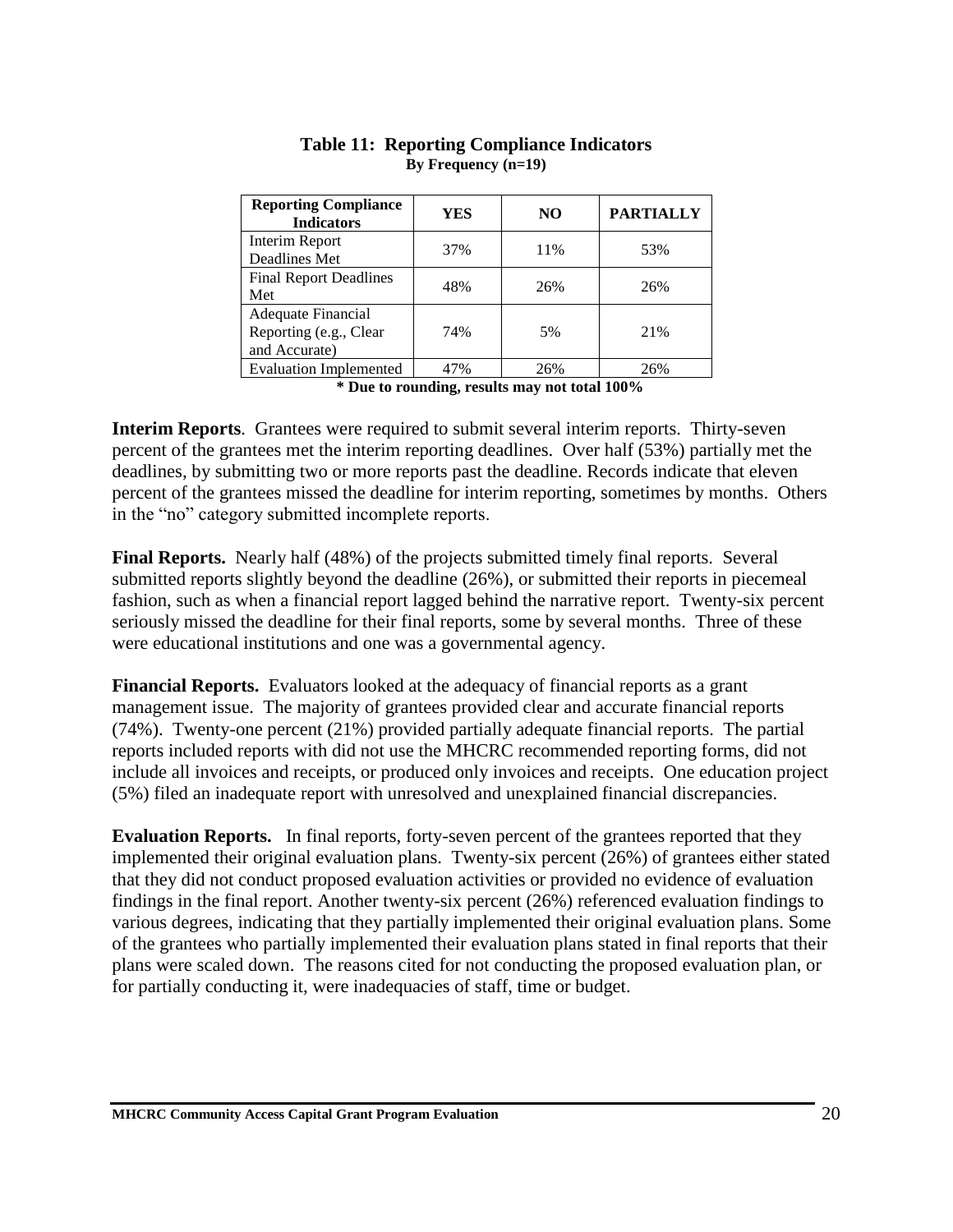| <b>Reporting Compliance</b><br><b>Indicators</b> | YES | NO. | <b>PARTIALLY</b> |
|--------------------------------------------------|-----|-----|------------------|
| Interim Report                                   | 37% | 11% | 53%              |
| Deadlines Met                                    |     |     |                  |
| <b>Final Report Deadlines</b>                    | 48% | 26% | 26%              |
| Met                                              |     |     |                  |
| Adequate Financial                               |     |     |                  |
| Reporting (e.g., Clear                           | 74% | 5%  | 21%              |
| and Accurate)                                    |     |     |                  |
| <b>Evaluation Implemented</b>                    | 47% | 26% | 26%              |

#### **Table 11: Reporting Compliance Indicators By Frequency (n=19)**

**\* Due to rounding, results may not total 100%**

**Interim Reports**. Grantees were required to submit several interim reports. Thirty-seven percent of the grantees met the interim reporting deadlines. Over half (53%) partially met the deadlines, by submitting two or more reports past the deadline. Records indicate that eleven percent of the grantees missed the deadline for interim reporting, sometimes by months. Others in the "no" category submitted incomplete reports.

**Final Reports.** Nearly half (48%) of the projects submitted timely final reports. Several submitted reports slightly beyond the deadline (26%), or submitted their reports in piecemeal fashion, such as when a financial report lagged behind the narrative report. Twenty-six percent seriously missed the deadline for their final reports, some by several months. Three of these were educational institutions and one was a governmental agency.

**Financial Reports.** Evaluators looked at the adequacy of financial reports as a grant management issue. The majority of grantees provided clear and accurate financial reports (74%). Twenty-one percent (21%) provided partially adequate financial reports. The partial reports included reports with did not use the MHCRC recommended reporting forms, did not include all invoices and receipts, or produced only invoices and receipts. One education project (5%) filed an inadequate report with unresolved and unexplained financial discrepancies.

**Evaluation Reports.** In final reports, forty-seven percent of the grantees reported that they implemented their original evaluation plans. Twenty-six percent (26%) of grantees either stated that they did not conduct proposed evaluation activities or provided no evidence of evaluation findings in the final report. Another twenty-six percent (26%) referenced evaluation findings to various degrees, indicating that they partially implemented their original evaluation plans. Some of the grantees who partially implemented their evaluation plans stated in final reports that their plans were scaled down. The reasons cited for not conducting the proposed evaluation plan, or for partially conducting it, were inadequacies of staff, time or budget.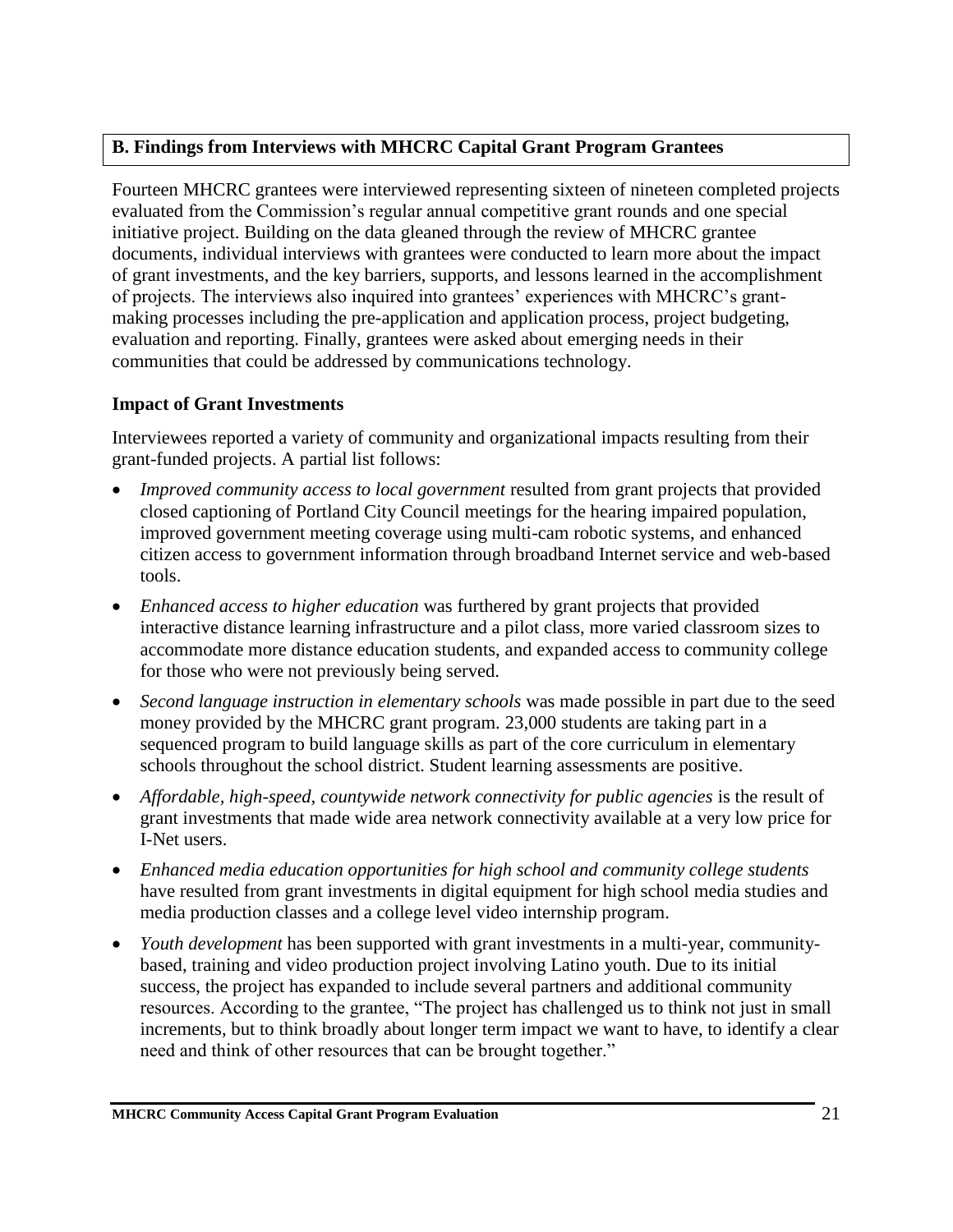#### **B. Findings from Interviews with MHCRC Capital Grant Program Grantees**

Fourteen MHCRC grantees were interviewed representing sixteen of nineteen completed projects evaluated from the Commission's regular annual competitive grant rounds and one special initiative project. Building on the data gleaned through the review of MHCRC grantee documents, individual interviews with grantees were conducted to learn more about the impact of grant investments, and the key barriers, supports, and lessons learned in the accomplishment of projects. The interviews also inquired into grantees' experiences with MHCRC's grantmaking processes including the pre-application and application process, project budgeting, evaluation and reporting. Finally, grantees were asked about emerging needs in their communities that could be addressed by communications technology.

### **Impact of Grant Investments**

Interviewees reported a variety of community and organizational impacts resulting from their grant-funded projects. A partial list follows:

- *Improved community access to local government* resulted from grant projects that provided closed captioning of Portland City Council meetings for the hearing impaired population, improved government meeting coverage using multi-cam robotic systems, and enhanced citizen access to government information through broadband Internet service and web-based tools.
- *Enhanced access to higher education* was furthered by grant projects that provided interactive distance learning infrastructure and a pilot class, more varied classroom sizes to accommodate more distance education students, and expanded access to community college for those who were not previously being served.
- *Second language instruction in elementary schools* was made possible in part due to the seed money provided by the MHCRC grant program. 23,000 students are taking part in a sequenced program to build language skills as part of the core curriculum in elementary schools throughout the school district. Student learning assessments are positive.
- *Affordable, high-speed, countywide network connectivity for public agencies* is the result of grant investments that made wide area network connectivity available at a very low price for I-Net users.
- *Enhanced media education opportunities for high school and community college students*  have resulted from grant investments in digital equipment for high school media studies and media production classes and a college level video internship program.
- *Youth development* has been supported with grant investments in a multi-year, communitybased, training and video production project involving Latino youth. Due to its initial success, the project has expanded to include several partners and additional community resources. According to the grantee, "The project has challenged us to think not just in small increments, but to think broadly about longer term impact we want to have, to identify a clear need and think of other resources that can be brought together."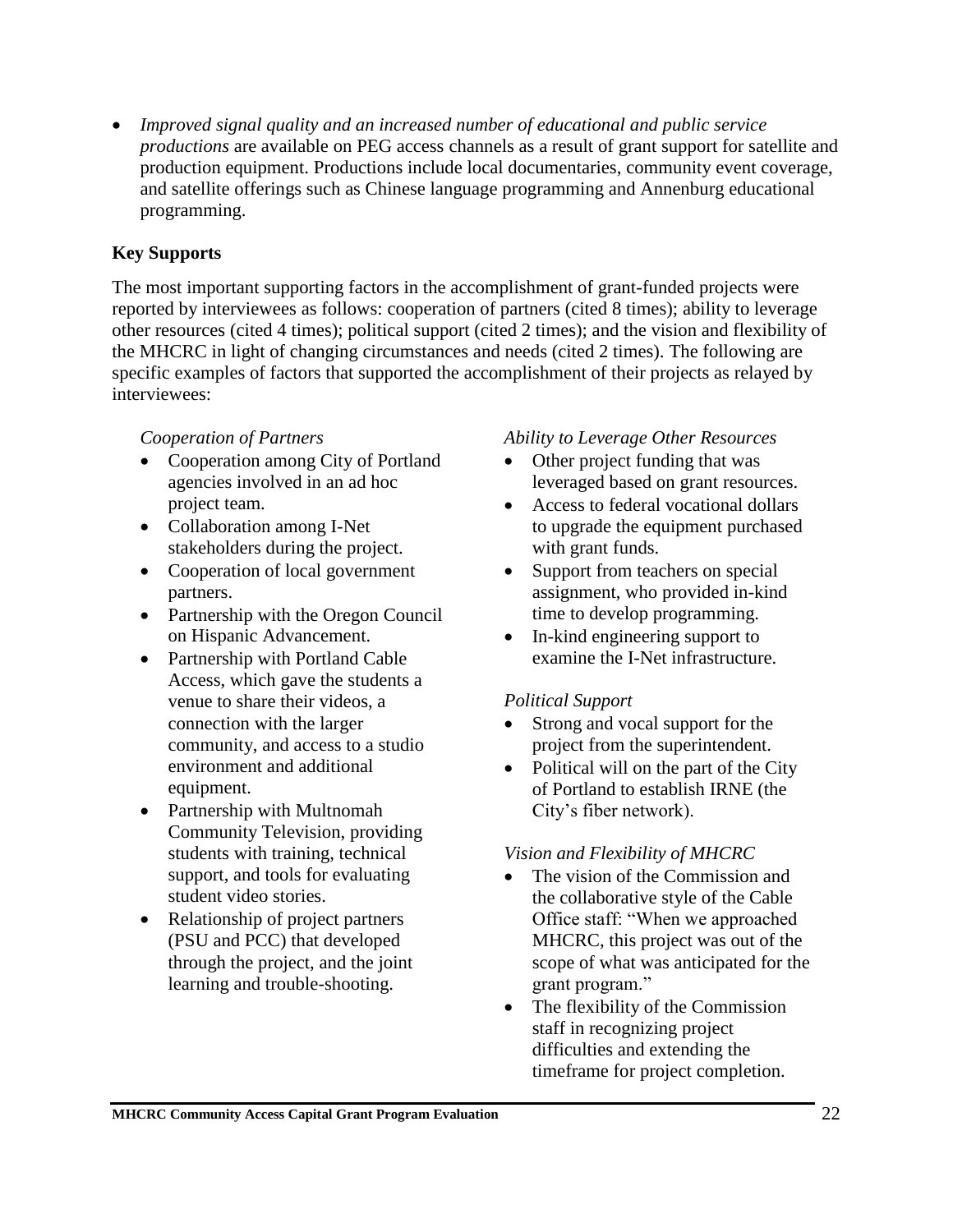• *Improved signal quality and an increased number of educational and public service productions* are available on PEG access channels as a result of grant support for satellite and production equipment. Productions include local documentaries, community event coverage, and satellite offerings such as Chinese language programming and Annenburg educational programming.

#### **Key Supports**

The most important supporting factors in the accomplishment of grant-funded projects were reported by interviewees as follows: cooperation of partners (cited 8 times); ability to leverage other resources (cited 4 times); political support (cited 2 times); and the vision and flexibility of the MHCRC in light of changing circumstances and needs (cited 2 times). The following are specific examples of factors that supported the accomplishment of their projects as relayed by interviewees:

#### *Cooperation of Partners*

- Cooperation among City of Portland agencies involved in an ad hoc project team.
- Collaboration among I-Net stakeholders during the project.
- Cooperation of local government partners.
- Partnership with the Oregon Council on Hispanic Advancement.
- Partnership with Portland Cable Access, which gave the students a venue to share their videos, a connection with the larger community, and access to a studio environment and additional equipment.
- Partnership with Multnomah Community Television, providing students with training, technical support, and tools for evaluating student video stories.
- Relationship of project partners (PSU and PCC) that developed through the project, and the joint learning and trouble-shooting.

#### *Ability to Leverage Other Resources*

- Other project funding that was leveraged based on grant resources.
- Access to federal vocational dollars to upgrade the equipment purchased with grant funds.
- Support from teachers on special assignment, who provided in-kind time to develop programming.
- In-kind engineering support to examine the I-Net infrastructure.

#### *Political Support*

- Strong and vocal support for the project from the superintendent.
- Political will on the part of the City of Portland to establish IRNE (the City's fiber network).

#### *Vision and Flexibility of MHCRC*

- The vision of the Commission and the collaborative style of the Cable Office staff: "When we approached MHCRC, this project was out of the scope of what was anticipated for the grant program."
- The flexibility of the Commission staff in recognizing project difficulties and extending the timeframe for project completion.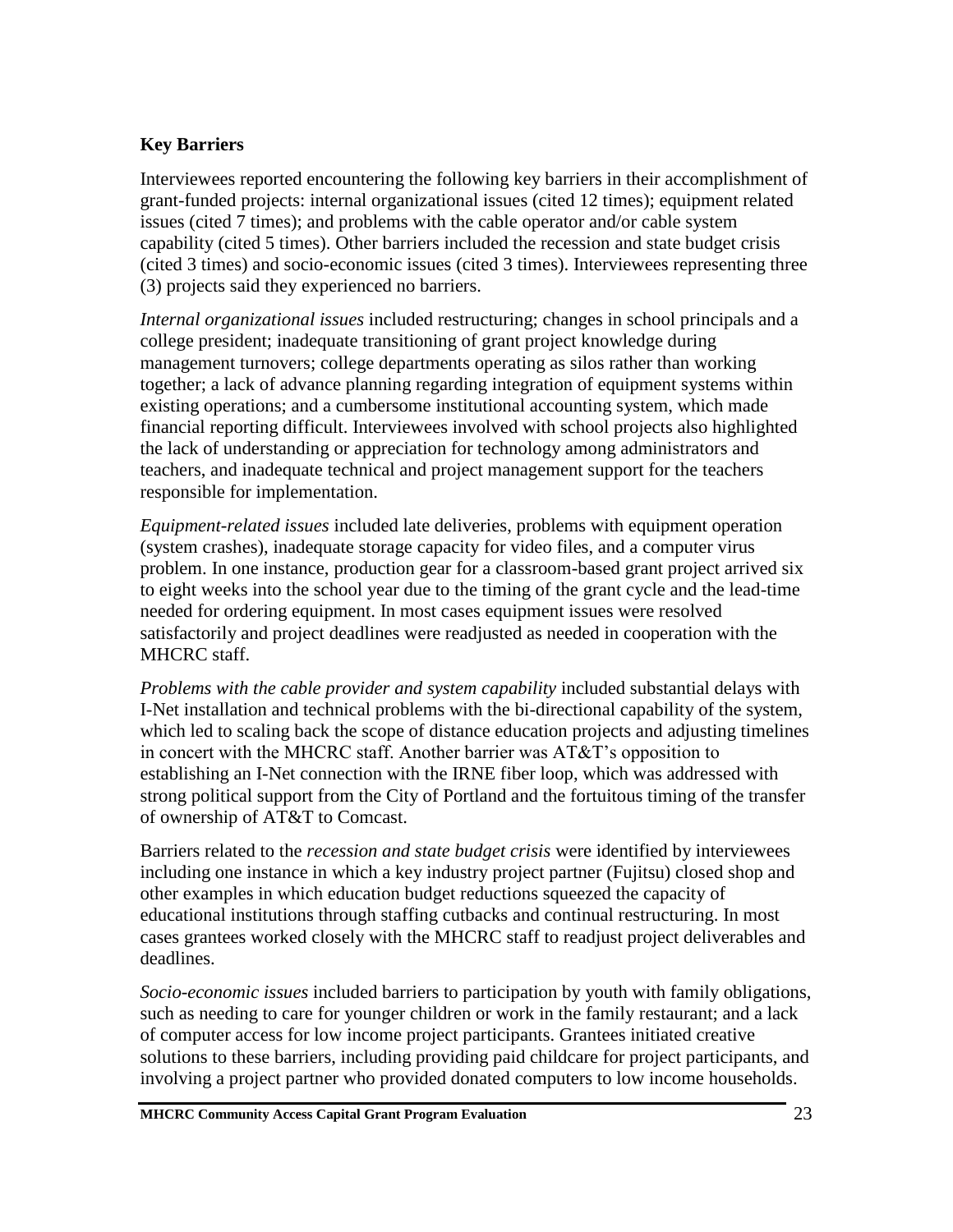#### **Key Barriers**

Interviewees reported encountering the following key barriers in their accomplishment of grant-funded projects: internal organizational issues (cited 12 times); equipment related issues (cited 7 times); and problems with the cable operator and/or cable system capability (cited 5 times). Other barriers included the recession and state budget crisis (cited 3 times) and socio-economic issues (cited 3 times). Interviewees representing three (3) projects said they experienced no barriers.

*Internal organizational issues* included restructuring; changes in school principals and a college president; inadequate transitioning of grant project knowledge during management turnovers; college departments operating as silos rather than working together; a lack of advance planning regarding integration of equipment systems within existing operations; and a cumbersome institutional accounting system, which made financial reporting difficult. Interviewees involved with school projects also highlighted the lack of understanding or appreciation for technology among administrators and teachers, and inadequate technical and project management support for the teachers responsible for implementation.

*Equipment-related issues* included late deliveries, problems with equipment operation (system crashes), inadequate storage capacity for video files, and a computer virus problem. In one instance, production gear for a classroom-based grant project arrived six to eight weeks into the school year due to the timing of the grant cycle and the lead-time needed for ordering equipment. In most cases equipment issues were resolved satisfactorily and project deadlines were readjusted as needed in cooperation with the MHCRC staff.

*Problems with the cable provider and system capability* included substantial delays with I-Net installation and technical problems with the bi-directional capability of the system, which led to scaling back the scope of distance education projects and adjusting timelines in concert with the MHCRC staff. Another barrier was AT&T's opposition to establishing an I-Net connection with the IRNE fiber loop, which was addressed with strong political support from the City of Portland and the fortuitous timing of the transfer of ownership of AT&T to Comcast.

Barriers related to the *recession and state budget crisis* were identified by interviewees including one instance in which a key industry project partner (Fujitsu) closed shop and other examples in which education budget reductions squeezed the capacity of educational institutions through staffing cutbacks and continual restructuring. In most cases grantees worked closely with the MHCRC staff to readjust project deliverables and deadlines.

*Socio-economic issues* included barriers to participation by youth with family obligations, such as needing to care for younger children or work in the family restaurant; and a lack of computer access for low income project participants. Grantees initiated creative solutions to these barriers, including providing paid childcare for project participants, and involving a project partner who provided donated computers to low income households.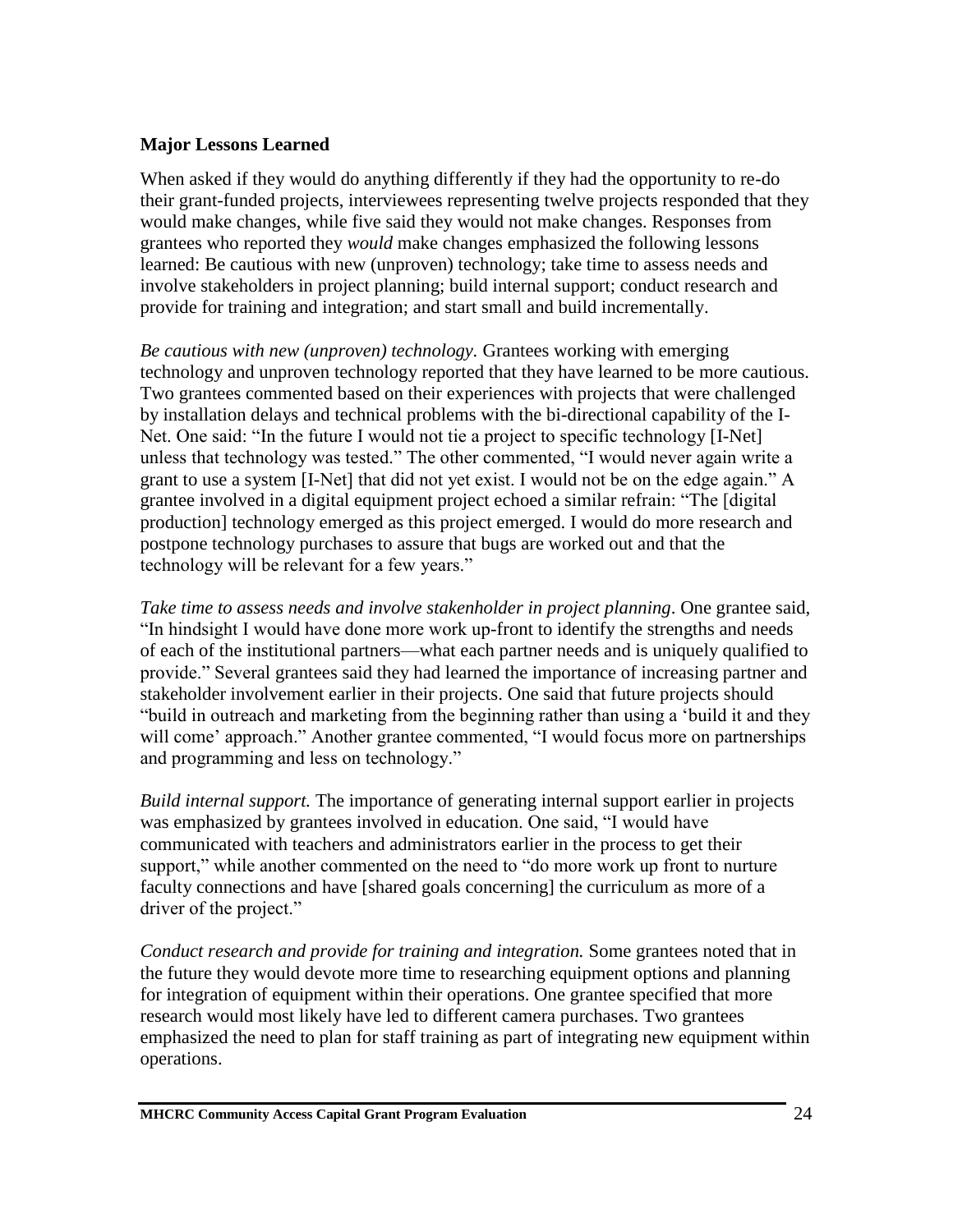#### **Major Lessons Learned**

When asked if they would do anything differently if they had the opportunity to re-do their grant-funded projects, interviewees representing twelve projects responded that they would make changes, while five said they would not make changes. Responses from grantees who reported they *would* make changes emphasized the following lessons learned: Be cautious with new (unproven) technology; take time to assess needs and involve stakeholders in project planning; build internal support; conduct research and provide for training and integration; and start small and build incrementally.

*Be cautious with new (unproven) technology.* Grantees working with emerging technology and unproven technology reported that they have learned to be more cautious. Two grantees commented based on their experiences with projects that were challenged by installation delays and technical problems with the bi-directional capability of the I-Net. One said: "In the future I would not tie a project to specific technology [I-Net] unless that technology was tested." The other commented, "I would never again write a grant to use a system [I-Net] that did not yet exist. I would not be on the edge again." A grantee involved in a digital equipment project echoed a similar refrain: "The [digital production] technology emerged as this project emerged. I would do more research and postpone technology purchases to assure that bugs are worked out and that the technology will be relevant for a few years."

*Take time to assess needs and involve stakenholder in project planning*. One grantee said, "In hindsight I would have done more work up-front to identify the strengths and needs of each of the institutional partners—what each partner needs and is uniquely qualified to provide." Several grantees said they had learned the importance of increasing partner and stakeholder involvement earlier in their projects. One said that future projects should "build in outreach and marketing from the beginning rather than using a 'build it and they will come' approach." Another grantee commented, "I would focus more on partnerships and programming and less on technology."

*Build internal support.* The importance of generating internal support earlier in projects was emphasized by grantees involved in education. One said, "I would have communicated with teachers and administrators earlier in the process to get their support," while another commented on the need to "do more work up front to nurture faculty connections and have [shared goals concerning] the curriculum as more of a driver of the project."

*Conduct research and provide for training and integration.* Some grantees noted that in the future they would devote more time to researching equipment options and planning for integration of equipment within their operations. One grantee specified that more research would most likely have led to different camera purchases. Two grantees emphasized the need to plan for staff training as part of integrating new equipment within operations.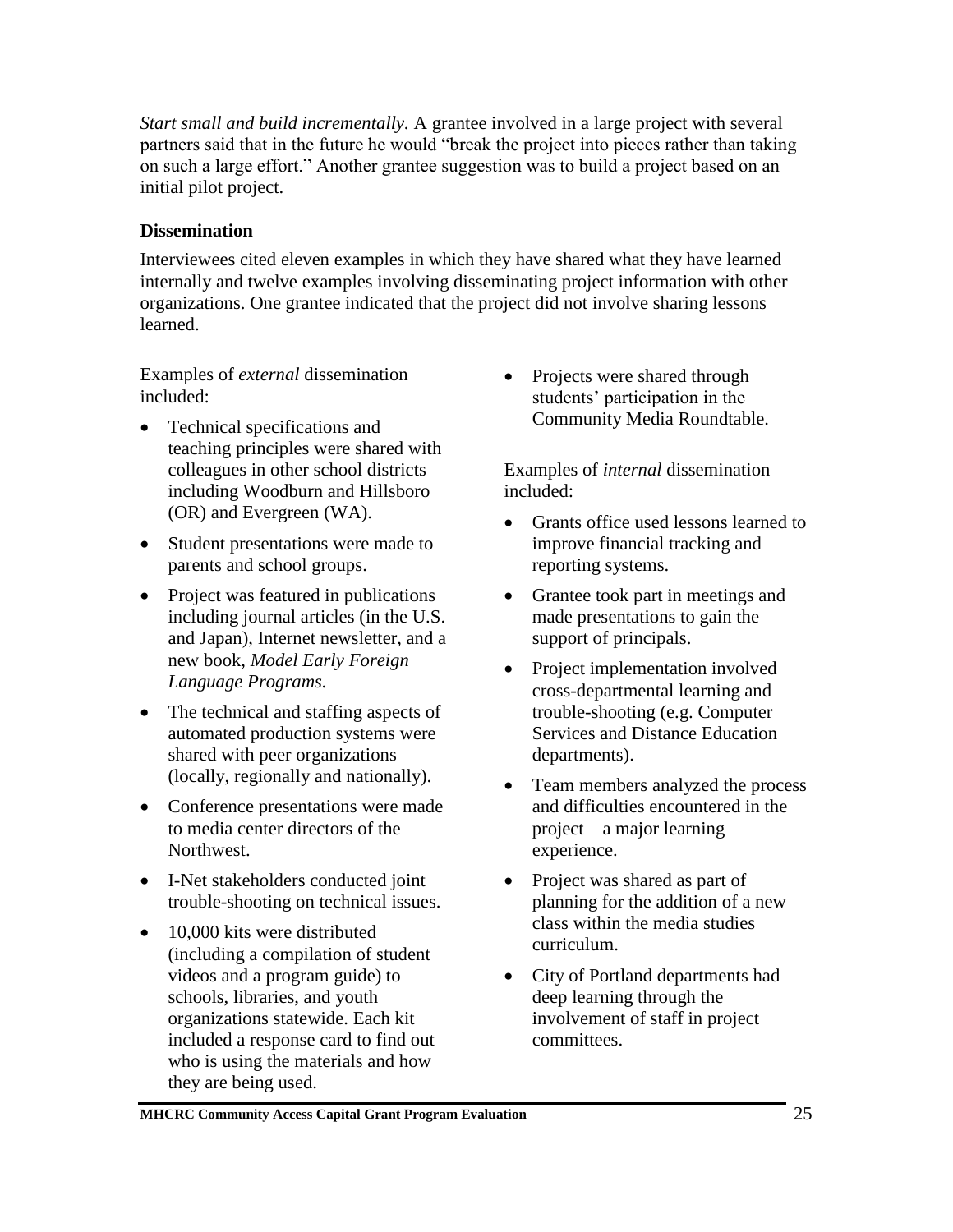*Start small and build incrementally.* A grantee involved in a large project with several partners said that in the future he would "break the project into pieces rather than taking on such a large effort." Another grantee suggestion was to build a project based on an initial pilot project.

## **Dissemination**

Interviewees cited eleven examples in which they have shared what they have learned internally and twelve examples involving disseminating project information with other organizations. One grantee indicated that the project did not involve sharing lessons learned.

Examples of *external* dissemination included:

- Technical specifications and teaching principles were shared with colleagues in other school districts including Woodburn and Hillsboro (OR) and Evergreen (WA).
- Student presentations were made to parents and school groups.
- Project was featured in publications including journal articles (in the U.S. and Japan), Internet newsletter, and a new book, *Model Early Foreign Language Programs.*
- The technical and staffing aspects of automated production systems were shared with peer organizations (locally, regionally and nationally).
- Conference presentations were made to media center directors of the Northwest.
- I-Net stakeholders conducted joint trouble-shooting on technical issues.
- 10,000 kits were distributed (including a compilation of student videos and a program guide) to schools, libraries, and youth organizations statewide. Each kit included a response card to find out who is using the materials and how they are being used.

• Projects were shared through students' participation in the Community Media Roundtable.

Examples of *internal* dissemination included:

- Grants office used lessons learned to improve financial tracking and reporting systems.
- Grantee took part in meetings and made presentations to gain the support of principals.
- Project implementation involved cross-departmental learning and trouble-shooting (e.g. Computer Services and Distance Education departments).
- Team members analyzed the process and difficulties encountered in the project—a major learning experience.
- Project was shared as part of planning for the addition of a new class within the media studies curriculum.
- City of Portland departments had deep learning through the involvement of staff in project committees.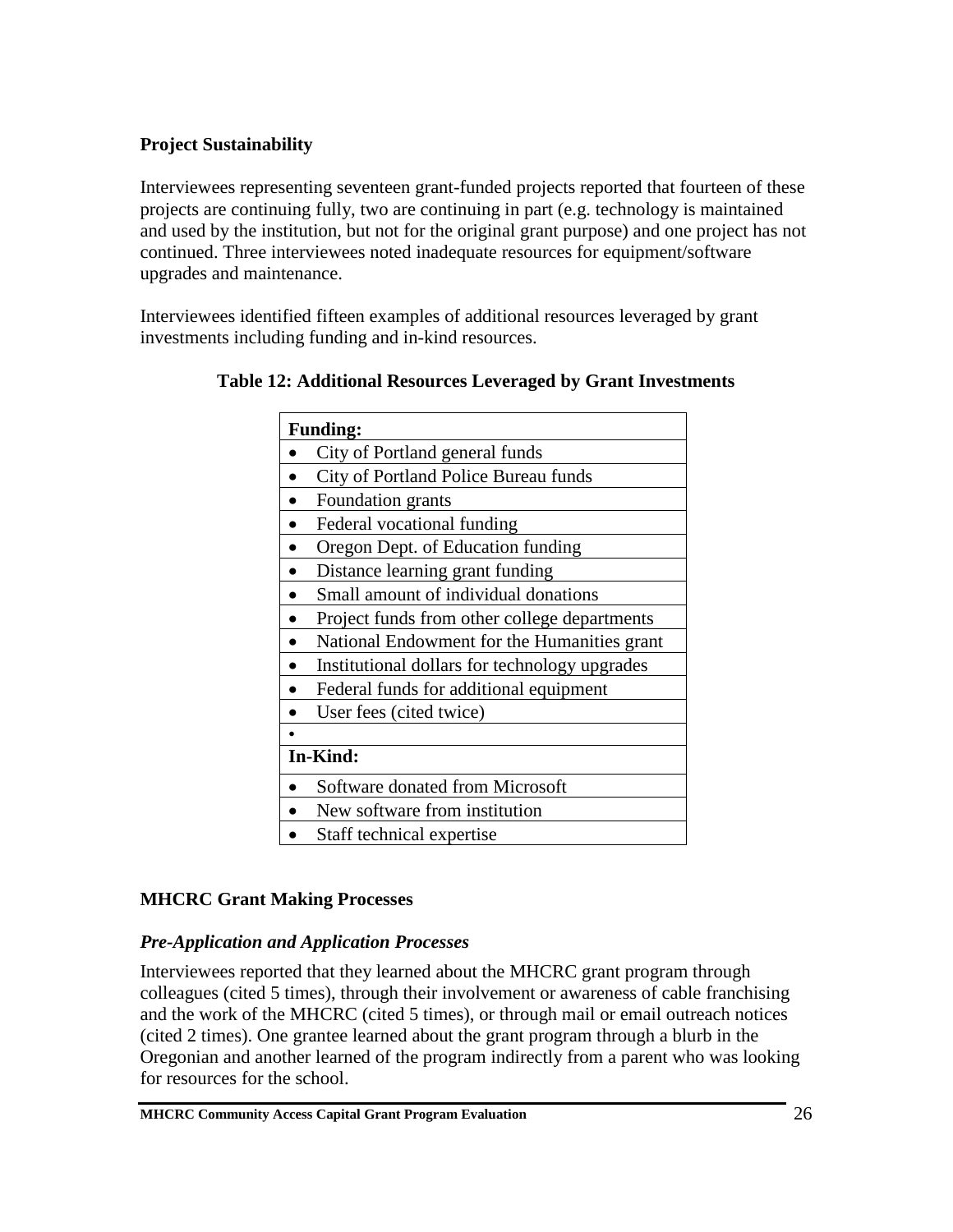## **Project Sustainability**

Interviewees representing seventeen grant-funded projects reported that fourteen of these projects are continuing fully, two are continuing in part (e.g. technology is maintained and used by the institution, but not for the original grant purpose) and one project has not continued. Three interviewees noted inadequate resources for equipment/software upgrades and maintenance.

Interviewees identified fifteen examples of additional resources leveraged by grant investments including funding and in-kind resources.

| <b>Funding:</b>                               |  |
|-----------------------------------------------|--|
| City of Portland general funds                |  |
| City of Portland Police Bureau funds          |  |
| Foundation grants                             |  |
| Federal vocational funding                    |  |
| Oregon Dept. of Education funding             |  |
| Distance learning grant funding               |  |
| Small amount of individual donations          |  |
| Project funds from other college departments  |  |
| National Endowment for the Humanities grant   |  |
| Institutional dollars for technology upgrades |  |
| Federal funds for additional equipment        |  |
| User fees (cited twice)                       |  |
|                                               |  |
| In-Kind:                                      |  |
| Software donated from Microsoft               |  |
| New software from institution                 |  |
| Staff technical expertise                     |  |

## **MHCRC Grant Making Processes**

### *Pre-Application and Application Processes*

Interviewees reported that they learned about the MHCRC grant program through colleagues (cited 5 times), through their involvement or awareness of cable franchising and the work of the MHCRC (cited 5 times), or through mail or email outreach notices (cited 2 times). One grantee learned about the grant program through a blurb in the Oregonian and another learned of the program indirectly from a parent who was looking for resources for the school.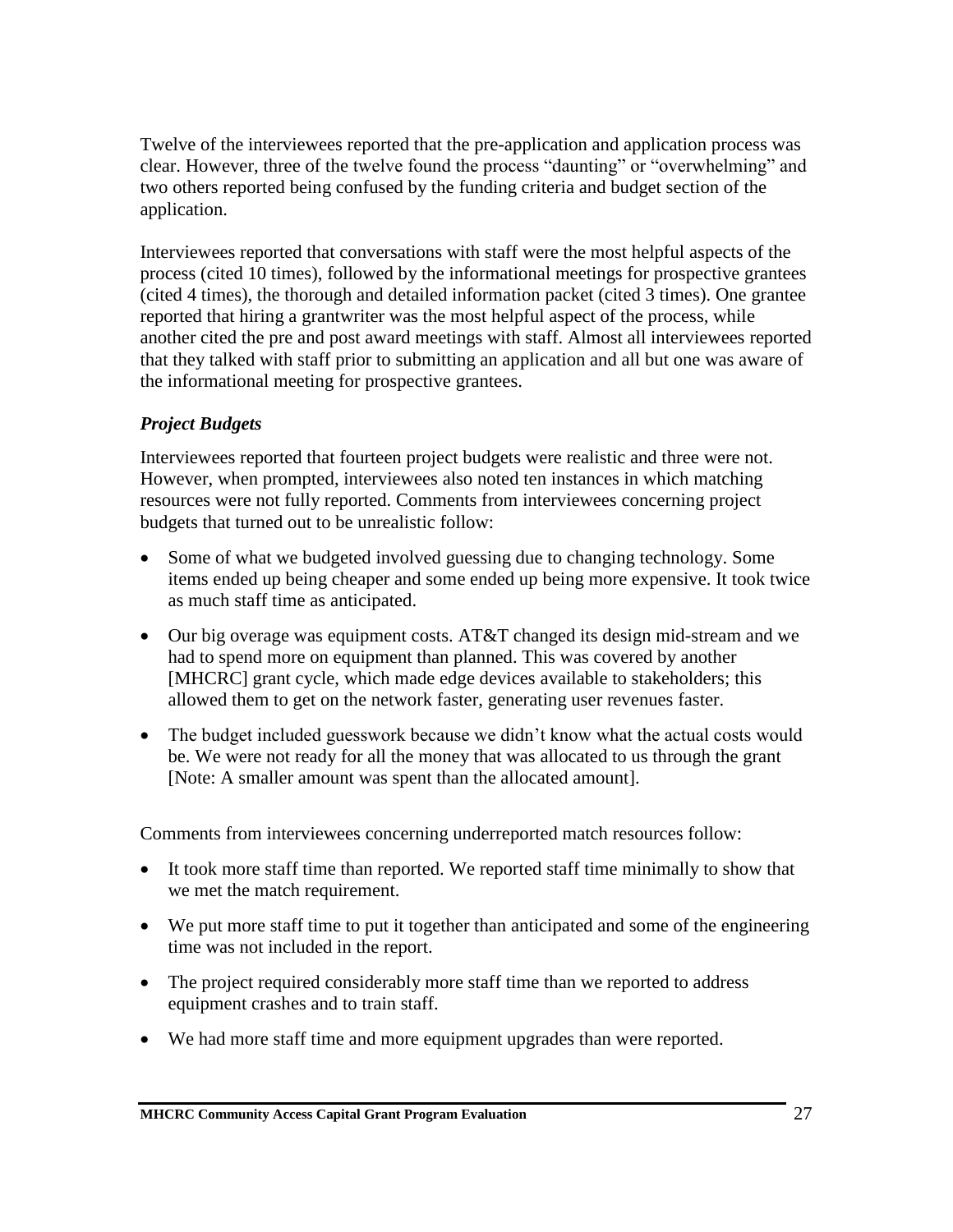Twelve of the interviewees reported that the pre-application and application process was clear. However, three of the twelve found the process "daunting" or "overwhelming" and two others reported being confused by the funding criteria and budget section of the application.

Interviewees reported that conversations with staff were the most helpful aspects of the process (cited 10 times), followed by the informational meetings for prospective grantees (cited 4 times), the thorough and detailed information packet (cited 3 times). One grantee reported that hiring a grantwriter was the most helpful aspect of the process, while another cited the pre and post award meetings with staff. Almost all interviewees reported that they talked with staff prior to submitting an application and all but one was aware of the informational meeting for prospective grantees.

## *Project Budgets*

Interviewees reported that fourteen project budgets were realistic and three were not. However, when prompted, interviewees also noted ten instances in which matching resources were not fully reported. Comments from interviewees concerning project budgets that turned out to be unrealistic follow:

- Some of what we budgeted involved guessing due to changing technology. Some items ended up being cheaper and some ended up being more expensive. It took twice as much staff time as anticipated.
- Our big overage was equipment costs. AT&T changed its design mid-stream and we had to spend more on equipment than planned. This was covered by another [MHCRC] grant cycle, which made edge devices available to stakeholders; this allowed them to get on the network faster, generating user revenues faster.
- The budget included guesswork because we didn't know what the actual costs would be. We were not ready for all the money that was allocated to us through the grant [Note: A smaller amount was spent than the allocated amount].

Comments from interviewees concerning underreported match resources follow:

- It took more staff time than reported. We reported staff time minimally to show that we met the match requirement.
- We put more staff time to put it together than anticipated and some of the engineering time was not included in the report.
- The project required considerably more staff time than we reported to address equipment crashes and to train staff.
- We had more staff time and more equipment upgrades than were reported.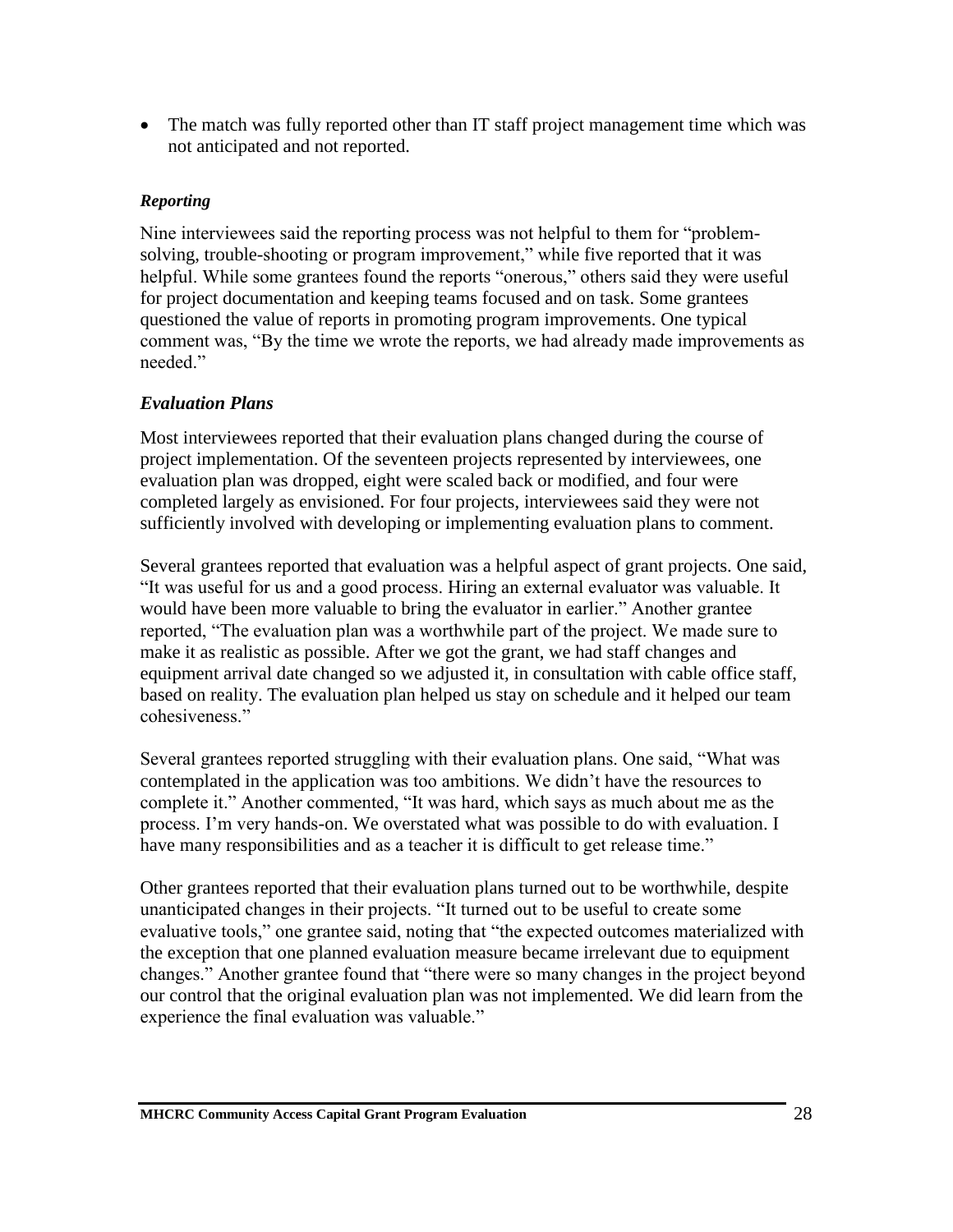• The match was fully reported other than IT staff project management time which was not anticipated and not reported.

#### *Reporting*

Nine interviewees said the reporting process was not helpful to them for "problemsolving, trouble-shooting or program improvement," while five reported that it was helpful. While some grantees found the reports "onerous," others said they were useful for project documentation and keeping teams focused and on task. Some grantees questioned the value of reports in promoting program improvements. One typical comment was, "By the time we wrote the reports, we had already made improvements as needed."

### *Evaluation Plans*

Most interviewees reported that their evaluation plans changed during the course of project implementation. Of the seventeen projects represented by interviewees, one evaluation plan was dropped, eight were scaled back or modified, and four were completed largely as envisioned. For four projects, interviewees said they were not sufficiently involved with developing or implementing evaluation plans to comment.

Several grantees reported that evaluation was a helpful aspect of grant projects. One said, "It was useful for us and a good process. Hiring an external evaluator was valuable. It would have been more valuable to bring the evaluator in earlier." Another grantee reported, "The evaluation plan was a worthwhile part of the project. We made sure to make it as realistic as possible. After we got the grant, we had staff changes and equipment arrival date changed so we adjusted it, in consultation with cable office staff, based on reality. The evaluation plan helped us stay on schedule and it helped our team cohesiveness."

Several grantees reported struggling with their evaluation plans. One said, "What was contemplated in the application was too ambitions. We didn't have the resources to complete it." Another commented, "It was hard, which says as much about me as the process. I'm very hands-on. We overstated what was possible to do with evaluation. I have many responsibilities and as a teacher it is difficult to get release time."

Other grantees reported that their evaluation plans turned out to be worthwhile, despite unanticipated changes in their projects. "It turned out to be useful to create some evaluative tools," one grantee said, noting that "the expected outcomes materialized with the exception that one planned evaluation measure became irrelevant due to equipment changes." Another grantee found that "there were so many changes in the project beyond our control that the original evaluation plan was not implemented. We did learn from the experience the final evaluation was valuable."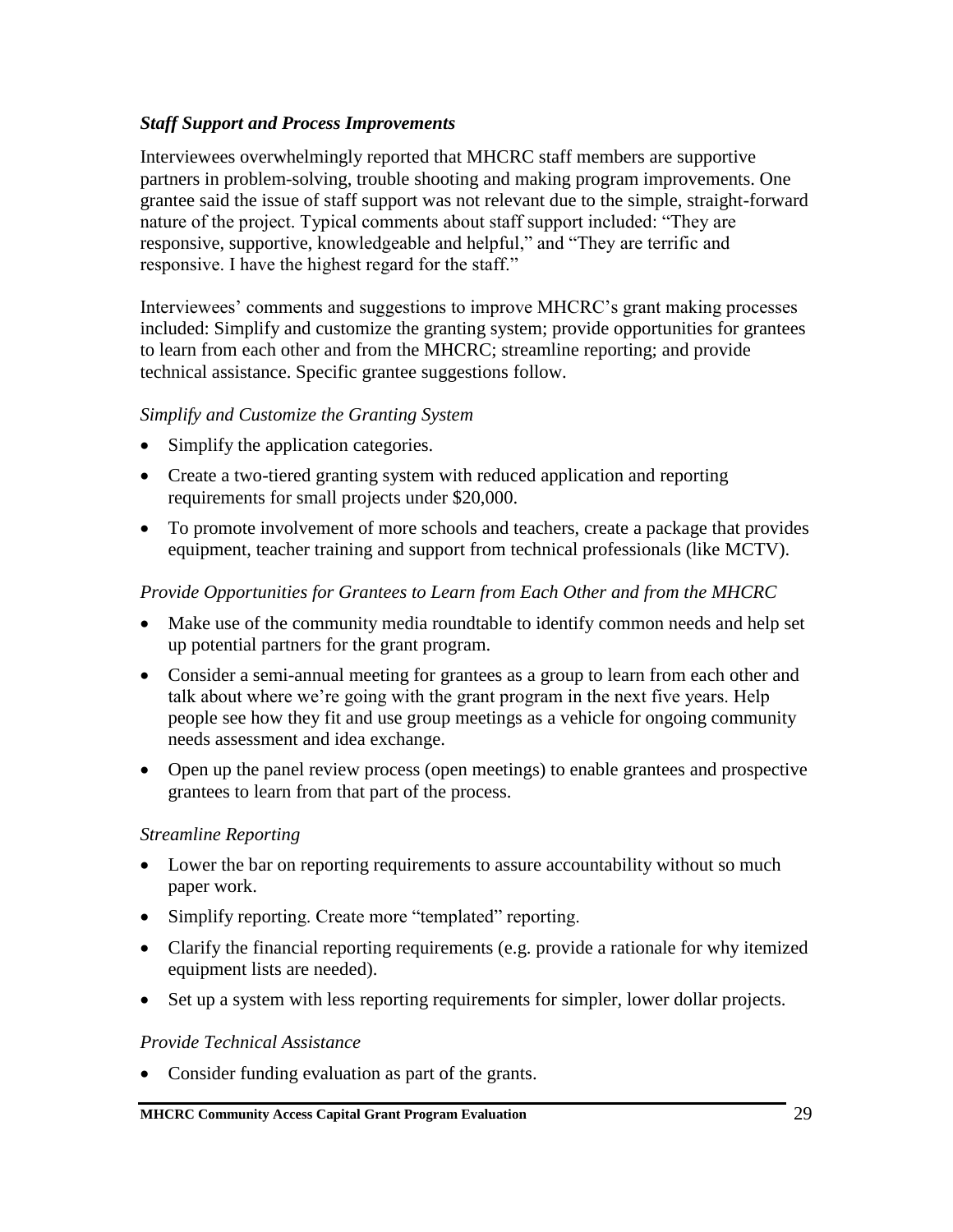#### *Staff Support and Process Improvements*

Interviewees overwhelmingly reported that MHCRC staff members are supportive partners in problem-solving, trouble shooting and making program improvements. One grantee said the issue of staff support was not relevant due to the simple, straight-forward nature of the project. Typical comments about staff support included: "They are responsive, supportive, knowledgeable and helpful," and "They are terrific and responsive. I have the highest regard for the staff."

Interviewees' comments and suggestions to improve MHCRC's grant making processes included: Simplify and customize the granting system; provide opportunities for grantees to learn from each other and from the MHCRC; streamline reporting; and provide technical assistance. Specific grantee suggestions follow.

#### *Simplify and Customize the Granting System*

- Simplify the application categories.
- Create a two-tiered granting system with reduced application and reporting requirements for small projects under \$20,000.
- To promote involvement of more schools and teachers, create a package that provides equipment, teacher training and support from technical professionals (like MCTV).

### *Provide Opportunities for Grantees to Learn from Each Other and from the MHCRC*

- Make use of the community media roundtable to identify common needs and help set up potential partners for the grant program.
- Consider a semi-annual meeting for grantees as a group to learn from each other and talk about where we're going with the grant program in the next five years. Help people see how they fit and use group meetings as a vehicle for ongoing community needs assessment and idea exchange.
- Open up the panel review process (open meetings) to enable grantees and prospective grantees to learn from that part of the process.

#### *Streamline Reporting*

- Lower the bar on reporting requirements to assure accountability without so much paper work.
- Simplify reporting. Create more "templated" reporting.
- Clarify the financial reporting requirements (e.g. provide a rationale for why itemized equipment lists are needed).
- Set up a system with less reporting requirements for simpler, lower dollar projects.

#### *Provide Technical Assistance*

• Consider funding evaluation as part of the grants.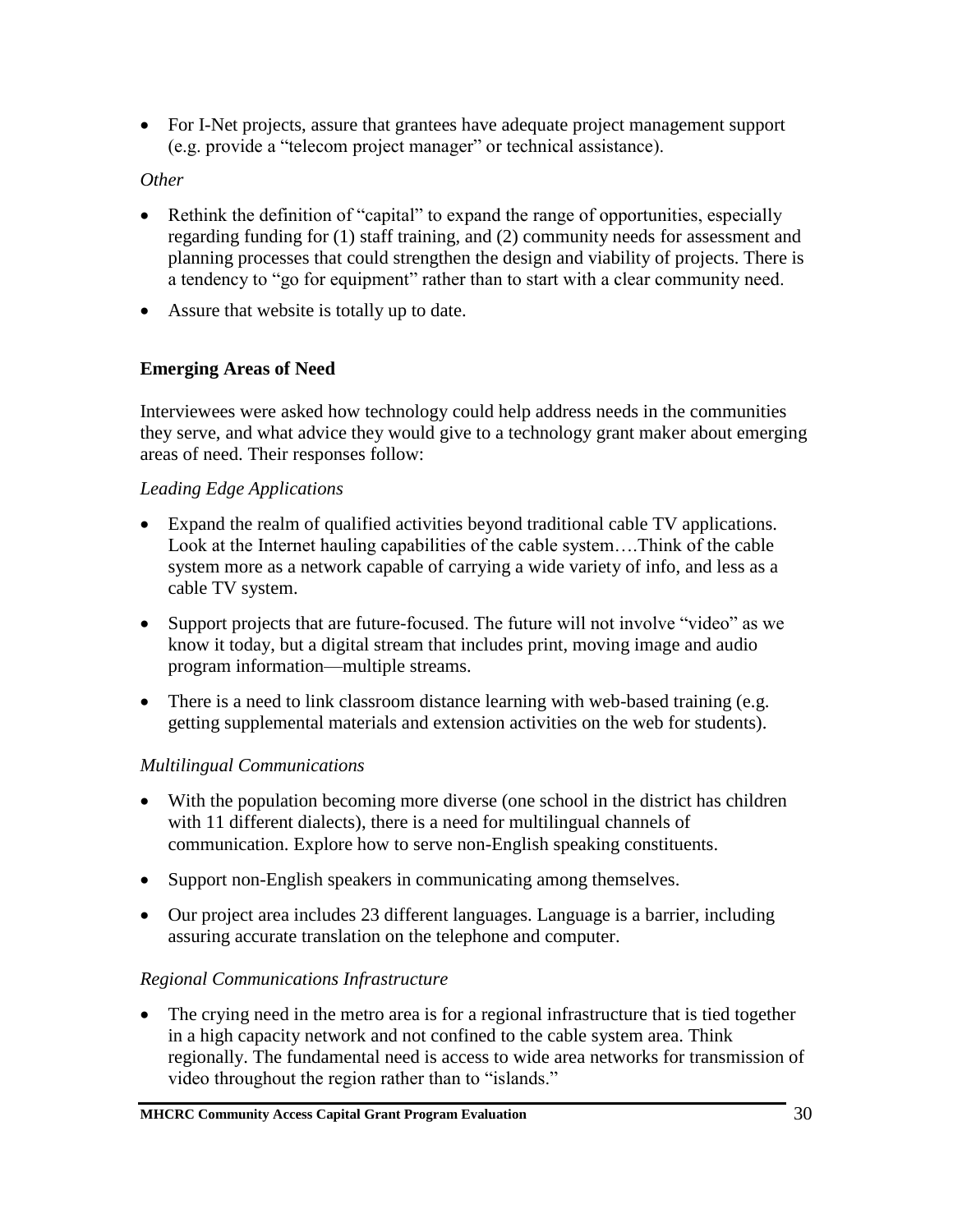• For I-Net projects, assure that grantees have adequate project management support (e.g. provide a "telecom project manager" or technical assistance).

### *Other*

- Rethink the definition of "capital" to expand the range of opportunities, especially regarding funding for (1) staff training, and (2) community needs for assessment and planning processes that could strengthen the design and viability of projects. There is a tendency to "go for equipment" rather than to start with a clear community need.
- Assure that website is totally up to date.

### **Emerging Areas of Need**

Interviewees were asked how technology could help address needs in the communities they serve, and what advice they would give to a technology grant maker about emerging areas of need. Their responses follow:

#### *Leading Edge Applications*

- Expand the realm of qualified activities beyond traditional cable TV applications. Look at the Internet hauling capabilities of the cable system….Think of the cable system more as a network capable of carrying a wide variety of info, and less as a cable TV system.
- Support projects that are future-focused. The future will not involve "video" as we know it today, but a digital stream that includes print, moving image and audio program information—multiple streams.
- There is a need to link classroom distance learning with web-based training (e.g. getting supplemental materials and extension activities on the web for students).

### *Multilingual Communications*

- With the population becoming more diverse (one school in the district has children with 11 different dialects), there is a need for multilingual channels of communication. Explore how to serve non-English speaking constituents.
- Support non-English speakers in communicating among themselves.
- Our project area includes 23 different languages. Language is a barrier, including assuring accurate translation on the telephone and computer.

### *Regional Communications Infrastructure*

• The crying need in the metro area is for a regional infrastructure that is tied together in a high capacity network and not confined to the cable system area. Think regionally. The fundamental need is access to wide area networks for transmission of video throughout the region rather than to "islands."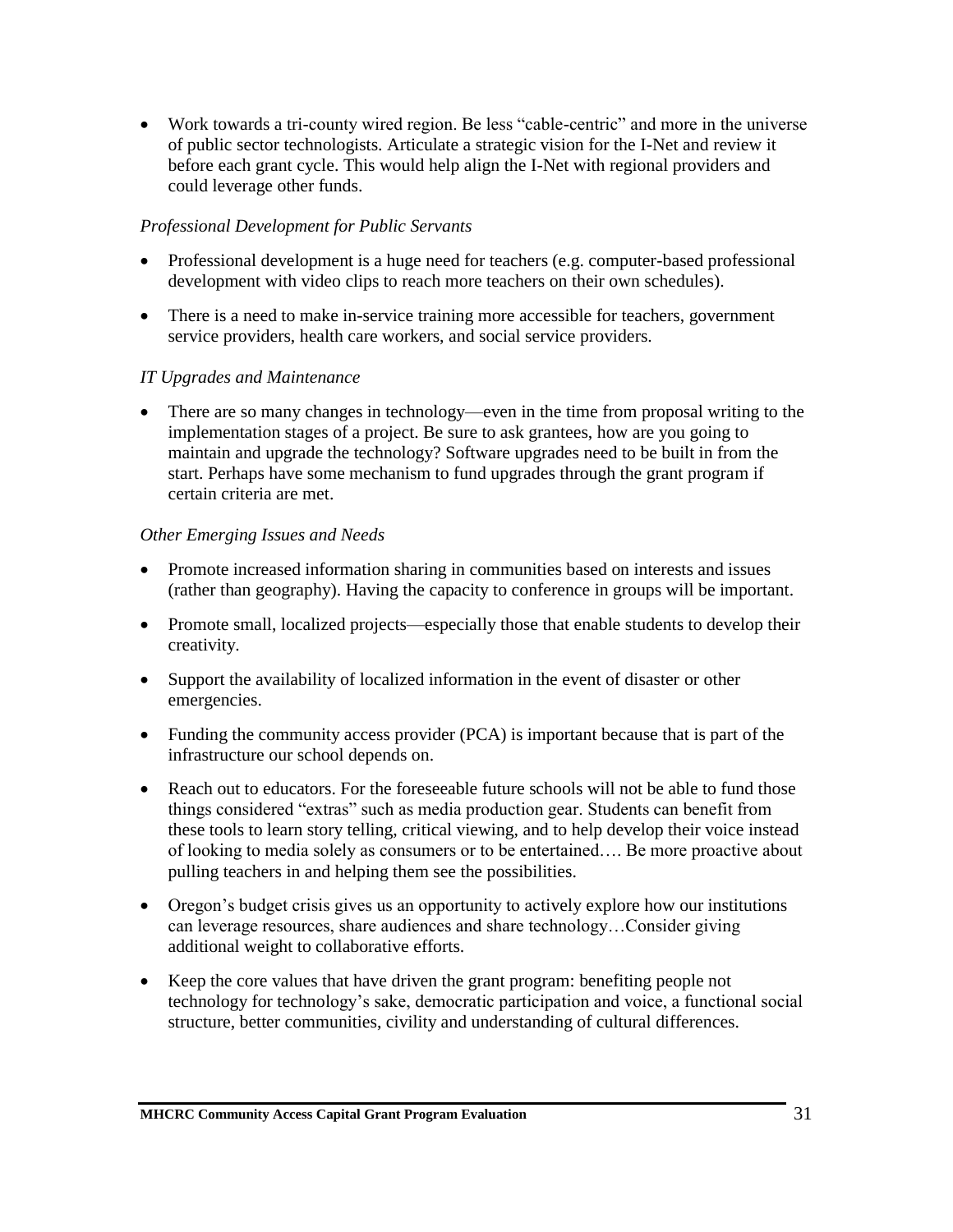• Work towards a tri-county wired region. Be less "cable-centric" and more in the universe of public sector technologists. Articulate a strategic vision for the I-Net and review it before each grant cycle. This would help align the I-Net with regional providers and could leverage other funds.

#### *Professional Development for Public Servants*

- Professional development is a huge need for teachers (e.g. computer-based professional development with video clips to reach more teachers on their own schedules).
- There is a need to make in-service training more accessible for teachers, government service providers, health care workers, and social service providers.

#### *IT Upgrades and Maintenance*

• There are so many changes in technology—even in the time from proposal writing to the implementation stages of a project. Be sure to ask grantees, how are you going to maintain and upgrade the technology? Software upgrades need to be built in from the start. Perhaps have some mechanism to fund upgrades through the grant program if certain criteria are met.

#### *Other Emerging Issues and Needs*

- Promote increased information sharing in communities based on interests and issues (rather than geography). Having the capacity to conference in groups will be important.
- Promote small, localized projects—especially those that enable students to develop their creativity.
- Support the availability of localized information in the event of disaster or other emergencies.
- Funding the community access provider (PCA) is important because that is part of the infrastructure our school depends on.
- Reach out to educators. For the foreseeable future schools will not be able to fund those things considered "extras" such as media production gear. Students can benefit from these tools to learn story telling, critical viewing, and to help develop their voice instead of looking to media solely as consumers or to be entertained…. Be more proactive about pulling teachers in and helping them see the possibilities.
- Oregon's budget crisis gives us an opportunity to actively explore how our institutions can leverage resources, share audiences and share technology…Consider giving additional weight to collaborative efforts.
- Keep the core values that have driven the grant program: benefiting people not technology for technology's sake, democratic participation and voice, a functional social structure, better communities, civility and understanding of cultural differences.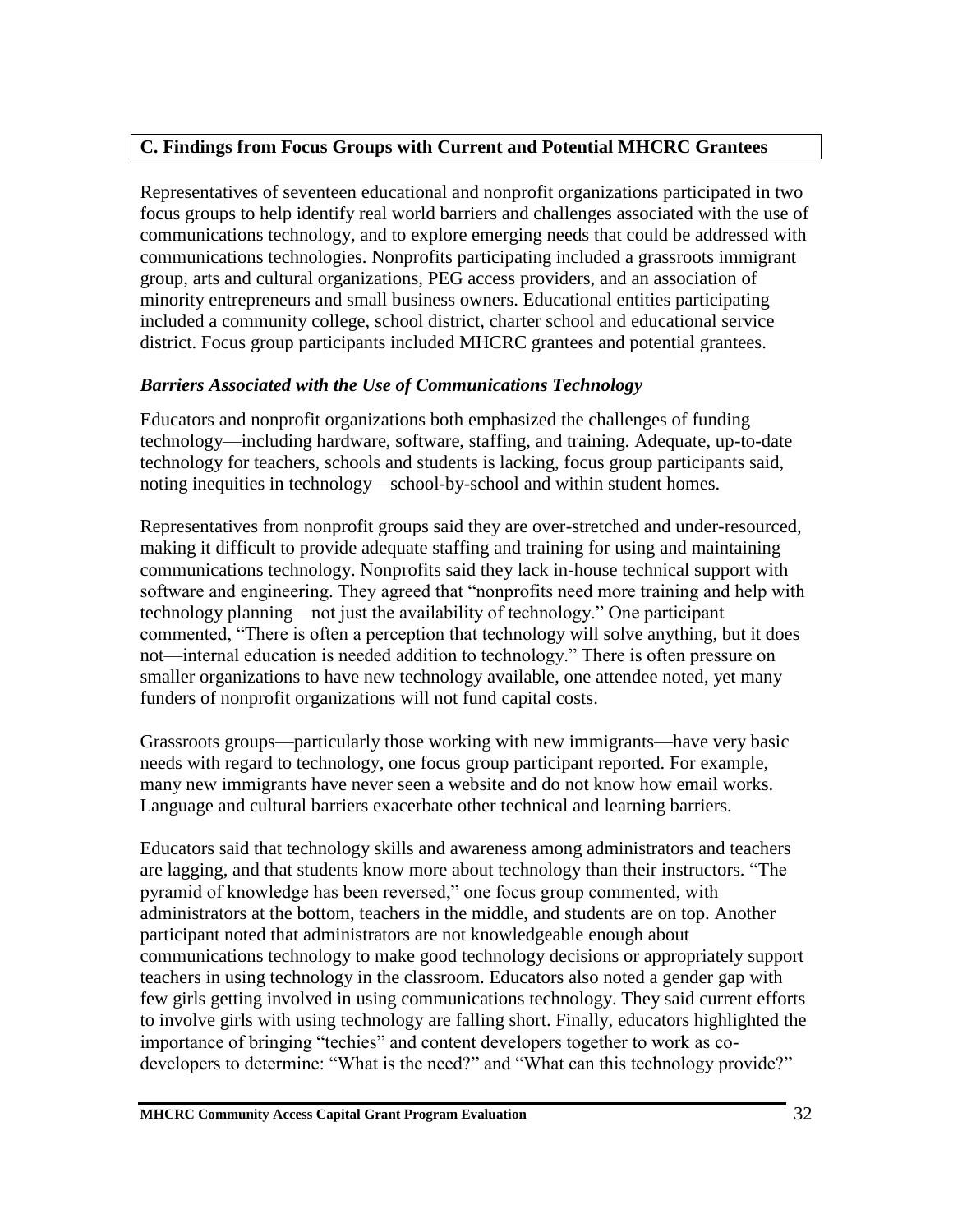### **C. Findings from Focus Groups with Current and Potential MHCRC Grantees**

Representatives of seventeen educational and nonprofit organizations participated in two focus groups to help identify real world barriers and challenges associated with the use of communications technology, and to explore emerging needs that could be addressed with communications technologies. Nonprofits participating included a grassroots immigrant group, arts and cultural organizations, PEG access providers, and an association of minority entrepreneurs and small business owners. Educational entities participating included a community college, school district, charter school and educational service district. Focus group participants included MHCRC grantees and potential grantees.

### *Barriers Associated with the Use of Communications Technology*

Educators and nonprofit organizations both emphasized the challenges of funding technology—including hardware, software, staffing, and training. Adequate, up-to-date technology for teachers, schools and students is lacking, focus group participants said, noting inequities in technology—school-by-school and within student homes.

Representatives from nonprofit groups said they are over-stretched and under-resourced, making it difficult to provide adequate staffing and training for using and maintaining communications technology. Nonprofits said they lack in-house technical support with software and engineering. They agreed that "nonprofits need more training and help with technology planning—not just the availability of technology." One participant commented, "There is often a perception that technology will solve anything, but it does not—internal education is needed addition to technology." There is often pressure on smaller organizations to have new technology available, one attendee noted, yet many funders of nonprofit organizations will not fund capital costs.

Grassroots groups—particularly those working with new immigrants—have very basic needs with regard to technology, one focus group participant reported. For example, many new immigrants have never seen a website and do not know how email works. Language and cultural barriers exacerbate other technical and learning barriers.

Educators said that technology skills and awareness among administrators and teachers are lagging, and that students know more about technology than their instructors. "The pyramid of knowledge has been reversed," one focus group commented, with administrators at the bottom, teachers in the middle, and students are on top. Another participant noted that administrators are not knowledgeable enough about communications technology to make good technology decisions or appropriately support teachers in using technology in the classroom. Educators also noted a gender gap with few girls getting involved in using communications technology. They said current efforts to involve girls with using technology are falling short. Finally, educators highlighted the importance of bringing "techies" and content developers together to work as codevelopers to determine: "What is the need?" and "What can this technology provide?"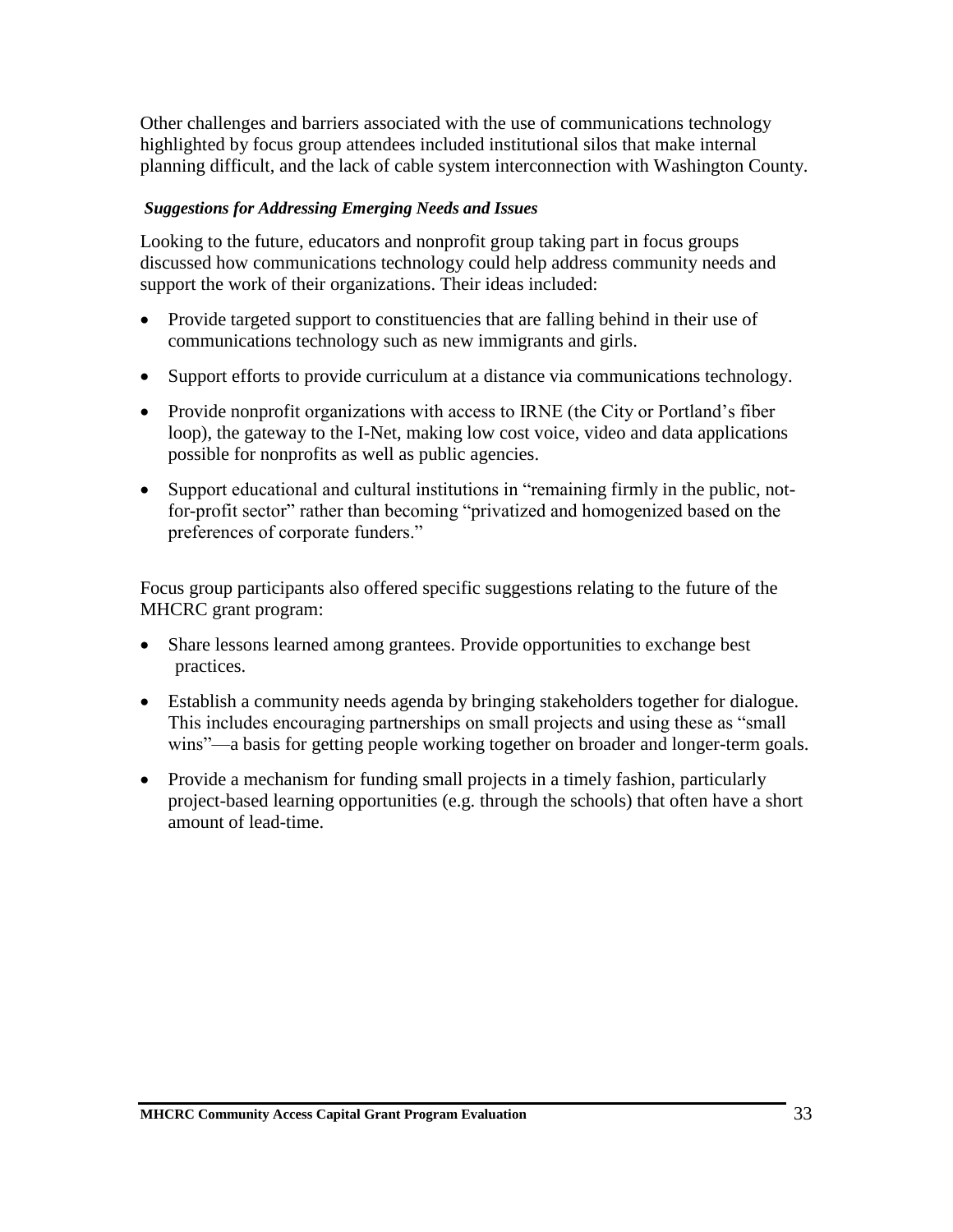Other challenges and barriers associated with the use of communications technology highlighted by focus group attendees included institutional silos that make internal planning difficult, and the lack of cable system interconnection with Washington County.

#### *Suggestions for Addressing Emerging Needs and Issues*

Looking to the future, educators and nonprofit group taking part in focus groups discussed how communications technology could help address community needs and support the work of their organizations. Their ideas included:

- Provide targeted support to constituencies that are falling behind in their use of communications technology such as new immigrants and girls.
- Support efforts to provide curriculum at a distance via communications technology.
- Provide nonprofit organizations with access to IRNE (the City or Portland's fiber loop), the gateway to the I-Net, making low cost voice, video and data applications possible for nonprofits as well as public agencies.
- Support educational and cultural institutions in "remaining firmly in the public, notfor-profit sector" rather than becoming "privatized and homogenized based on the preferences of corporate funders."

Focus group participants also offered specific suggestions relating to the future of the MHCRC grant program:

- Share lessons learned among grantees. Provide opportunities to exchange best practices.
- Establish a community needs agenda by bringing stakeholders together for dialogue. This includes encouraging partnerships on small projects and using these as "small wins"—a basis for getting people working together on broader and longer-term goals.
- Provide a mechanism for funding small projects in a timely fashion, particularly project-based learning opportunities (e.g. through the schools) that often have a short amount of lead-time.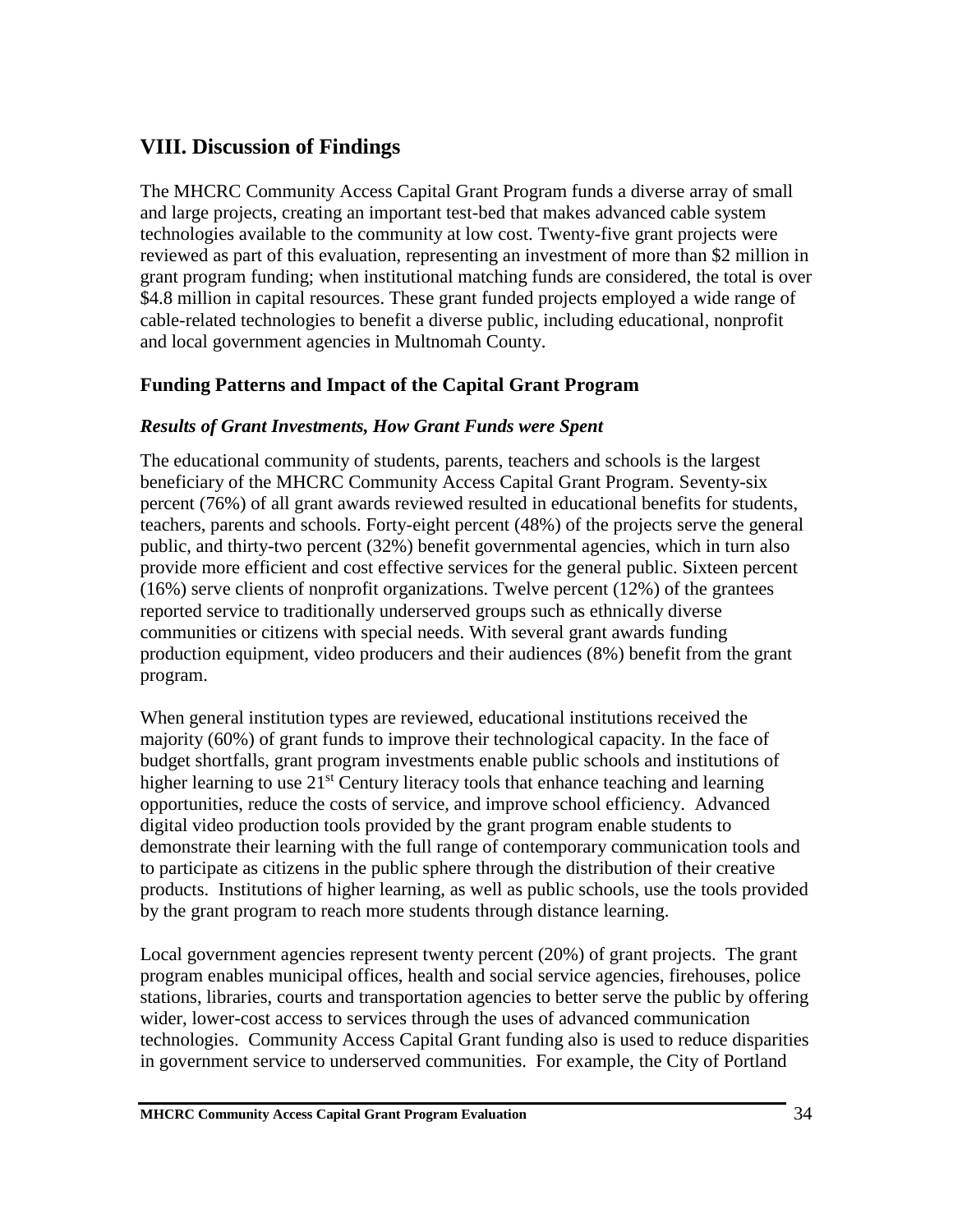# **VIII. Discussion of Findings**

The MHCRC Community Access Capital Grant Program funds a diverse array of small and large projects, creating an important test-bed that makes advanced cable system technologies available to the community at low cost. Twenty-five grant projects were reviewed as part of this evaluation, representing an investment of more than \$2 million in grant program funding; when institutional matching funds are considered, the total is over \$4.8 million in capital resources. These grant funded projects employed a wide range of cable-related technologies to benefit a diverse public, including educational, nonprofit and local government agencies in Multnomah County.

## **Funding Patterns and Impact of the Capital Grant Program**

#### *Results of Grant Investments, How Grant Funds were Spent*

The educational community of students, parents, teachers and schools is the largest beneficiary of the MHCRC Community Access Capital Grant Program. Seventy-six percent (76%) of all grant awards reviewed resulted in educational benefits for students, teachers, parents and schools. Forty-eight percent (48%) of the projects serve the general public, and thirty-two percent (32%) benefit governmental agencies, which in turn also provide more efficient and cost effective services for the general public. Sixteen percent (16%) serve clients of nonprofit organizations. Twelve percent (12%) of the grantees reported service to traditionally underserved groups such as ethnically diverse communities or citizens with special needs. With several grant awards funding production equipment, video producers and their audiences (8%) benefit from the grant program.

When general institution types are reviewed, educational institutions received the majority (60%) of grant funds to improve their technological capacity. In the face of budget shortfalls, grant program investments enable public schools and institutions of higher learning to use  $21<sup>st</sup>$  Century literacy tools that enhance teaching and learning opportunities, reduce the costs of service, and improve school efficiency. Advanced digital video production tools provided by the grant program enable students to demonstrate their learning with the full range of contemporary communication tools and to participate as citizens in the public sphere through the distribution of their creative products. Institutions of higher learning, as well as public schools, use the tools provided by the grant program to reach more students through distance learning.

Local government agencies represent twenty percent (20%) of grant projects. The grant program enables municipal offices, health and social service agencies, firehouses, police stations, libraries, courts and transportation agencies to better serve the public by offering wider, lower-cost access to services through the uses of advanced communication technologies. Community Access Capital Grant funding also is used to reduce disparities in government service to underserved communities. For example, the City of Portland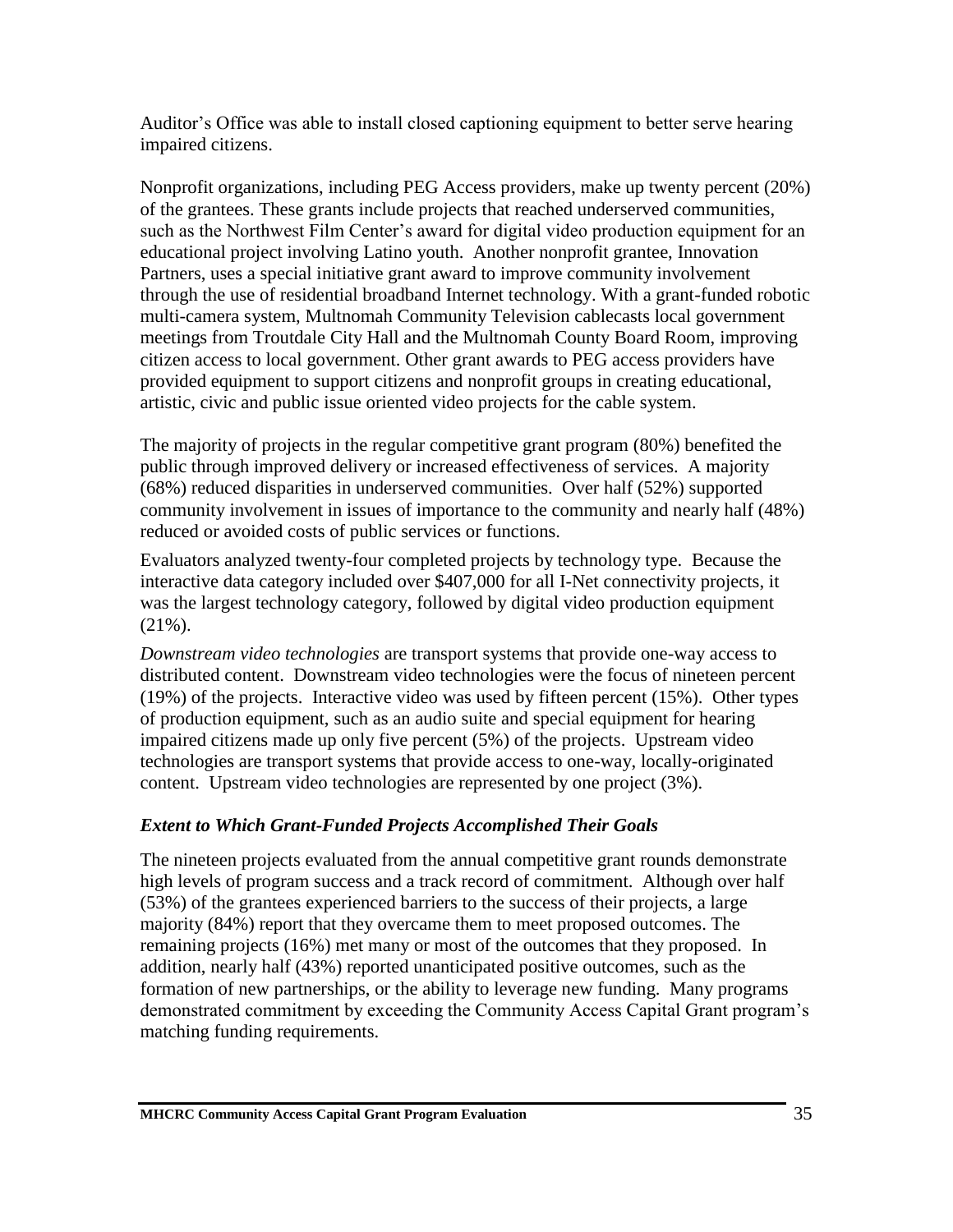Auditor's Office was able to install closed captioning equipment to better serve hearing impaired citizens.

Nonprofit organizations, including PEG Access providers, make up twenty percent (20%) of the grantees. These grants include projects that reached underserved communities, such as the Northwest Film Center's award for digital video production equipment for an educational project involving Latino youth. Another nonprofit grantee, Innovation Partners, uses a special initiative grant award to improve community involvement through the use of residential broadband Internet technology. With a grant-funded robotic multi-camera system, Multnomah Community Television cablecasts local government meetings from Troutdale City Hall and the Multnomah County Board Room, improving citizen access to local government. Other grant awards to PEG access providers have provided equipment to support citizens and nonprofit groups in creating educational, artistic, civic and public issue oriented video projects for the cable system.

The majority of projects in the regular competitive grant program (80%) benefited the public through improved delivery or increased effectiveness of services. A majority (68%) reduced disparities in underserved communities. Over half (52%) supported community involvement in issues of importance to the community and nearly half (48%) reduced or avoided costs of public services or functions.

Evaluators analyzed twenty-four completed projects by technology type. Because the interactive data category included over \$407,000 for all I-Net connectivity projects, it was the largest technology category, followed by digital video production equipment (21%).

*Downstream video technologies* are transport systems that provide one-way access to distributed content. Downstream video technologies were the focus of nineteen percent (19%) of the projects. Interactive video was used by fifteen percent (15%). Other types of production equipment, such as an audio suite and special equipment for hearing impaired citizens made up only five percent (5%) of the projects. Upstream video technologies are transport systems that provide access to one-way, locally-originated content. Upstream video technologies are represented by one project (3%).

## *Extent to Which Grant-Funded Projects Accomplished Their Goals*

The nineteen projects evaluated from the annual competitive grant rounds demonstrate high levels of program success and a track record of commitment. Although over half (53%) of the grantees experienced barriers to the success of their projects, a large majority (84%) report that they overcame them to meet proposed outcomes. The remaining projects (16%) met many or most of the outcomes that they proposed. In addition, nearly half (43%) reported unanticipated positive outcomes, such as the formation of new partnerships, or the ability to leverage new funding. Many programs demonstrated commitment by exceeding the Community Access Capital Grant program's matching funding requirements.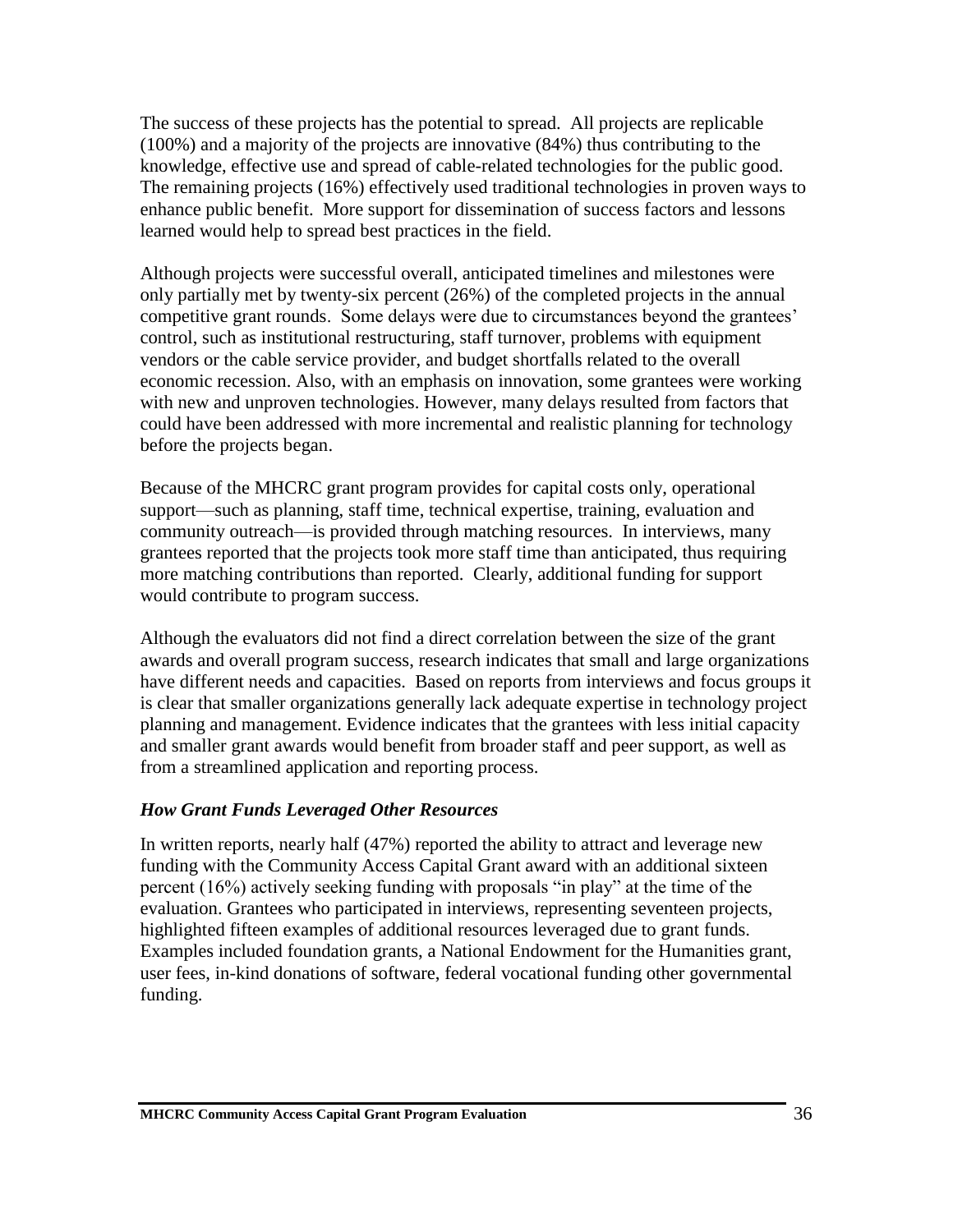The success of these projects has the potential to spread. All projects are replicable (100%) and a majority of the projects are innovative (84%) thus contributing to the knowledge, effective use and spread of cable-related technologies for the public good. The remaining projects (16%) effectively used traditional technologies in proven ways to enhance public benefit. More support for dissemination of success factors and lessons learned would help to spread best practices in the field.

Although projects were successful overall, anticipated timelines and milestones were only partially met by twenty-six percent (26%) of the completed projects in the annual competitive grant rounds. Some delays were due to circumstances beyond the grantees' control, such as institutional restructuring, staff turnover, problems with equipment vendors or the cable service provider, and budget shortfalls related to the overall economic recession. Also, with an emphasis on innovation, some grantees were working with new and unproven technologies. However, many delays resulted from factors that could have been addressed with more incremental and realistic planning for technology before the projects began.

Because of the MHCRC grant program provides for capital costs only, operational support—such as planning, staff time, technical expertise, training, evaluation and community outreach—is provided through matching resources. In interviews, many grantees reported that the projects took more staff time than anticipated, thus requiring more matching contributions than reported. Clearly, additional funding for support would contribute to program success.

Although the evaluators did not find a direct correlation between the size of the grant awards and overall program success, research indicates that small and large organizations have different needs and capacities. Based on reports from interviews and focus groups it is clear that smaller organizations generally lack adequate expertise in technology project planning and management. Evidence indicates that the grantees with less initial capacity and smaller grant awards would benefit from broader staff and peer support, as well as from a streamlined application and reporting process.

#### *How Grant Funds Leveraged Other Resources*

In written reports, nearly half (47%) reported the ability to attract and leverage new funding with the Community Access Capital Grant award with an additional sixteen percent (16%) actively seeking funding with proposals "in play" at the time of the evaluation. Grantees who participated in interviews, representing seventeen projects, highlighted fifteen examples of additional resources leveraged due to grant funds. Examples included foundation grants, a National Endowment for the Humanities grant, user fees, in-kind donations of software, federal vocational funding other governmental funding.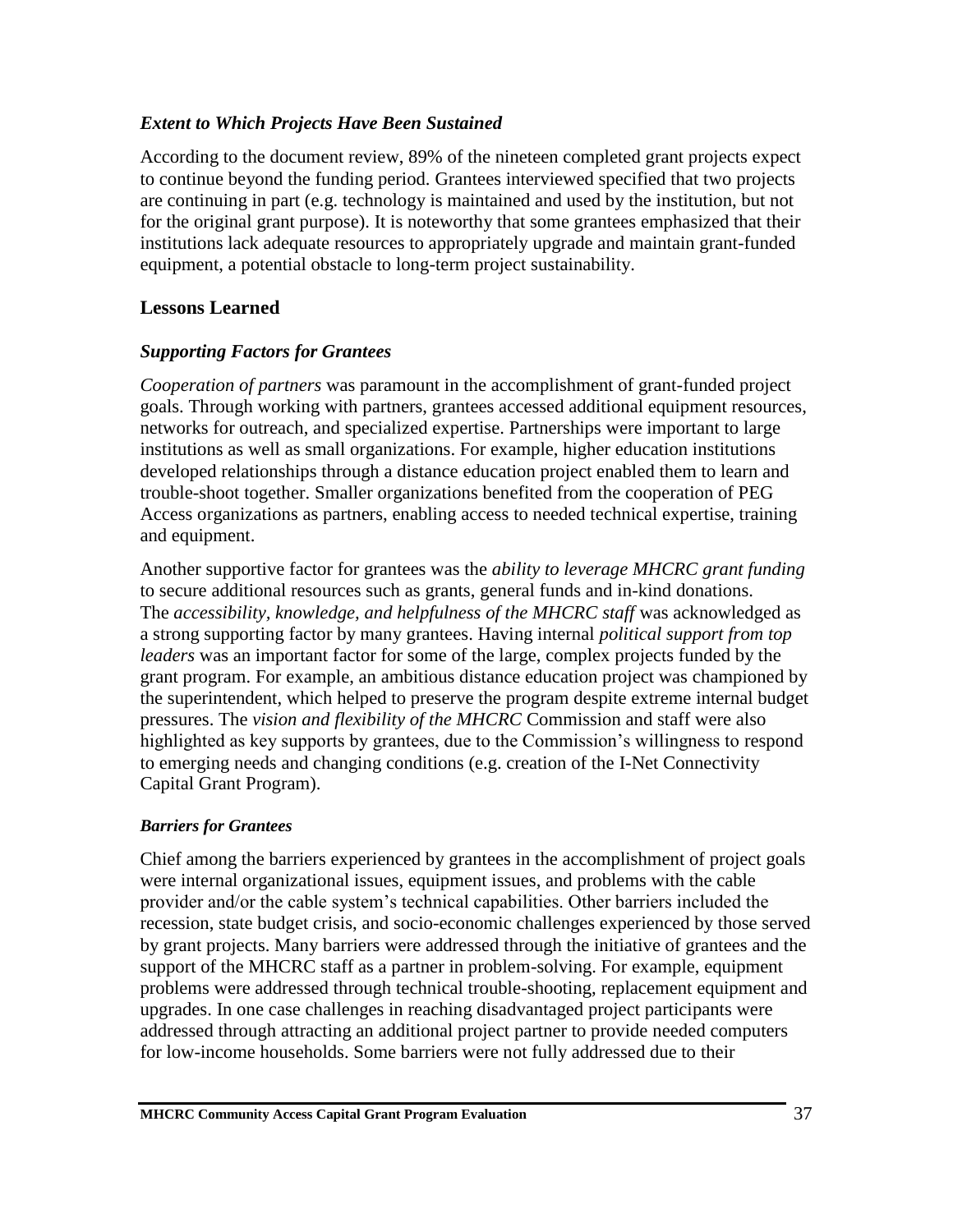#### *Extent to Which Projects Have Been Sustained*

According to the document review, 89% of the nineteen completed grant projects expect to continue beyond the funding period. Grantees interviewed specified that two projects are continuing in part (e.g. technology is maintained and used by the institution, but not for the original grant purpose). It is noteworthy that some grantees emphasized that their institutions lack adequate resources to appropriately upgrade and maintain grant-funded equipment, a potential obstacle to long-term project sustainability.

## **Lessons Learned**

### *Supporting Factors for Grantees*

*Cooperation of partners* was paramount in the accomplishment of grant-funded project goals. Through working with partners, grantees accessed additional equipment resources, networks for outreach, and specialized expertise. Partnerships were important to large institutions as well as small organizations. For example, higher education institutions developed relationships through a distance education project enabled them to learn and trouble-shoot together. Smaller organizations benefited from the cooperation of PEG Access organizations as partners, enabling access to needed technical expertise, training and equipment.

Another supportive factor for grantees was the *ability to leverage MHCRC grant funding* to secure additional resources such as grants, general funds and in-kind donations. The *accessibility, knowledge, and helpfulness of the MHCRC staff* was acknowledged as a strong supporting factor by many grantees. Having internal *political support from top leaders* was an important factor for some of the large, complex projects funded by the grant program. For example, an ambitious distance education project was championed by the superintendent, which helped to preserve the program despite extreme internal budget pressures. The *vision and flexibility of the MHCRC* Commission and staff were also highlighted as key supports by grantees, due to the Commission's willingness to respond to emerging needs and changing conditions (e.g. creation of the I-Net Connectivity Capital Grant Program).

### *Barriers for Grantees*

Chief among the barriers experienced by grantees in the accomplishment of project goals were internal organizational issues, equipment issues, and problems with the cable provider and/or the cable system's technical capabilities. Other barriers included the recession, state budget crisis, and socio-economic challenges experienced by those served by grant projects. Many barriers were addressed through the initiative of grantees and the support of the MHCRC staff as a partner in problem-solving. For example, equipment problems were addressed through technical trouble-shooting, replacement equipment and upgrades. In one case challenges in reaching disadvantaged project participants were addressed through attracting an additional project partner to provide needed computers for low-income households. Some barriers were not fully addressed due to their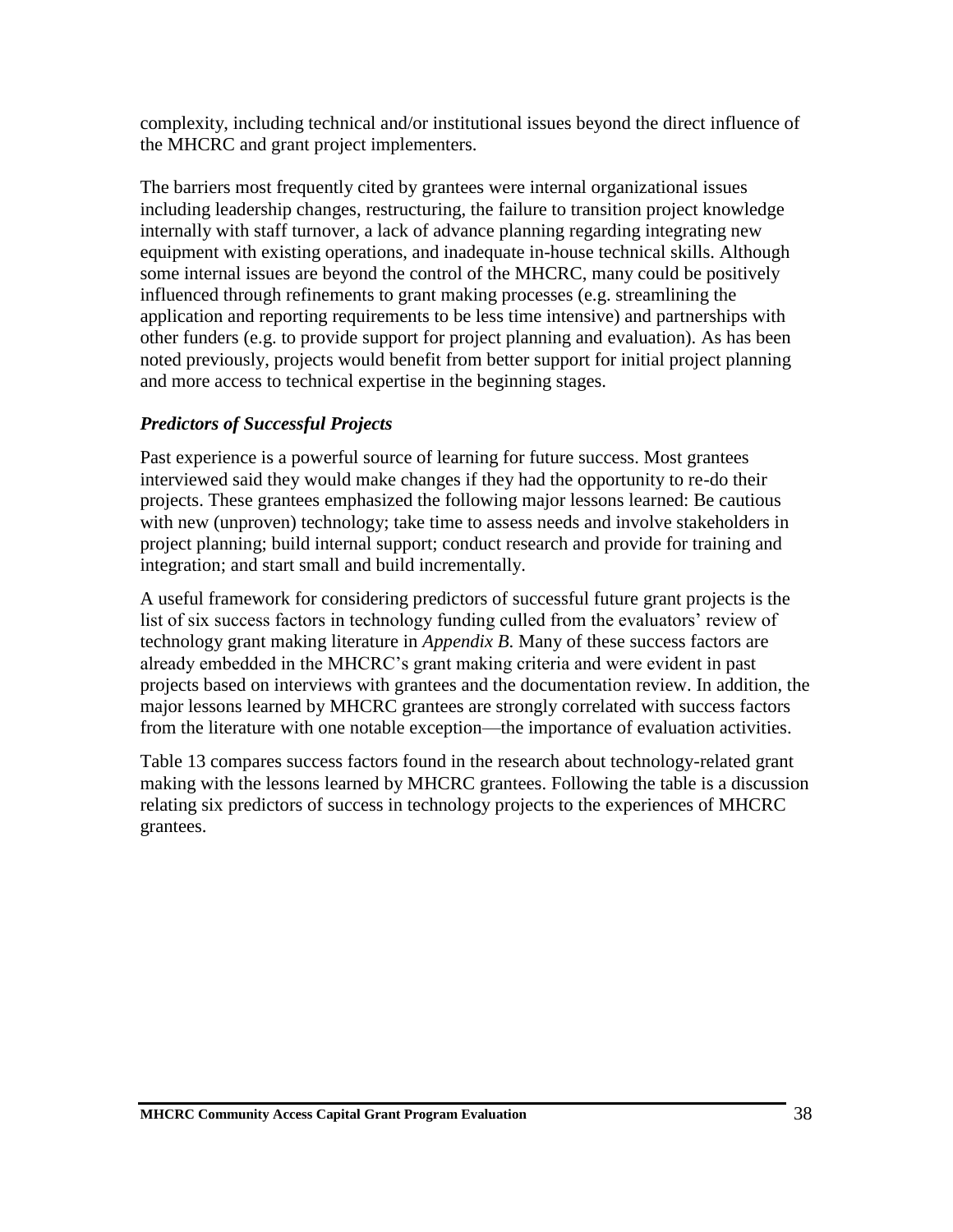complexity, including technical and/or institutional issues beyond the direct influence of the MHCRC and grant project implementers.

The barriers most frequently cited by grantees were internal organizational issues including leadership changes, restructuring, the failure to transition project knowledge internally with staff turnover, a lack of advance planning regarding integrating new equipment with existing operations, and inadequate in-house technical skills. Although some internal issues are beyond the control of the MHCRC, many could be positively influenced through refinements to grant making processes (e.g. streamlining the application and reporting requirements to be less time intensive) and partnerships with other funders (e.g. to provide support for project planning and evaluation). As has been noted previously, projects would benefit from better support for initial project planning and more access to technical expertise in the beginning stages.

### *Predictors of Successful Projects*

Past experience is a powerful source of learning for future success. Most grantees interviewed said they would make changes if they had the opportunity to re-do their projects. These grantees emphasized the following major lessons learned: Be cautious with new (unproven) technology; take time to assess needs and involve stakeholders in project planning; build internal support; conduct research and provide for training and integration; and start small and build incrementally.

A useful framework for considering predictors of successful future grant projects is the list of six success factors in technology funding culled from the evaluators' review of technology grant making literature in *Appendix B*. Many of these success factors are already embedded in the MHCRC's grant making criteria and were evident in past projects based on interviews with grantees and the documentation review. In addition, the major lessons learned by MHCRC grantees are strongly correlated with success factors from the literature with one notable exception—the importance of evaluation activities.

Table 13 compares success factors found in the research about technology-related grant making with the lessons learned by MHCRC grantees. Following the table is a discussion relating six predictors of success in technology projects to the experiences of MHCRC grantees.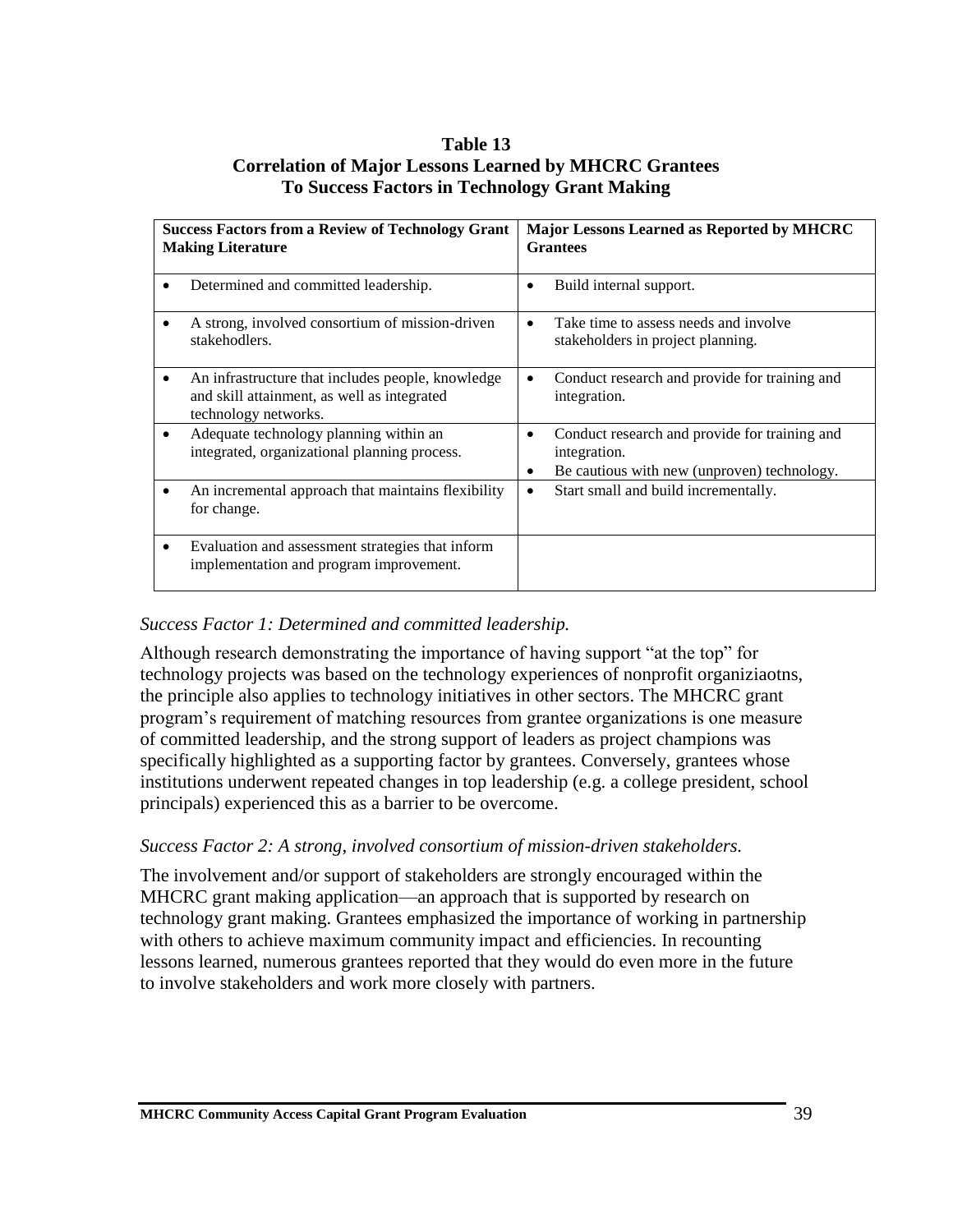#### **Table 13 Correlation of Major Lessons Learned by MHCRC Grantees To Success Factors in Technology Grant Making**

| <b>Success Factors from a Review of Technology Grant</b><br><b>Making Literature</b>                                     | <b>Major Lessons Learned as Reported by MHCRC</b><br><b>Grantees</b>                                                   |
|--------------------------------------------------------------------------------------------------------------------------|------------------------------------------------------------------------------------------------------------------------|
| Determined and committed leadership.                                                                                     | Build internal support.                                                                                                |
| A strong, involved consortium of mission-driven<br>stakehodlers.                                                         | Take time to assess needs and involve<br>stakeholders in project planning.                                             |
| An infrastructure that includes people, knowledge<br>and skill attainment, as well as integrated<br>technology networks. | Conduct research and provide for training and<br>٠<br>integration.                                                     |
| Adequate technology planning within an<br>integrated, organizational planning process.                                   | Conduct research and provide for training and<br>٠<br>integration.<br>Be cautious with new (unproven) technology.<br>٠ |
| An incremental approach that maintains flexibility<br>for change.                                                        | Start small and build incrementally.<br>٠                                                                              |
| Evaluation and assessment strategies that inform<br>٠<br>implementation and program improvement.                         |                                                                                                                        |

#### *Success Factor 1: Determined and committed leadership.*

Although research demonstrating the importance of having support "at the top" for technology projects was based on the technology experiences of nonprofit organiziaotns, the principle also applies to technology initiatives in other sectors. The MHCRC grant program's requirement of matching resources from grantee organizations is one measure of committed leadership, and the strong support of leaders as project champions was specifically highlighted as a supporting factor by grantees. Conversely, grantees whose institutions underwent repeated changes in top leadership (e.g. a college president, school principals) experienced this as a barrier to be overcome.

#### *Success Factor 2: A strong, involved consortium of mission-driven stakeholders.*

The involvement and/or support of stakeholders are strongly encouraged within the MHCRC grant making application—an approach that is supported by research on technology grant making. Grantees emphasized the importance of working in partnership with others to achieve maximum community impact and efficiencies. In recounting lessons learned, numerous grantees reported that they would do even more in the future to involve stakeholders and work more closely with partners.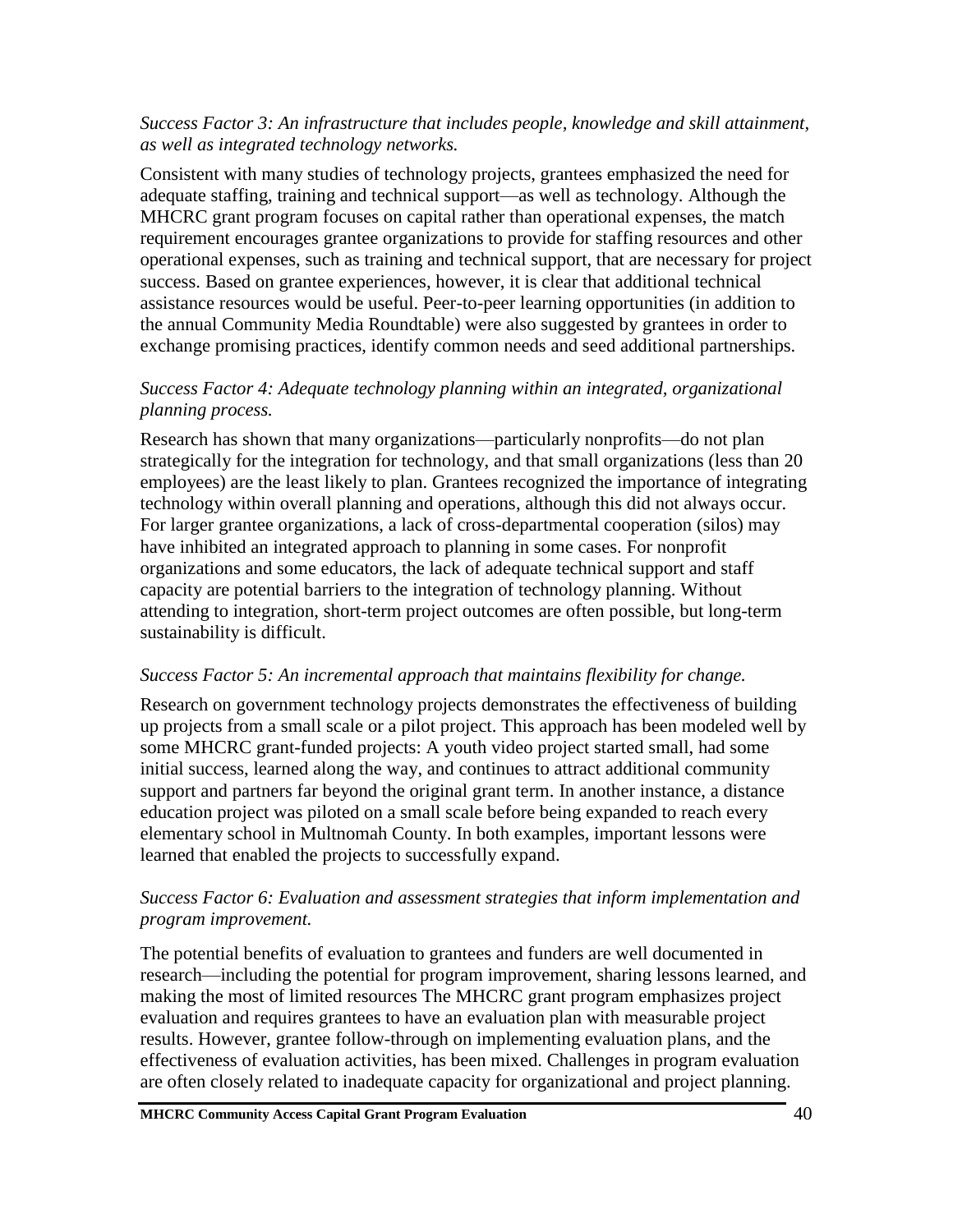#### *Success Factor 3: An infrastructure that includes people, knowledge and skill attainment, as well as integrated technology networks.*

Consistent with many studies of technology projects, grantees emphasized the need for adequate staffing, training and technical support—as well as technology. Although the MHCRC grant program focuses on capital rather than operational expenses, the match requirement encourages grantee organizations to provide for staffing resources and other operational expenses, such as training and technical support, that are necessary for project success. Based on grantee experiences, however, it is clear that additional technical assistance resources would be useful. Peer-to-peer learning opportunities (in addition to the annual Community Media Roundtable) were also suggested by grantees in order to exchange promising practices, identify common needs and seed additional partnerships.

### *Success Factor 4: Adequate technology planning within an integrated, organizational planning process.*

Research has shown that many organizations—particularly nonprofits—do not plan strategically for the integration for technology, and that small organizations (less than 20 employees) are the least likely to plan. Grantees recognized the importance of integrating technology within overall planning and operations, although this did not always occur. For larger grantee organizations, a lack of cross-departmental cooperation (silos) may have inhibited an integrated approach to planning in some cases. For nonprofit organizations and some educators, the lack of adequate technical support and staff capacity are potential barriers to the integration of technology planning. Without attending to integration, short-term project outcomes are often possible, but long-term sustainability is difficult.

#### *Success Factor 5: An incremental approach that maintains flexibility for change.*

Research on government technology projects demonstrates the effectiveness of building up projects from a small scale or a pilot project. This approach has been modeled well by some MHCRC grant-funded projects: A youth video project started small, had some initial success, learned along the way, and continues to attract additional community support and partners far beyond the original grant term. In another instance, a distance education project was piloted on a small scale before being expanded to reach every elementary school in Multnomah County. In both examples, important lessons were learned that enabled the projects to successfully expand.

#### *Success Factor 6: Evaluation and assessment strategies that inform implementation and program improvement.*

The potential benefits of evaluation to grantees and funders are well documented in research—including the potential for program improvement, sharing lessons learned, and making the most of limited resources The MHCRC grant program emphasizes project evaluation and requires grantees to have an evaluation plan with measurable project results. However, grantee follow-through on implementing evaluation plans, and the effectiveness of evaluation activities, has been mixed. Challenges in program evaluation are often closely related to inadequate capacity for organizational and project planning.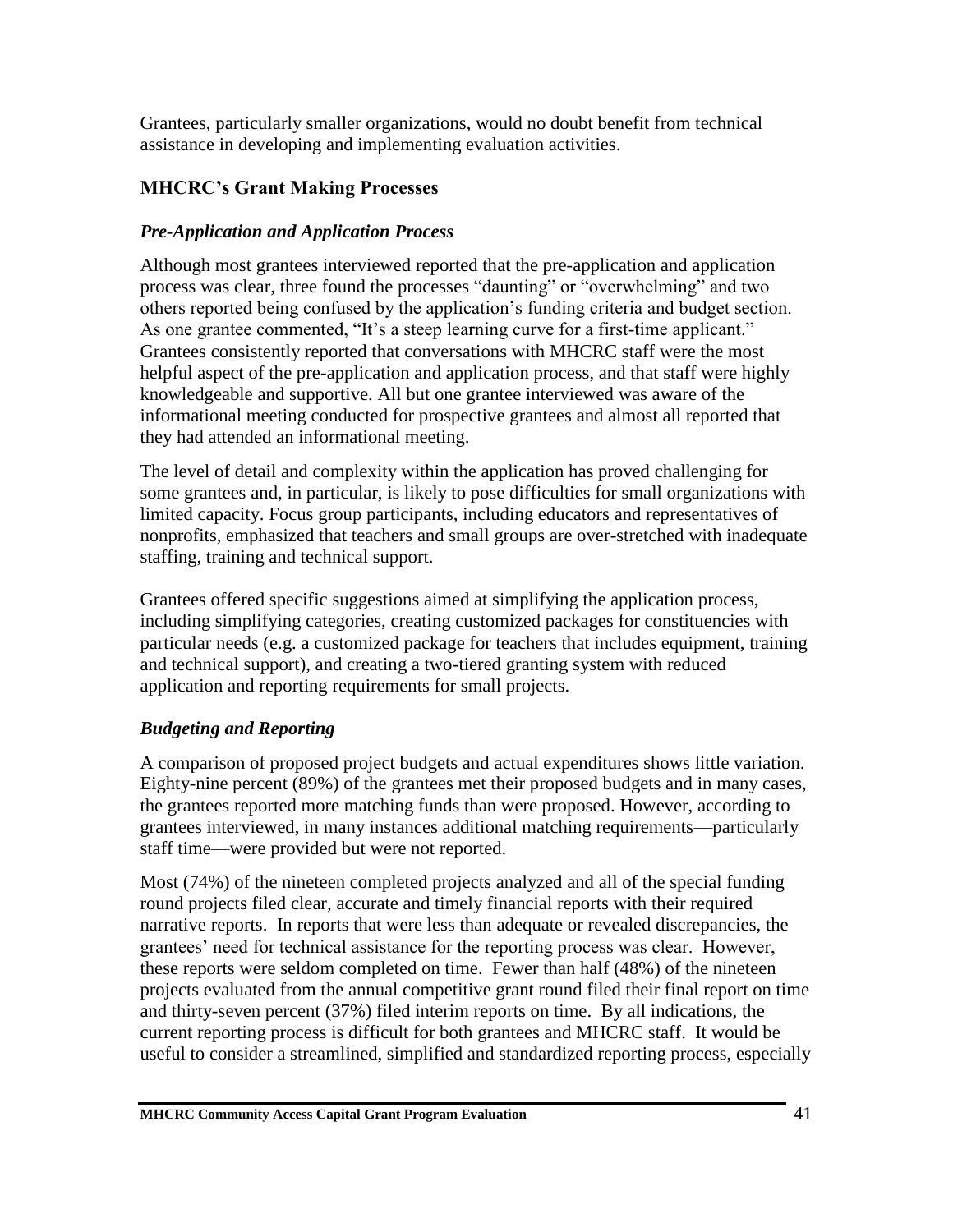Grantees, particularly smaller organizations, would no doubt benefit from technical assistance in developing and implementing evaluation activities.

## **MHCRC's Grant Making Processes**

## *Pre-Application and Application Process*

Although most grantees interviewed reported that the pre-application and application process was clear, three found the processes "daunting" or "overwhelming" and two others reported being confused by the application's funding criteria and budget section. As one grantee commented, "It's a steep learning curve for a first-time applicant." Grantees consistently reported that conversations with MHCRC staff were the most helpful aspect of the pre-application and application process, and that staff were highly knowledgeable and supportive. All but one grantee interviewed was aware of the informational meeting conducted for prospective grantees and almost all reported that they had attended an informational meeting.

The level of detail and complexity within the application has proved challenging for some grantees and, in particular, is likely to pose difficulties for small organizations with limited capacity. Focus group participants, including educators and representatives of nonprofits, emphasized that teachers and small groups are over-stretched with inadequate staffing, training and technical support.

Grantees offered specific suggestions aimed at simplifying the application process, including simplifying categories, creating customized packages for constituencies with particular needs (e.g. a customized package for teachers that includes equipment, training and technical support), and creating a two-tiered granting system with reduced application and reporting requirements for small projects.

# *Budgeting and Reporting*

A comparison of proposed project budgets and actual expenditures shows little variation. Eighty-nine percent (89%) of the grantees met their proposed budgets and in many cases, the grantees reported more matching funds than were proposed. However, according to grantees interviewed, in many instances additional matching requirements—particularly staff time—were provided but were not reported.

Most (74%) of the nineteen completed projects analyzed and all of the special funding round projects filed clear, accurate and timely financial reports with their required narrative reports. In reports that were less than adequate or revealed discrepancies, the grantees' need for technical assistance for the reporting process was clear. However, these reports were seldom completed on time. Fewer than half (48%) of the nineteen projects evaluated from the annual competitive grant round filed their final report on time and thirty-seven percent (37%) filed interim reports on time. By all indications, the current reporting process is difficult for both grantees and MHCRC staff. It would be useful to consider a streamlined, simplified and standardized reporting process, especially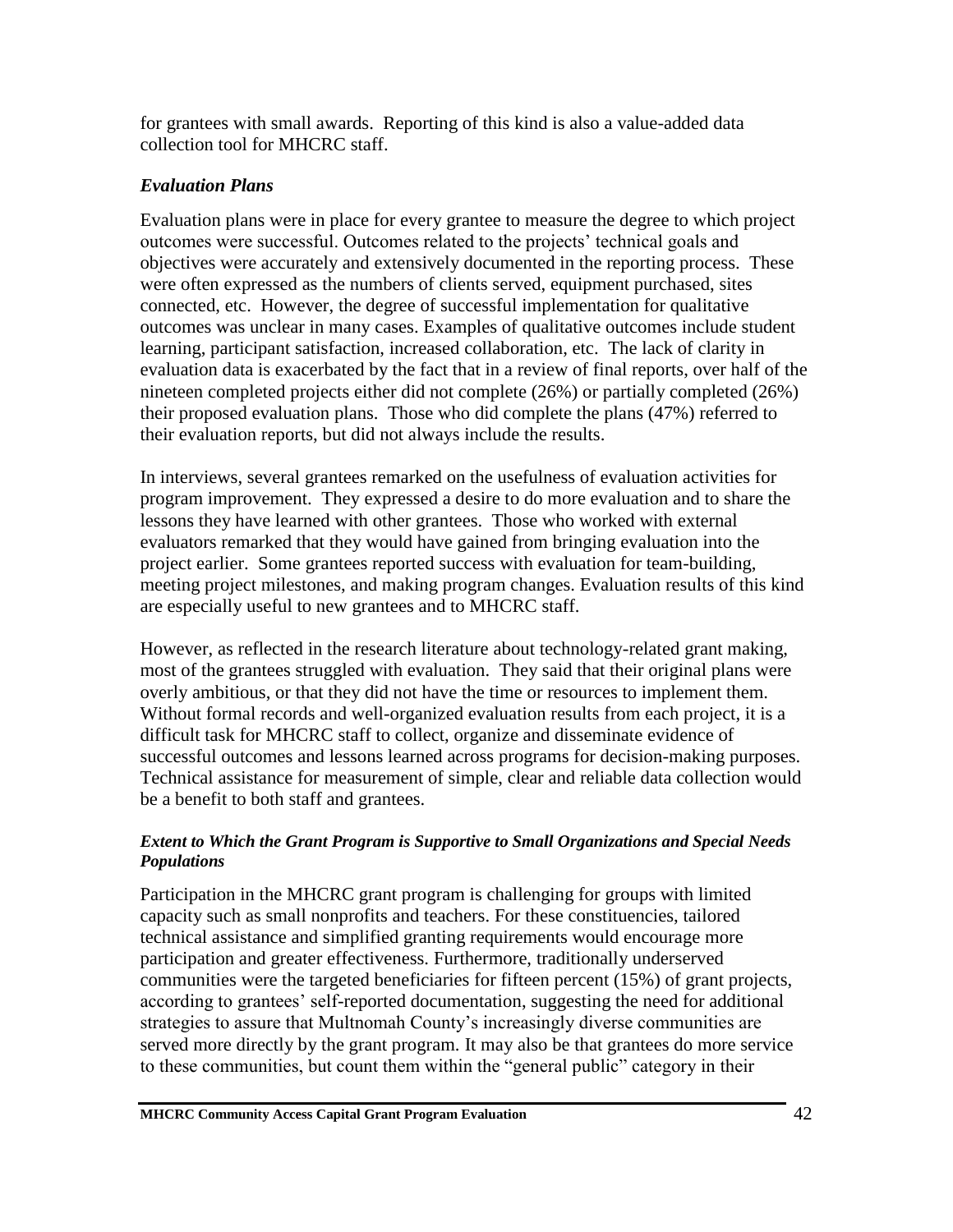for grantees with small awards. Reporting of this kind is also a value-added data collection tool for MHCRC staff.

### *Evaluation Plans*

Evaluation plans were in place for every grantee to measure the degree to which project outcomes were successful. Outcomes related to the projects' technical goals and objectives were accurately and extensively documented in the reporting process. These were often expressed as the numbers of clients served, equipment purchased, sites connected, etc. However, the degree of successful implementation for qualitative outcomes was unclear in many cases. Examples of qualitative outcomes include student learning, participant satisfaction, increased collaboration, etc. The lack of clarity in evaluation data is exacerbated by the fact that in a review of final reports, over half of the nineteen completed projects either did not complete (26%) or partially completed (26%) their proposed evaluation plans. Those who did complete the plans (47%) referred to their evaluation reports, but did not always include the results.

In interviews, several grantees remarked on the usefulness of evaluation activities for program improvement. They expressed a desire to do more evaluation and to share the lessons they have learned with other grantees. Those who worked with external evaluators remarked that they would have gained from bringing evaluation into the project earlier. Some grantees reported success with evaluation for team-building, meeting project milestones, and making program changes. Evaluation results of this kind are especially useful to new grantees and to MHCRC staff.

However, as reflected in the research literature about technology-related grant making, most of the grantees struggled with evaluation. They said that their original plans were overly ambitious, or that they did not have the time or resources to implement them. Without formal records and well-organized evaluation results from each project, it is a difficult task for MHCRC staff to collect, organize and disseminate evidence of successful outcomes and lessons learned across programs for decision-making purposes. Technical assistance for measurement of simple, clear and reliable data collection would be a benefit to both staff and grantees.

#### *Extent to Which the Grant Program is Supportive to Small Organizations and Special Needs Populations*

Participation in the MHCRC grant program is challenging for groups with limited capacity such as small nonprofits and teachers. For these constituencies, tailored technical assistance and simplified granting requirements would encourage more participation and greater effectiveness. Furthermore, traditionally underserved communities were the targeted beneficiaries for fifteen percent (15%) of grant projects, according to grantees' self-reported documentation, suggesting the need for additional strategies to assure that Multnomah County's increasingly diverse communities are served more directly by the grant program. It may also be that grantees do more service to these communities, but count them within the "general public" category in their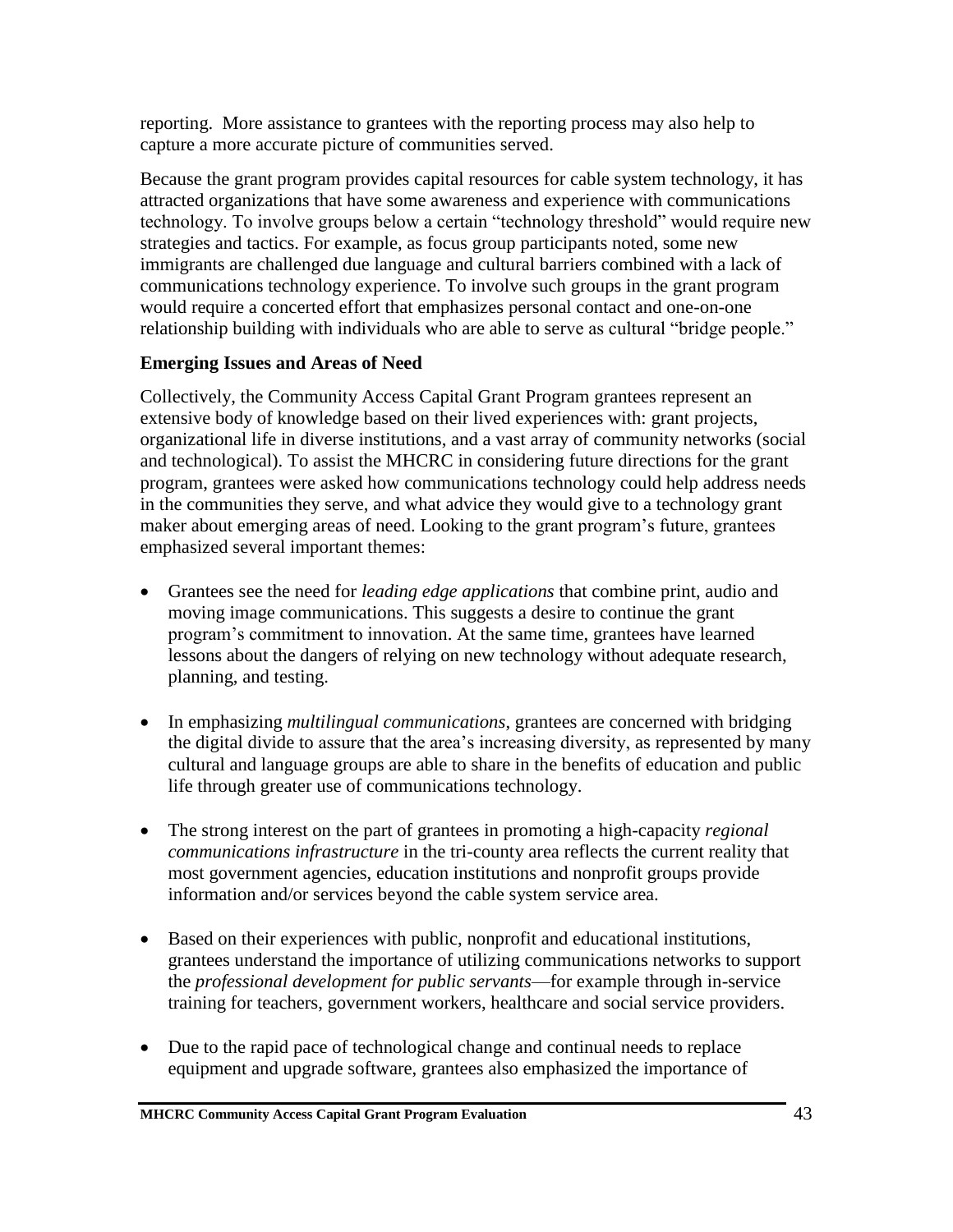reporting. More assistance to grantees with the reporting process may also help to capture a more accurate picture of communities served.

Because the grant program provides capital resources for cable system technology, it has attracted organizations that have some awareness and experience with communications technology. To involve groups below a certain "technology threshold" would require new strategies and tactics. For example, as focus group participants noted, some new immigrants are challenged due language and cultural barriers combined with a lack of communications technology experience. To involve such groups in the grant program would require a concerted effort that emphasizes personal contact and one-on-one relationship building with individuals who are able to serve as cultural "bridge people."

#### **Emerging Issues and Areas of Need**

Collectively, the Community Access Capital Grant Program grantees represent an extensive body of knowledge based on their lived experiences with: grant projects, organizational life in diverse institutions, and a vast array of community networks (social and technological). To assist the MHCRC in considering future directions for the grant program, grantees were asked how communications technology could help address needs in the communities they serve, and what advice they would give to a technology grant maker about emerging areas of need. Looking to the grant program's future, grantees emphasized several important themes:

- Grantees see the need for *leading edge applications* that combine print, audio and moving image communications. This suggests a desire to continue the grant program's commitment to innovation. At the same time, grantees have learned lessons about the dangers of relying on new technology without adequate research, planning, and testing.
- In emphasizing *multilingual communications*, grantees are concerned with bridging the digital divide to assure that the area's increasing diversity, as represented by many cultural and language groups are able to share in the benefits of education and public life through greater use of communications technology.
- The strong interest on the part of grantees in promoting a high-capacity *regional communications infrastructure* in the tri-county area reflects the current reality that most government agencies, education institutions and nonprofit groups provide information and/or services beyond the cable system service area.
- Based on their experiences with public, nonprofit and educational institutions, grantees understand the importance of utilizing communications networks to support the *professional development for public servants*—for example through in-service training for teachers, government workers, healthcare and social service providers.
- Due to the rapid pace of technological change and continual needs to replace equipment and upgrade software, grantees also emphasized the importance of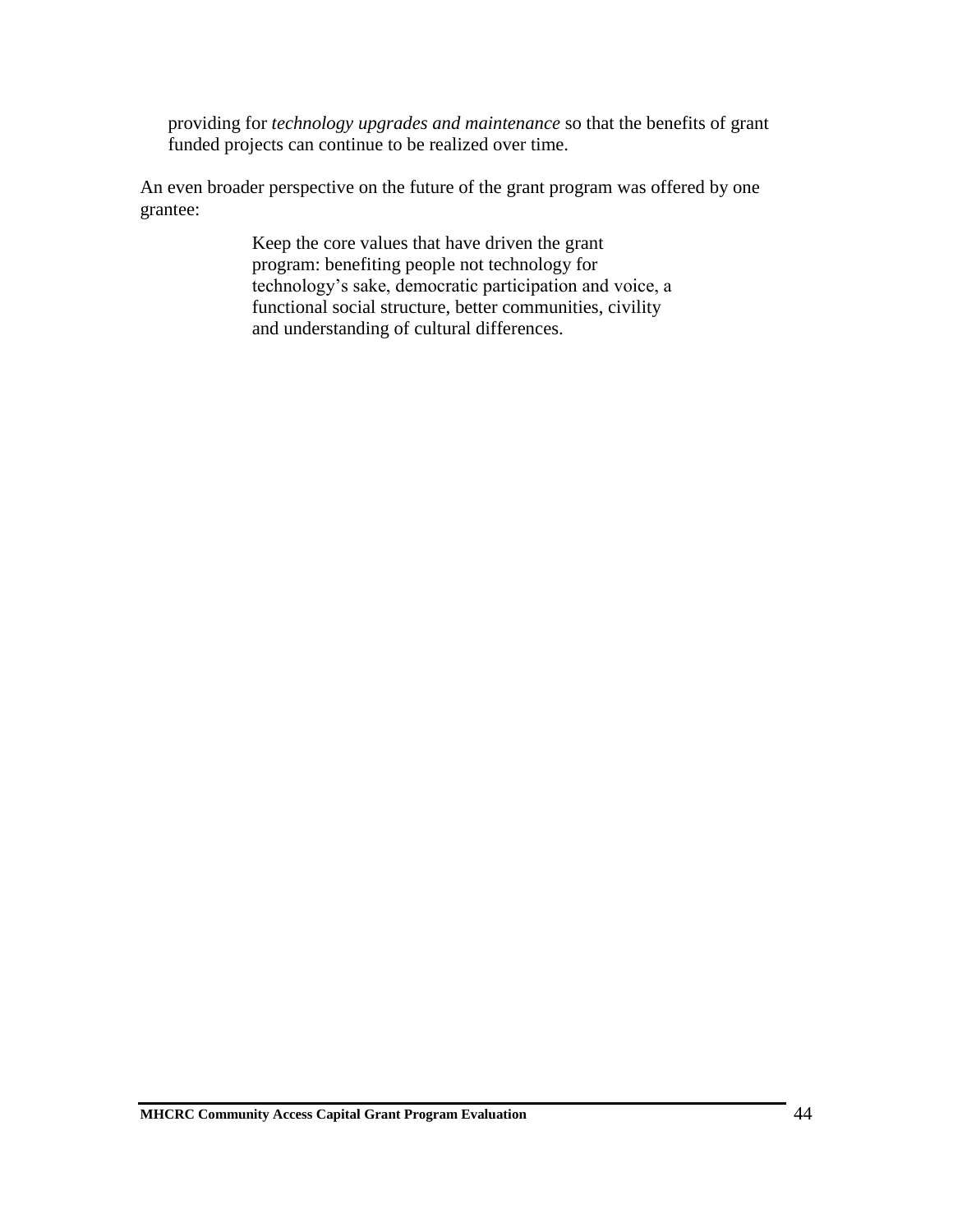providing for *technology upgrades and maintenance* so that the benefits of grant funded projects can continue to be realized over time.

An even broader perspective on the future of the grant program was offered by one grantee:

> Keep the core values that have driven the grant program: benefiting people not technology for technology's sake, democratic participation and voice, a functional social structure, better communities, civility and understanding of cultural differences.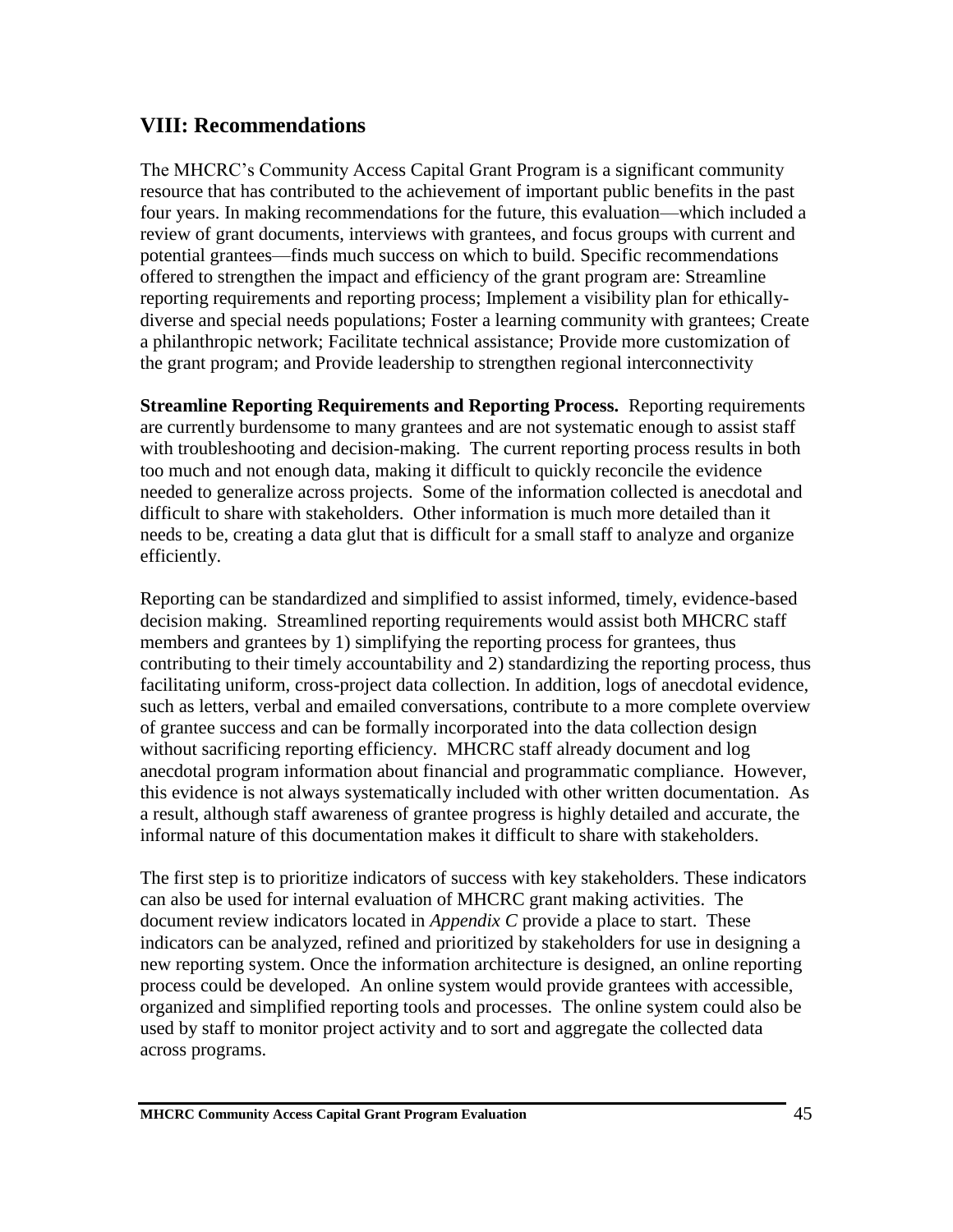## **VIII: Recommendations**

The MHCRC's Community Access Capital Grant Program is a significant community resource that has contributed to the achievement of important public benefits in the past four years. In making recommendations for the future, this evaluation—which included a review of grant documents, interviews with grantees, and focus groups with current and potential grantees—finds much success on which to build. Specific recommendations offered to strengthen the impact and efficiency of the grant program are: Streamline reporting requirements and reporting process; Implement a visibility plan for ethicallydiverse and special needs populations; Foster a learning community with grantees; Create a philanthropic network; Facilitate technical assistance; Provide more customization of the grant program; and Provide leadership to strengthen regional interconnectivity

**Streamline Reporting Requirements and Reporting Process.** Reporting requirements are currently burdensome to many grantees and are not systematic enough to assist staff with troubleshooting and decision-making. The current reporting process results in both too much and not enough data, making it difficult to quickly reconcile the evidence needed to generalize across projects. Some of the information collected is anecdotal and difficult to share with stakeholders. Other information is much more detailed than it needs to be, creating a data glut that is difficult for a small staff to analyze and organize efficiently.

Reporting can be standardized and simplified to assist informed, timely, evidence-based decision making. Streamlined reporting requirements would assist both MHCRC staff members and grantees by 1) simplifying the reporting process for grantees, thus contributing to their timely accountability and 2) standardizing the reporting process, thus facilitating uniform, cross-project data collection. In addition, logs of anecdotal evidence, such as letters, verbal and emailed conversations, contribute to a more complete overview of grantee success and can be formally incorporated into the data collection design without sacrificing reporting efficiency. MHCRC staff already document and log anecdotal program information about financial and programmatic compliance. However, this evidence is not always systematically included with other written documentation. As a result, although staff awareness of grantee progress is highly detailed and accurate, the informal nature of this documentation makes it difficult to share with stakeholders.

The first step is to prioritize indicators of success with key stakeholders. These indicators can also be used for internal evaluation of MHCRC grant making activities. The document review indicators located in *Appendix C* provide a place to start. These indicators can be analyzed, refined and prioritized by stakeholders for use in designing a new reporting system. Once the information architecture is designed, an online reporting process could be developed. An online system would provide grantees with accessible, organized and simplified reporting tools and processes. The online system could also be used by staff to monitor project activity and to sort and aggregate the collected data across programs.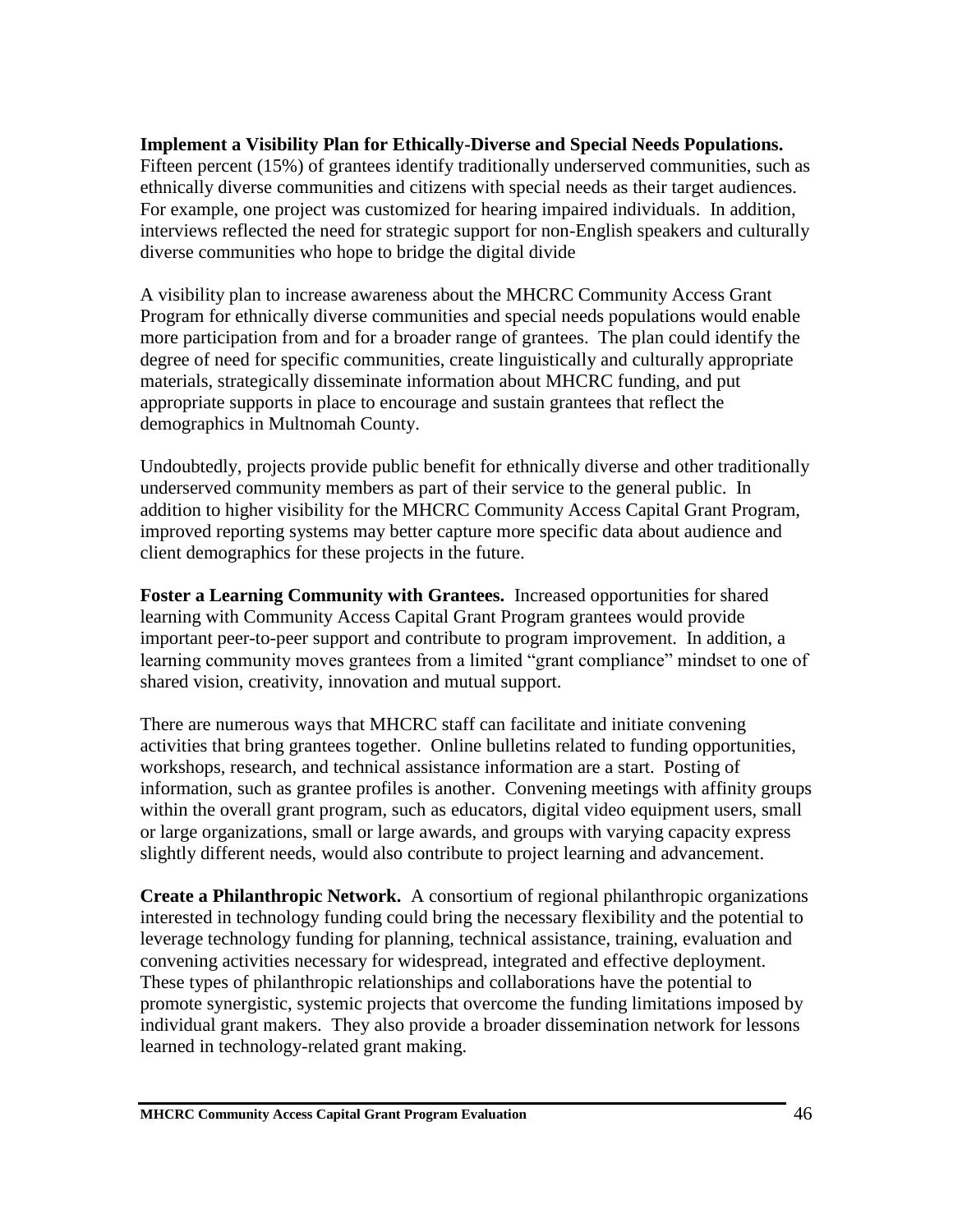#### **Implement a Visibility Plan for Ethically-Diverse and Special Needs Populations.**

Fifteen percent (15%) of grantees identify traditionally underserved communities, such as ethnically diverse communities and citizens with special needs as their target audiences. For example, one project was customized for hearing impaired individuals. In addition, interviews reflected the need for strategic support for non-English speakers and culturally diverse communities who hope to bridge the digital divide

A visibility plan to increase awareness about the MHCRC Community Access Grant Program for ethnically diverse communities and special needs populations would enable more participation from and for a broader range of grantees. The plan could identify the degree of need for specific communities, create linguistically and culturally appropriate materials, strategically disseminate information about MHCRC funding, and put appropriate supports in place to encourage and sustain grantees that reflect the demographics in Multnomah County.

Undoubtedly, projects provide public benefit for ethnically diverse and other traditionally underserved community members as part of their service to the general public. In addition to higher visibility for the MHCRC Community Access Capital Grant Program, improved reporting systems may better capture more specific data about audience and client demographics for these projects in the future.

**Foster a Learning Community with Grantees.** Increased opportunities for shared learning with Community Access Capital Grant Program grantees would provide important peer-to-peer support and contribute to program improvement. In addition, a learning community moves grantees from a limited "grant compliance" mindset to one of shared vision, creativity, innovation and mutual support.

There are numerous ways that MHCRC staff can facilitate and initiate convening activities that bring grantees together. Online bulletins related to funding opportunities, workshops, research, and technical assistance information are a start. Posting of information, such as grantee profiles is another. Convening meetings with affinity groups within the overall grant program, such as educators, digital video equipment users, small or large organizations, small or large awards, and groups with varying capacity express slightly different needs, would also contribute to project learning and advancement.

**Create a Philanthropic Network.** A consortium of regional philanthropic organizations interested in technology funding could bring the necessary flexibility and the potential to leverage technology funding for planning, technical assistance, training, evaluation and convening activities necessary for widespread, integrated and effective deployment. These types of philanthropic relationships and collaborations have the potential to promote synergistic, systemic projects that overcome the funding limitations imposed by individual grant makers. They also provide a broader dissemination network for lessons learned in technology-related grant making.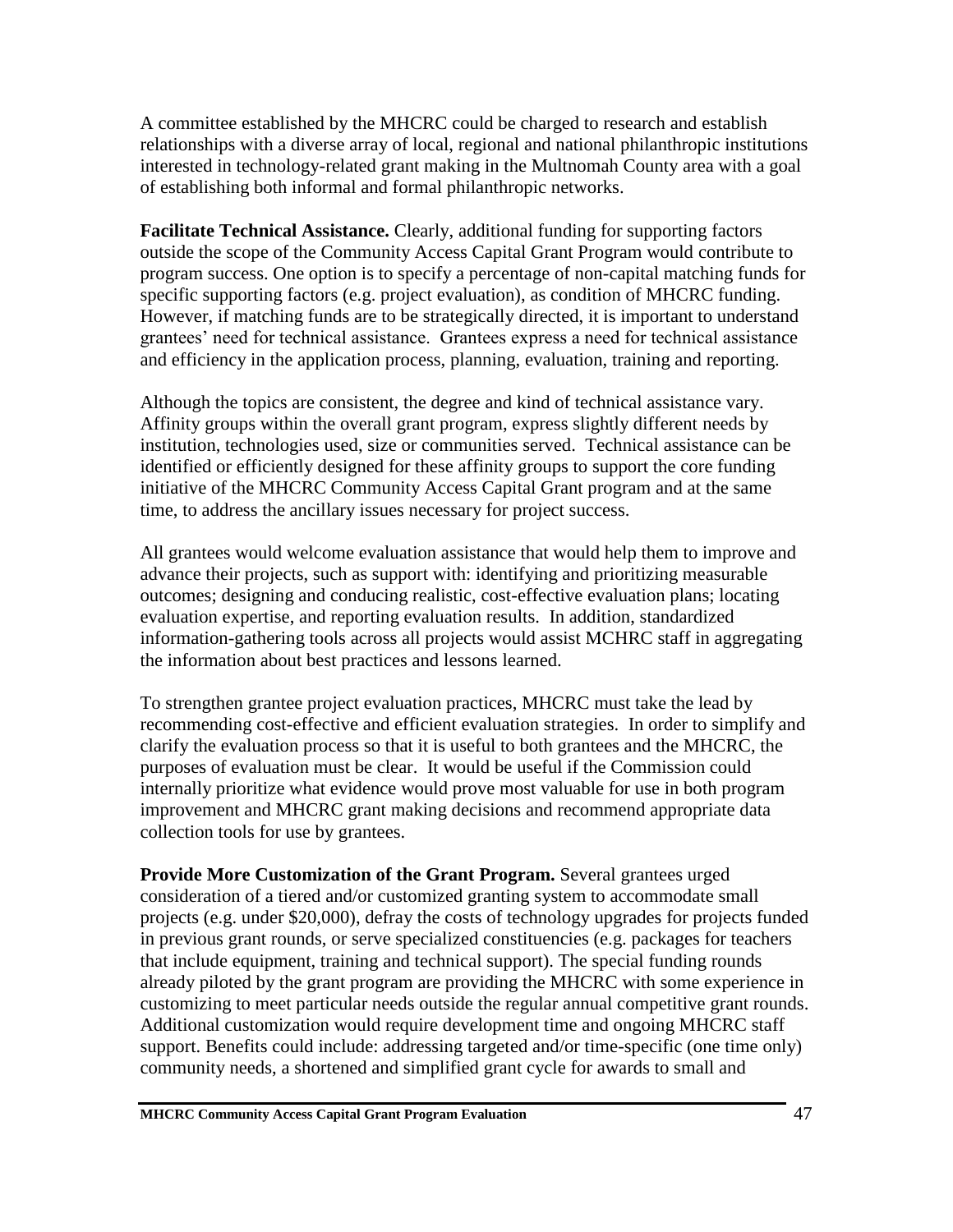A committee established by the MHCRC could be charged to research and establish relationships with a diverse array of local, regional and national philanthropic institutions interested in technology-related grant making in the Multnomah County area with a goal of establishing both informal and formal philanthropic networks.

**Facilitate Technical Assistance.** Clearly, additional funding for supporting factors outside the scope of the Community Access Capital Grant Program would contribute to program success. One option is to specify a percentage of non-capital matching funds for specific supporting factors (e.g. project evaluation), as condition of MHCRC funding. However, if matching funds are to be strategically directed, it is important to understand grantees' need for technical assistance. Grantees express a need for technical assistance and efficiency in the application process, planning, evaluation, training and reporting.

Although the topics are consistent, the degree and kind of technical assistance vary. Affinity groups within the overall grant program, express slightly different needs by institution, technologies used, size or communities served. Technical assistance can be identified or efficiently designed for these affinity groups to support the core funding initiative of the MHCRC Community Access Capital Grant program and at the same time, to address the ancillary issues necessary for project success.

All grantees would welcome evaluation assistance that would help them to improve and advance their projects, such as support with: identifying and prioritizing measurable outcomes; designing and conducing realistic, cost-effective evaluation plans; locating evaluation expertise, and reporting evaluation results. In addition, standardized information-gathering tools across all projects would assist MCHRC staff in aggregating the information about best practices and lessons learned.

To strengthen grantee project evaluation practices, MHCRC must take the lead by recommending cost-effective and efficient evaluation strategies. In order to simplify and clarify the evaluation process so that it is useful to both grantees and the MHCRC, the purposes of evaluation must be clear. It would be useful if the Commission could internally prioritize what evidence would prove most valuable for use in both program improvement and MHCRC grant making decisions and recommend appropriate data collection tools for use by grantees.

**Provide More Customization of the Grant Program.** Several grantees urged consideration of a tiered and/or customized granting system to accommodate small projects (e.g. under \$20,000), defray the costs of technology upgrades for projects funded in previous grant rounds, or serve specialized constituencies (e.g. packages for teachers that include equipment, training and technical support). The special funding rounds already piloted by the grant program are providing the MHCRC with some experience in customizing to meet particular needs outside the regular annual competitive grant rounds. Additional customization would require development time and ongoing MHCRC staff support. Benefits could include: addressing targeted and/or time-specific (one time only) community needs, a shortened and simplified grant cycle for awards to small and